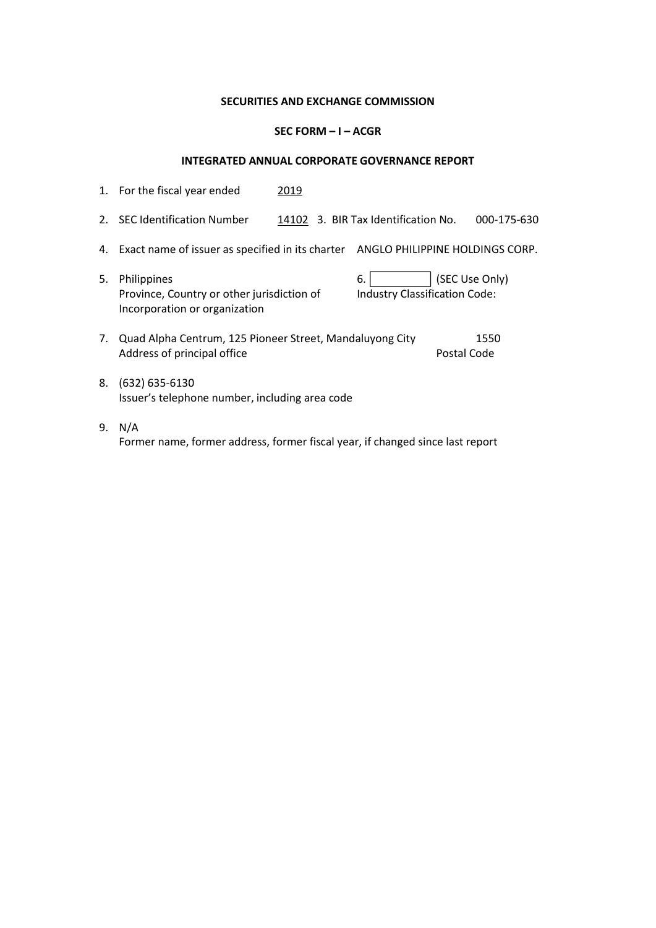## SECURITIES AND EXCHANGE COMMISSION

## SEC FORM – I – ACGR

## INTEGRATED ANNUAL CORPORATE GOVERNANCE REPORT

|    | 1. For the fiscal year ended                                                               | 2019 |                                     |                                 |
|----|--------------------------------------------------------------------------------------------|------|-------------------------------------|---------------------------------|
| 2. | <b>SEC Identification Number</b>                                                           |      | 14102 3. BIR Tax Identification No. | 000-175-630                     |
| 4. | Exact name of issuer as specified in its charter                                           |      |                                     | ANGLO PHILIPPINE HOLDINGS CORP. |
| 5. | Philippines<br>Province, Country or other jurisdiction of<br>Incorporation or organization |      | 6.<br>Industry Classification Code: | (SEC Use Only)                  |
| 7. | Quad Alpha Centrum, 125 Pioneer Street, Mandaluyong City<br>Address of principal office    |      |                                     | 1550<br>Postal Code             |
| 8. | $(632) 635 - 6130$<br>Issuer's telephone number, including area code                       |      |                                     |                                 |
|    |                                                                                            |      |                                     |                                 |

9. N/A Former name, former address, former fiscal year, if changed since last report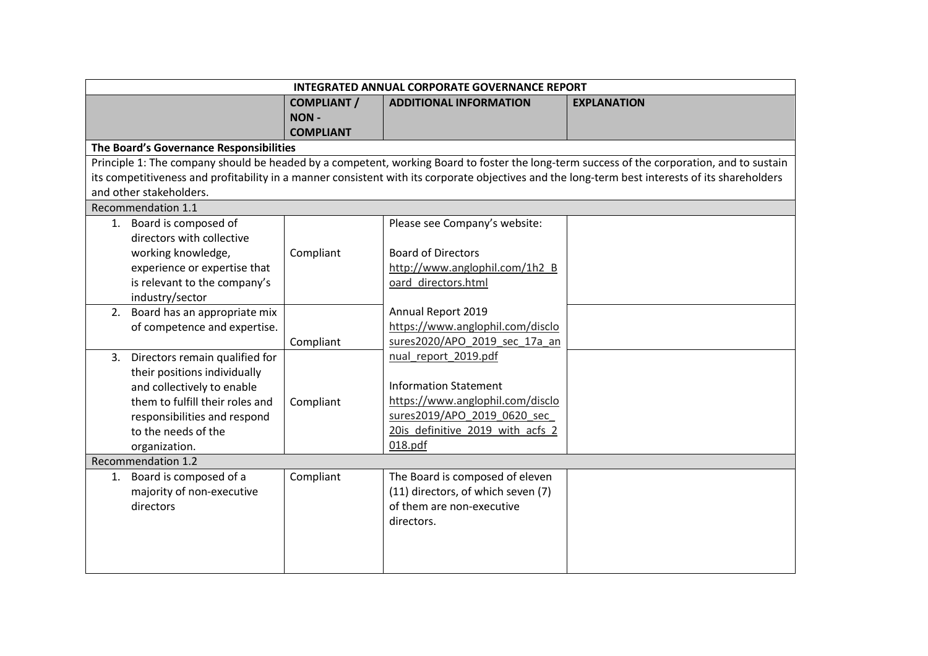|                                         | INTEGRATED ANNUAL CORPORATE GOVERNANCE REPORT |                                    |                                                                                                                                                 |  |
|-----------------------------------------|-----------------------------------------------|------------------------------------|-------------------------------------------------------------------------------------------------------------------------------------------------|--|
|                                         | <b>COMPLIANT /</b>                            | <b>ADDITIONAL INFORMATION</b>      | <b>EXPLANATION</b>                                                                                                                              |  |
|                                         | NON-                                          |                                    |                                                                                                                                                 |  |
|                                         | <b>COMPLIANT</b>                              |                                    |                                                                                                                                                 |  |
| The Board's Governance Responsibilities |                                               |                                    |                                                                                                                                                 |  |
|                                         |                                               |                                    | Principle 1: The company should be headed by a competent, working Board to foster the long-term success of the corporation, and to sustain      |  |
|                                         |                                               |                                    | its competitiveness and profitability in a manner consistent with its corporate objectives and the long-term best interests of its shareholders |  |
| and other stakeholders.                 |                                               |                                    |                                                                                                                                                 |  |
| Recommendation 1.1                      |                                               |                                    |                                                                                                                                                 |  |
| 1. Board is composed of                 |                                               | Please see Company's website:      |                                                                                                                                                 |  |
| directors with collective               |                                               |                                    |                                                                                                                                                 |  |
| working knowledge,                      | Compliant                                     | <b>Board of Directors</b>          |                                                                                                                                                 |  |
| experience or expertise that            |                                               | http://www.anglophil.com/1h2 B     |                                                                                                                                                 |  |
| is relevant to the company's            |                                               | oard_directors.html                |                                                                                                                                                 |  |
| industry/sector                         |                                               |                                    |                                                                                                                                                 |  |
| 2. Board has an appropriate mix         |                                               | Annual Report 2019                 |                                                                                                                                                 |  |
| of competence and expertise.            |                                               | https://www.anglophil.com/disclo   |                                                                                                                                                 |  |
|                                         | Compliant                                     | sures2020/APO 2019 sec 17a an      |                                                                                                                                                 |  |
| 3. Directors remain qualified for       |                                               | nual report 2019.pdf               |                                                                                                                                                 |  |
| their positions individually            |                                               |                                    |                                                                                                                                                 |  |
| and collectively to enable              |                                               | <b>Information Statement</b>       |                                                                                                                                                 |  |
| them to fulfill their roles and         | Compliant                                     | https://www.anglophil.com/disclo   |                                                                                                                                                 |  |
| responsibilities and respond            |                                               | sures2019/APO 2019 0620 sec        |                                                                                                                                                 |  |
| to the needs of the                     |                                               | 20is definitive 2019 with acfs 2   |                                                                                                                                                 |  |
| organization.                           |                                               | 018.pdf                            |                                                                                                                                                 |  |
| Recommendation 1.2                      |                                               |                                    |                                                                                                                                                 |  |
| 1. Board is composed of a               | Compliant                                     | The Board is composed of eleven    |                                                                                                                                                 |  |
| majority of non-executive               |                                               | (11) directors, of which seven (7) |                                                                                                                                                 |  |
| directors                               |                                               | of them are non-executive          |                                                                                                                                                 |  |
|                                         |                                               | directors.                         |                                                                                                                                                 |  |
|                                         |                                               |                                    |                                                                                                                                                 |  |
|                                         |                                               |                                    |                                                                                                                                                 |  |
|                                         |                                               |                                    |                                                                                                                                                 |  |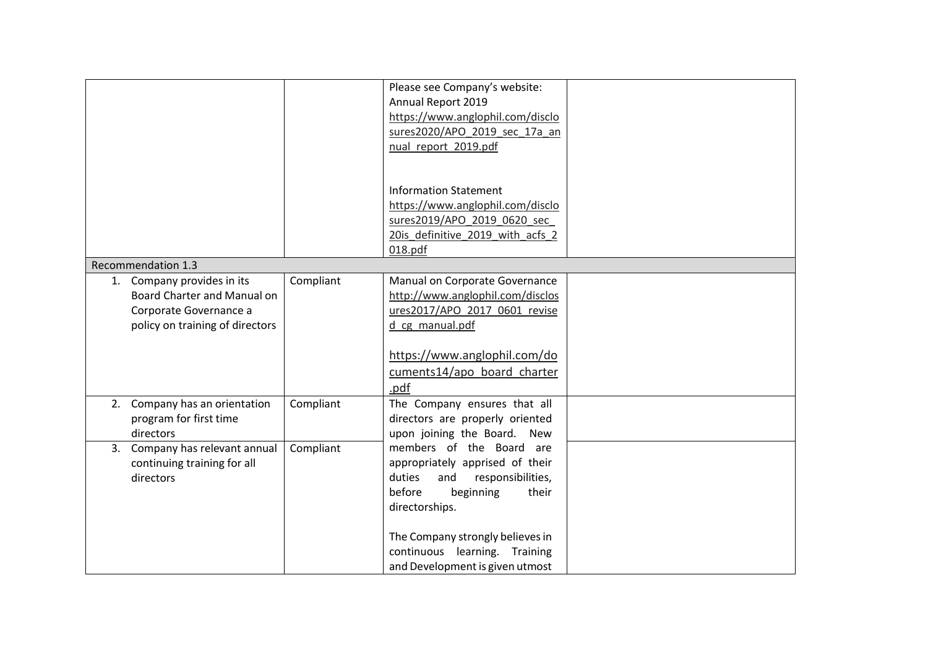|                                                                            |                                                                       |           | Please see Company's website:<br>Annual Report 2019<br>https://www.anglophil.com/disclo<br>sures2020/APO_2019_sec_17a_an<br>nual report 2019.pdf                                                                                                            |  |
|----------------------------------------------------------------------------|-----------------------------------------------------------------------|-----------|-------------------------------------------------------------------------------------------------------------------------------------------------------------------------------------------------------------------------------------------------------------|--|
|                                                                            |                                                                       |           | <b>Information Statement</b><br>https://www.anglophil.com/disclo<br>sures2019/APO 2019 0620 sec<br>20is definitive 2019 with acfs 2<br>018.pdf                                                                                                              |  |
| Recommendation 1.3                                                         |                                                                       |           |                                                                                                                                                                                                                                                             |  |
| 1. Company provides in its<br>Corporate Governance a                       | <b>Board Charter and Manual on</b><br>policy on training of directors | Compliant | Manual on Corporate Governance<br>http://www.anglophil.com/disclos<br>ures2017/APO 2017 0601 revise<br>d cg manual.pdf<br>https://www.anglophil.com/do<br>cuments14/apo board charter<br>.pdf                                                               |  |
| 2. Company has an orientation<br>program for first time<br>directors       |                                                                       | Compliant | The Company ensures that all<br>directors are properly oriented<br>upon joining the Board. New                                                                                                                                                              |  |
| 3. Company has relevant annual<br>continuing training for all<br>directors |                                                                       | Compliant | members of the Board are<br>appropriately apprised of their<br>responsibilities,<br>duties<br>and<br>before<br>their<br>beginning<br>directorships.<br>The Company strongly believes in<br>continuous learning. Training<br>and Development is given utmost |  |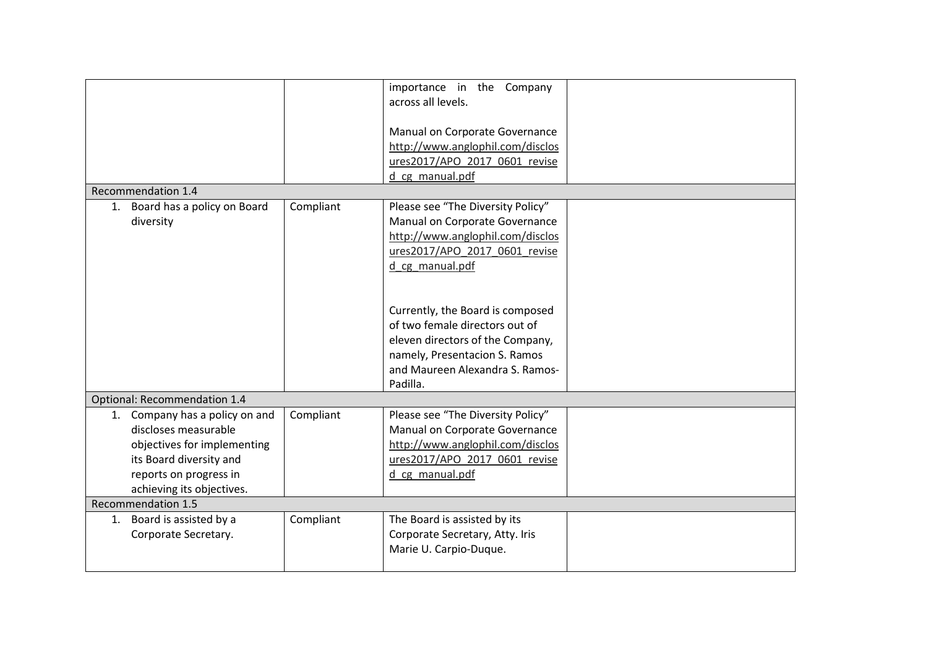|                                                                                                                                                                                                         |           | importance in the Company<br>across all levels.<br>Manual on Corporate Governance<br>http://www.anglophil.com/disclos<br>ures2017/APO 2017 0601 revise<br>d cg manual.pdf                                                                                                                                                                 |  |
|---------------------------------------------------------------------------------------------------------------------------------------------------------------------------------------------------------|-----------|-------------------------------------------------------------------------------------------------------------------------------------------------------------------------------------------------------------------------------------------------------------------------------------------------------------------------------------------|--|
| Recommendation 1.4                                                                                                                                                                                      |           |                                                                                                                                                                                                                                                                                                                                           |  |
| 1. Board has a policy on Board<br>diversity                                                                                                                                                             | Compliant | Please see "The Diversity Policy"<br>Manual on Corporate Governance<br>http://www.anglophil.com/disclos<br>ures2017/APO 2017 0601 revise<br>d_cg_manual.pdf<br>Currently, the Board is composed<br>of two female directors out of<br>eleven directors of the Company,<br>namely, Presentacion S. Ramos<br>and Maureen Alexandra S. Ramos- |  |
|                                                                                                                                                                                                         |           | Padilla.                                                                                                                                                                                                                                                                                                                                  |  |
| Optional: Recommendation 1.4<br>1. Company has a policy on and<br>discloses measurable<br>objectives for implementing<br>its Board diversity and<br>reports on progress in<br>achieving its objectives. | Compliant | Please see "The Diversity Policy"<br>Manual on Corporate Governance<br>http://www.anglophil.com/disclos<br>ures2017/APO 2017 0601 revise<br>d cg manual.pdf                                                                                                                                                                               |  |
| Recommendation 1.5                                                                                                                                                                                      |           |                                                                                                                                                                                                                                                                                                                                           |  |
| 1. Board is assisted by a<br>Corporate Secretary.                                                                                                                                                       | Compliant | The Board is assisted by its<br>Corporate Secretary, Atty. Iris<br>Marie U. Carpio-Duque.                                                                                                                                                                                                                                                 |  |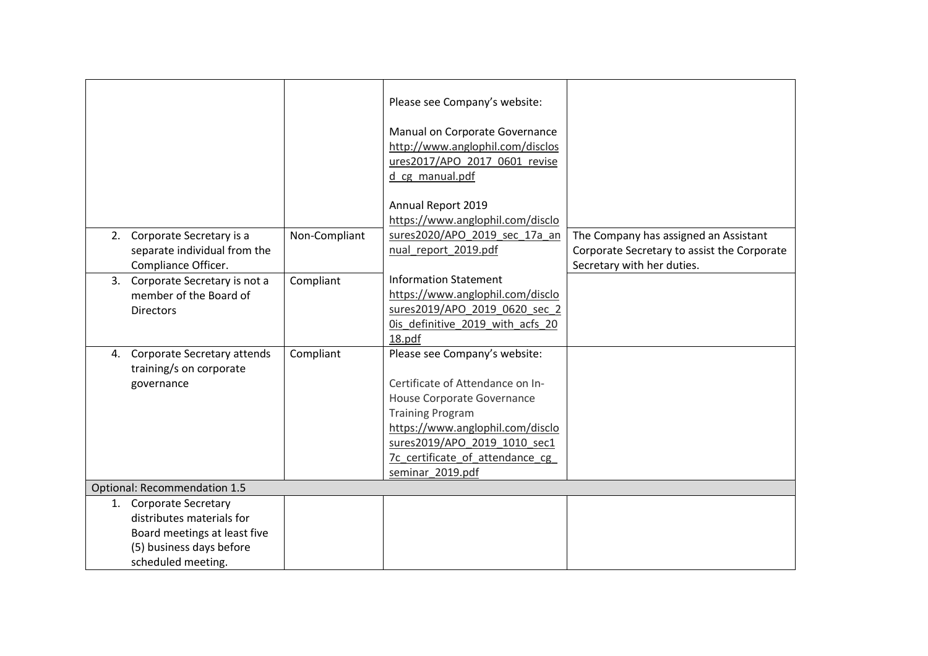|    |                                 |               | Please see Company's website:    |                                             |  |  |
|----|---------------------------------|---------------|----------------------------------|---------------------------------------------|--|--|
|    |                                 |               | Manual on Corporate Governance   |                                             |  |  |
|    |                                 |               | http://www.anglophil.com/disclos |                                             |  |  |
|    |                                 |               | ures2017/APO 2017 0601 revise    |                                             |  |  |
|    |                                 |               | d cg manual.pdf                  |                                             |  |  |
|    |                                 |               |                                  |                                             |  |  |
|    |                                 |               | Annual Report 2019               |                                             |  |  |
|    |                                 |               | https://www.anglophil.com/disclo |                                             |  |  |
|    | 2. Corporate Secretary is a     | Non-Compliant | sures2020/APO 2019 sec 17a an    | The Company has assigned an Assistant       |  |  |
|    | separate individual from the    |               | nual report 2019.pdf             | Corporate Secretary to assist the Corporate |  |  |
|    | Compliance Officer.             |               |                                  | Secretary with her duties.                  |  |  |
|    | 3. Corporate Secretary is not a | Compliant     | <b>Information Statement</b>     |                                             |  |  |
|    | member of the Board of          |               | https://www.anglophil.com/disclo |                                             |  |  |
|    | <b>Directors</b>                |               | sures2019/APO_2019_0620_sec_2    |                                             |  |  |
|    |                                 |               | Ois definitive 2019 with acfs 20 |                                             |  |  |
|    |                                 |               | 18.pdf                           |                                             |  |  |
| 4. | Corporate Secretary attends     | Compliant     | Please see Company's website:    |                                             |  |  |
|    | training/s on corporate         |               |                                  |                                             |  |  |
|    | governance                      |               | Certificate of Attendance on In- |                                             |  |  |
|    |                                 |               | House Corporate Governance       |                                             |  |  |
|    |                                 |               | <b>Training Program</b>          |                                             |  |  |
|    |                                 |               | https://www.anglophil.com/disclo |                                             |  |  |
|    |                                 |               | sures2019/APO 2019 1010 sec1     |                                             |  |  |
|    |                                 |               | 7c certificate of attendance cg  |                                             |  |  |
|    |                                 |               | seminar 2019.pdf                 |                                             |  |  |
|    | Optional: Recommendation 1.5    |               |                                  |                                             |  |  |
|    | 1. Corporate Secretary          |               |                                  |                                             |  |  |
|    | distributes materials for       |               |                                  |                                             |  |  |
|    | Board meetings at least five    |               |                                  |                                             |  |  |
|    | (5) business days before        |               |                                  |                                             |  |  |
|    | scheduled meeting.              |               |                                  |                                             |  |  |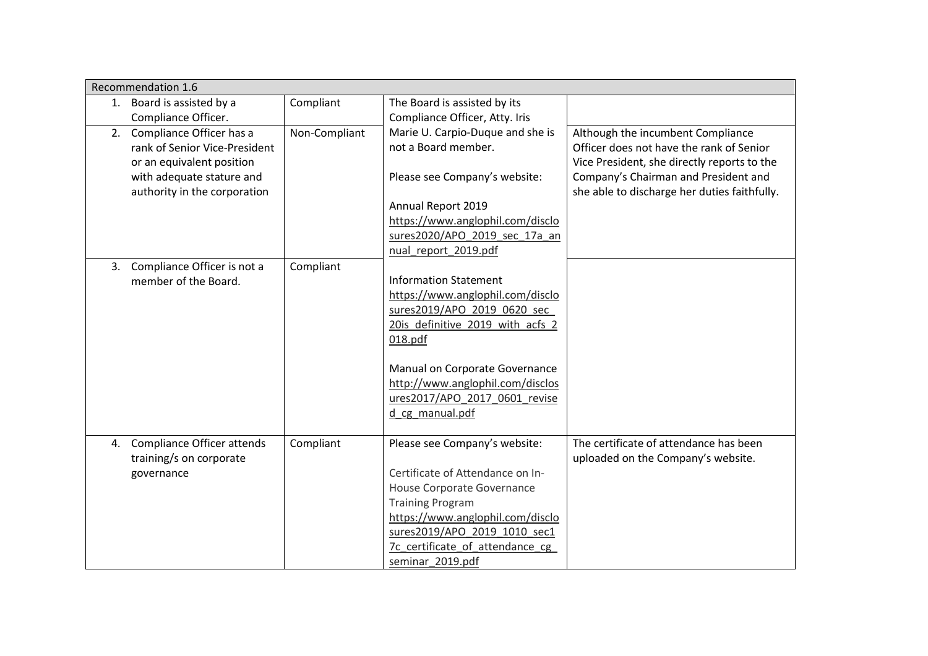|    | Recommendation 1.6                |               |                                  |                                              |
|----|-----------------------------------|---------------|----------------------------------|----------------------------------------------|
|    | 1. Board is assisted by a         | Compliant     | The Board is assisted by its     |                                              |
|    | Compliance Officer.               |               | Compliance Officer, Atty. Iris   |                                              |
| 2. | Compliance Officer has a          | Non-Compliant | Marie U. Carpio-Duque and she is | Although the incumbent Compliance            |
|    | rank of Senior Vice-President     |               | not a Board member.              | Officer does not have the rank of Senior     |
|    | or an equivalent position         |               |                                  | Vice President, she directly reports to the  |
|    | with adequate stature and         |               | Please see Company's website:    | Company's Chairman and President and         |
|    | authority in the corporation      |               |                                  | she able to discharge her duties faithfully. |
|    |                                   |               | Annual Report 2019               |                                              |
|    |                                   |               | https://www.anglophil.com/disclo |                                              |
|    |                                   |               | sures2020/APO 2019 sec 17a an    |                                              |
|    |                                   |               | nual report 2019.pdf             |                                              |
|    | 3. Compliance Officer is not a    | Compliant     |                                  |                                              |
|    | member of the Board.              |               | <b>Information Statement</b>     |                                              |
|    |                                   |               | https://www.anglophil.com/disclo |                                              |
|    |                                   |               | sures2019/APO 2019 0620 sec      |                                              |
|    |                                   |               | 20is definitive 2019 with acfs 2 |                                              |
|    |                                   |               | 018.pdf                          |                                              |
|    |                                   |               |                                  |                                              |
|    |                                   |               | Manual on Corporate Governance   |                                              |
|    |                                   |               | http://www.anglophil.com/disclos |                                              |
|    |                                   |               | ures2017/APO_2017_0601_revise    |                                              |
|    |                                   |               | d cg manual.pdf                  |                                              |
|    |                                   |               |                                  |                                              |
| 4. | <b>Compliance Officer attends</b> | Compliant     | Please see Company's website:    | The certificate of attendance has been       |
|    | training/s on corporate           |               |                                  | uploaded on the Company's website.           |
|    | governance                        |               | Certificate of Attendance on In- |                                              |
|    |                                   |               | House Corporate Governance       |                                              |
|    |                                   |               | <b>Training Program</b>          |                                              |
|    |                                   |               | https://www.anglophil.com/disclo |                                              |
|    |                                   |               | sures2019/APO 2019 1010 sec1     |                                              |
|    |                                   |               | 7c certificate of attendance cg  |                                              |
|    |                                   |               | seminar 2019.pdf                 |                                              |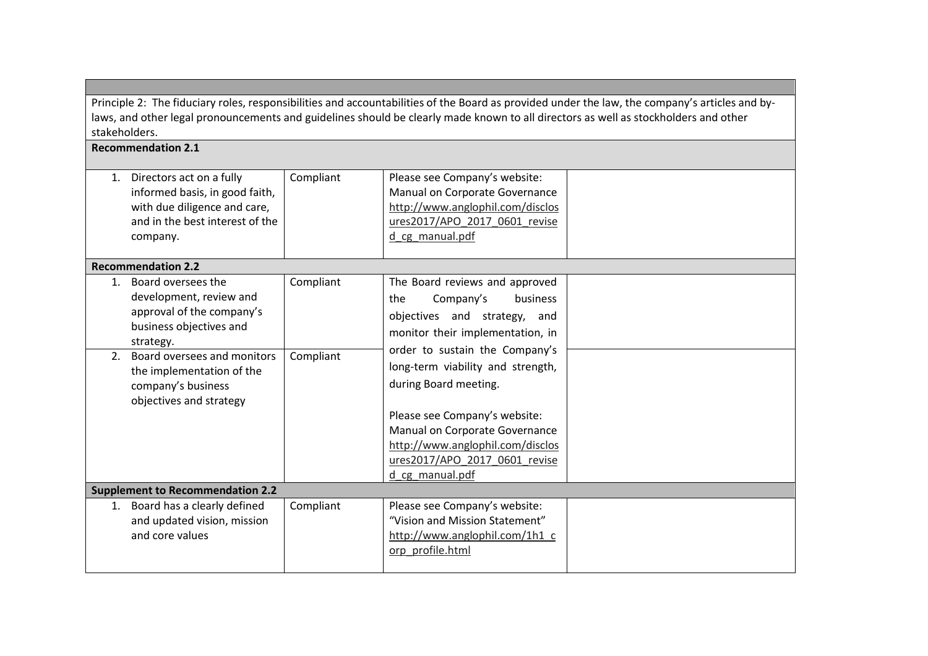Principle 2: The fiduciary roles, responsibilities and accountabilities of the Board as provided under the law, the company's articles and bylaws, and other legal pronouncements and guidelines should be clearly made known to all directors as well as stockholders and other stakeholders.

## Recommendation 2.1

|          | 1. Directors act on a fully<br>informed basis, in good faith,<br>with due diligence and care,<br>and in the best interest of the<br>company.                                                                                    | Compliant              | Please see Company's website:<br>Manual on Corporate Governance<br>http://www.anglophil.com/disclos<br>ures2017/APO_2017_0601_revise<br>d cg manual.pdf                                                                                                                                                                                                                    |  |
|----------|---------------------------------------------------------------------------------------------------------------------------------------------------------------------------------------------------------------------------------|------------------------|----------------------------------------------------------------------------------------------------------------------------------------------------------------------------------------------------------------------------------------------------------------------------------------------------------------------------------------------------------------------------|--|
|          | <b>Recommendation 2.2</b>                                                                                                                                                                                                       |                        |                                                                                                                                                                                                                                                                                                                                                                            |  |
| 1.<br>2. | Board oversees the<br>development, review and<br>approval of the company's<br>business objectives and<br>strategy.<br>Board oversees and monitors<br>the implementation of the<br>company's business<br>objectives and strategy | Compliant<br>Compliant | The Board reviews and approved<br>the<br>Company's<br>business<br>objectives and strategy, and<br>monitor their implementation, in<br>order to sustain the Company's<br>long-term viability and strength,<br>during Board meeting.<br>Please see Company's website:<br>Manual on Corporate Governance<br>http://www.anglophil.com/disclos<br>ures2017/APO 2017 0601 revise |  |
|          |                                                                                                                                                                                                                                 |                        | d cg manual.pdf                                                                                                                                                                                                                                                                                                                                                            |  |
|          | <b>Supplement to Recommendation 2.2</b>                                                                                                                                                                                         |                        |                                                                                                                                                                                                                                                                                                                                                                            |  |
| 1.       | Board has a clearly defined<br>and updated vision, mission<br>and core values                                                                                                                                                   | Compliant              | Please see Company's website:<br>"Vision and Mission Statement"<br>http://www.anglophil.com/1h1 c<br>orp profile.html                                                                                                                                                                                                                                                      |  |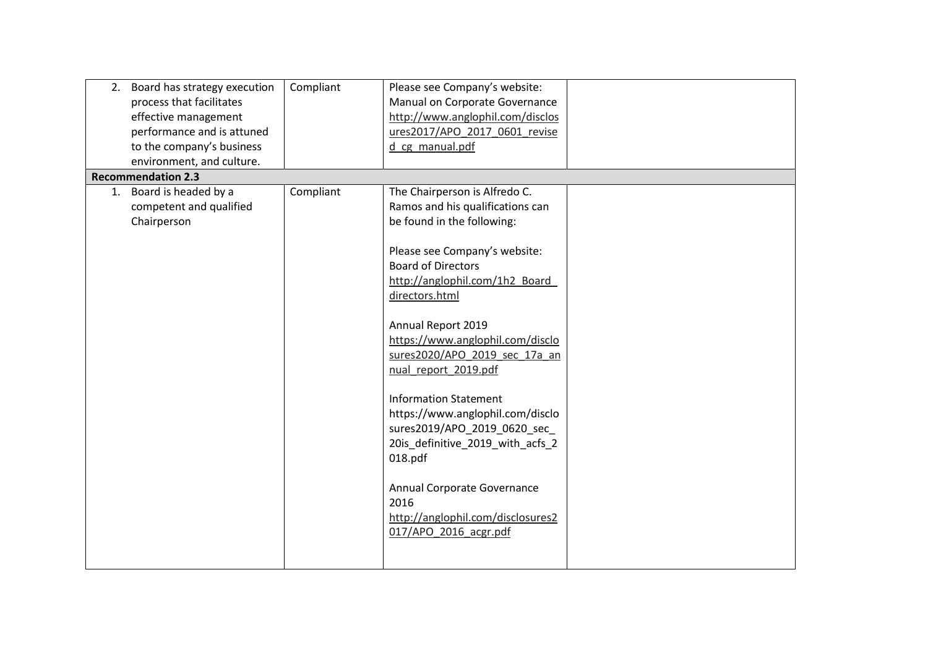| Board has strategy execution<br>2.<br>process that facilitates<br>effective management<br>performance and is attuned<br>to the company's business | Compliant | Please see Company's website:<br>Manual on Corporate Governance<br>http://www.anglophil.com/disclos<br>ures2017/APO_2017_0601_revise<br>d cg manual.pdf                                                                                                                                                                                                                                                                                                                                                                                                                                      |  |
|---------------------------------------------------------------------------------------------------------------------------------------------------|-----------|----------------------------------------------------------------------------------------------------------------------------------------------------------------------------------------------------------------------------------------------------------------------------------------------------------------------------------------------------------------------------------------------------------------------------------------------------------------------------------------------------------------------------------------------------------------------------------------------|--|
| environment, and culture.                                                                                                                         |           |                                                                                                                                                                                                                                                                                                                                                                                                                                                                                                                                                                                              |  |
| <b>Recommendation 2.3</b>                                                                                                                         |           |                                                                                                                                                                                                                                                                                                                                                                                                                                                                                                                                                                                              |  |
| 1. Board is headed by a<br>competent and qualified<br>Chairperson                                                                                 | Compliant | The Chairperson is Alfredo C.<br>Ramos and his qualifications can<br>be found in the following:<br>Please see Company's website:<br><b>Board of Directors</b><br>http://anglophil.com/1h2 Board<br>directors.html<br>Annual Report 2019<br>https://www.anglophil.com/disclo<br>sures2020/APO_2019_sec_17a_an<br>nual_report_2019.pdf<br><b>Information Statement</b><br>https://www.anglophil.com/disclo<br>sures2019/APO_2019_0620_sec_<br>20is_definitive_2019_with_acfs_2<br>018.pdf<br>Annual Corporate Governance<br>2016<br>http://anglophil.com/disclosures2<br>017/APO 2016 acgr.pdf |  |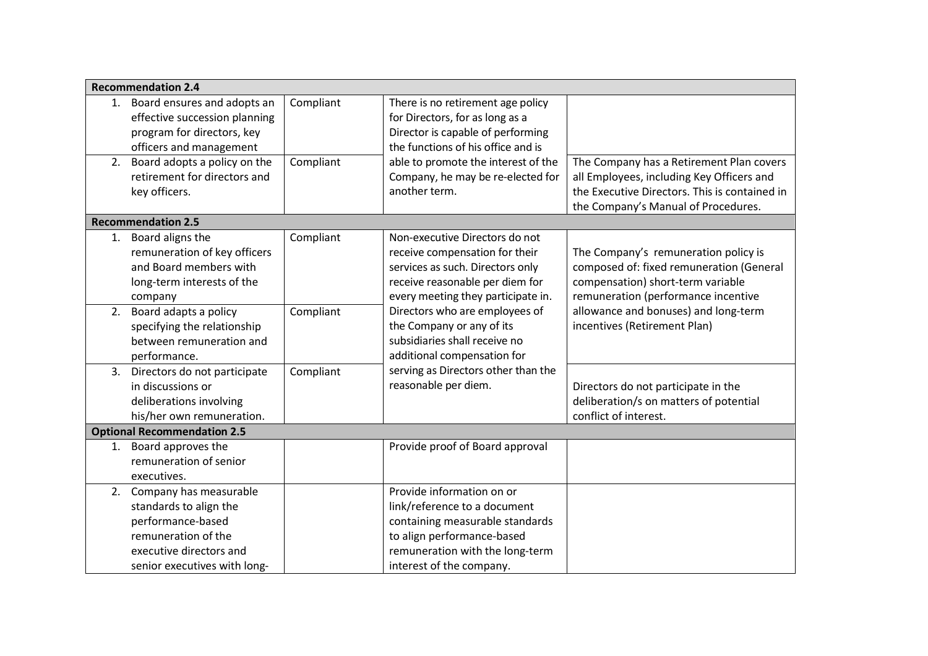|    | <b>Recommendation 2.4</b>                                                                                                                                  |           |                                                                                                                                                                                           |                                                                                                                                                                               |
|----|------------------------------------------------------------------------------------------------------------------------------------------------------------|-----------|-------------------------------------------------------------------------------------------------------------------------------------------------------------------------------------------|-------------------------------------------------------------------------------------------------------------------------------------------------------------------------------|
|    | 1. Board ensures and adopts an<br>effective succession planning<br>program for directors, key<br>officers and management                                   | Compliant | There is no retirement age policy<br>for Directors, for as long as a<br>Director is capable of performing<br>the functions of his office and is                                           |                                                                                                                                                                               |
| 2. | Board adopts a policy on the<br>retirement for directors and<br>key officers.                                                                              | Compliant | able to promote the interest of the<br>Company, he may be re-elected for<br>another term.                                                                                                 | The Company has a Retirement Plan covers<br>all Employees, including Key Officers and<br>the Executive Directors. This is contained in<br>the Company's Manual of Procedures. |
|    | <b>Recommendation 2.5</b>                                                                                                                                  |           |                                                                                                                                                                                           |                                                                                                                                                                               |
|    | 1. Board aligns the<br>remuneration of key officers<br>and Board members with<br>long-term interests of the<br>company                                     | Compliant | Non-executive Directors do not<br>receive compensation for their<br>services as such. Directors only<br>receive reasonable per diem for<br>every meeting they participate in.             | The Company's remuneration policy is<br>composed of: fixed remuneration (General<br>compensation) short-term variable<br>remuneration (performance incentive                  |
|    | 2. Board adapts a policy<br>specifying the relationship<br>between remuneration and<br>performance.                                                        | Compliant | Directors who are employees of<br>the Company or any of its<br>subsidiaries shall receive no<br>additional compensation for                                                               | allowance and bonuses) and long-term<br>incentives (Retirement Plan)                                                                                                          |
|    | 3. Directors do not participate<br>in discussions or<br>deliberations involving<br>his/her own remuneration.                                               | Compliant | serving as Directors other than the<br>reasonable per diem.                                                                                                                               | Directors do not participate in the<br>deliberation/s on matters of potential<br>conflict of interest.                                                                        |
|    | <b>Optional Recommendation 2.5</b>                                                                                                                         |           |                                                                                                                                                                                           |                                                                                                                                                                               |
|    | 1. Board approves the<br>remuneration of senior<br>executives.                                                                                             |           | Provide proof of Board approval                                                                                                                                                           |                                                                                                                                                                               |
|    | 2. Company has measurable<br>standards to align the<br>performance-based<br>remuneration of the<br>executive directors and<br>senior executives with long- |           | Provide information on or<br>link/reference to a document<br>containing measurable standards<br>to align performance-based<br>remuneration with the long-term<br>interest of the company. |                                                                                                                                                                               |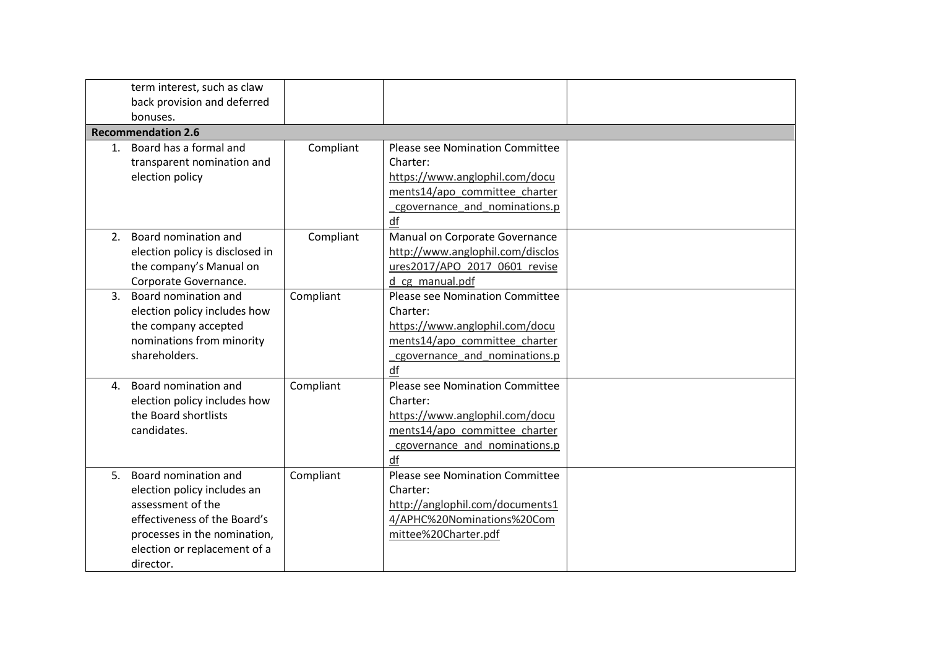|                | term interest, such as claw<br>back provision and deferred<br>bonuses.                                                                                                                |           |                                                                                                                                                       |  |
|----------------|---------------------------------------------------------------------------------------------------------------------------------------------------------------------------------------|-----------|-------------------------------------------------------------------------------------------------------------------------------------------------------|--|
|                | <b>Recommendation 2.6</b>                                                                                                                                                             |           |                                                                                                                                                       |  |
|                | 1. Board has a formal and<br>transparent nomination and<br>election policy                                                                                                            | Compliant | Please see Nomination Committee<br>Charter:<br>https://www.anglophil.com/docu<br>ments14/apo_committee_charter<br>cgovernance and nominations.p<br>df |  |
| 2.             | Board nomination and<br>election policy is disclosed in<br>the company's Manual on<br>Corporate Governance.                                                                           | Compliant | Manual on Corporate Governance<br>http://www.anglophil.com/disclos<br>ures2017/APO 2017 0601 revise<br>d cg manual.pdf                                |  |
| 3 <sub>1</sub> | Board nomination and<br>election policy includes how<br>the company accepted<br>nominations from minority<br>shareholders.                                                            | Compliant | Please see Nomination Committee<br>Charter:<br>https://www.anglophil.com/docu<br>ments14/apo committee charter<br>cgovernance and nominations.p<br>df |  |
| 4.             | Board nomination and<br>election policy includes how<br>the Board shortlists<br>candidates.                                                                                           | Compliant | Please see Nomination Committee<br>Charter:<br>https://www.anglophil.com/docu<br>ments14/apo committee charter<br>cgovernance_and_nominations.p<br>df |  |
| 5.             | Board nomination and<br>election policy includes an<br>assessment of the<br>effectiveness of the Board's<br>processes in the nomination,<br>election or replacement of a<br>director. | Compliant | Please see Nomination Committee<br>Charter:<br>http://anglophil.com/documents1<br>4/APHC%20Nominations%20Com<br>mittee%20Charter.pdf                  |  |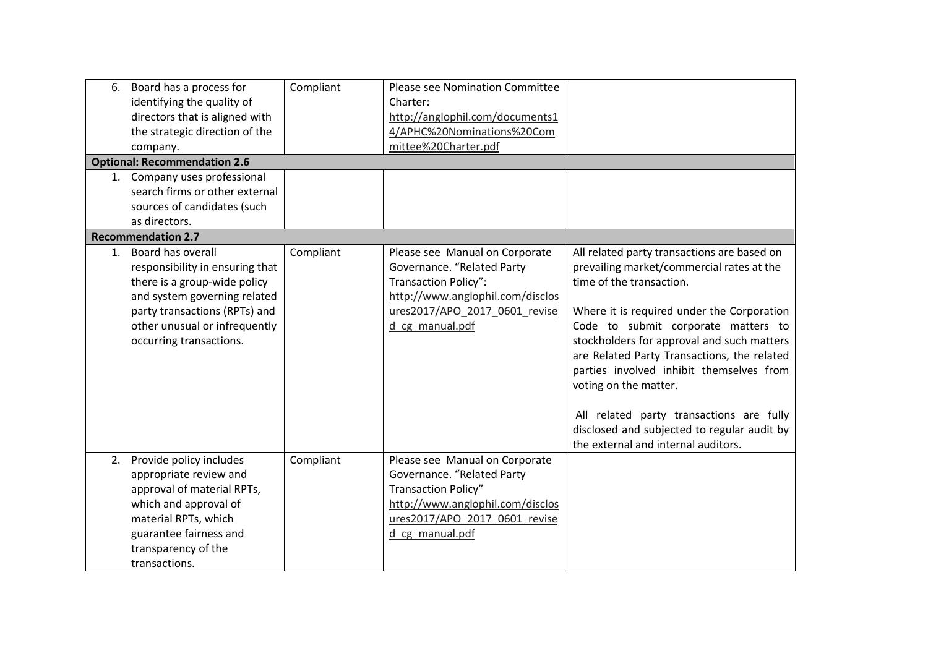| 6. | Board has a process for<br>identifying the quality of<br>directors that is aligned with<br>the strategic direction of the<br>company.<br><b>Optional: Recommendation 2.6</b><br>1. Company uses professional<br>search firms or other external<br>sources of candidates (such<br>as directors. | Compliant | Please see Nomination Committee<br>Charter:<br>http://anglophil.com/documents1<br>4/APHC%20Nominations%20Com<br>mittee%20Charter.pdf                                                |                                                                                                                                                                                                                                                                                                                                                                                                                                                                                                               |
|----|------------------------------------------------------------------------------------------------------------------------------------------------------------------------------------------------------------------------------------------------------------------------------------------------|-----------|-------------------------------------------------------------------------------------------------------------------------------------------------------------------------------------|---------------------------------------------------------------------------------------------------------------------------------------------------------------------------------------------------------------------------------------------------------------------------------------------------------------------------------------------------------------------------------------------------------------------------------------------------------------------------------------------------------------|
|    | <b>Recommendation 2.7</b>                                                                                                                                                                                                                                                                      |           |                                                                                                                                                                                     |                                                                                                                                                                                                                                                                                                                                                                                                                                                                                                               |
| 1. | Board has overall<br>responsibility in ensuring that<br>there is a group-wide policy<br>and system governing related<br>party transactions (RPTs) and<br>other unusual or infrequently<br>occurring transactions.                                                                              | Compliant | Please see Manual on Corporate<br>Governance. "Related Party<br><b>Transaction Policy":</b><br>http://www.anglophil.com/disclos<br>ures2017/APO_2017_0601_revise<br>d cg manual.pdf | All related party transactions are based on<br>prevailing market/commercial rates at the<br>time of the transaction.<br>Where it is required under the Corporation<br>Code to submit corporate matters to<br>stockholders for approval and such matters<br>are Related Party Transactions, the related<br>parties involved inhibit themselves from<br>voting on the matter.<br>All related party transactions are fully<br>disclosed and subjected to regular audit by<br>the external and internal auditors. |
|    | 2. Provide policy includes<br>appropriate review and<br>approval of material RPTs,<br>which and approval of<br>material RPTs, which<br>guarantee fairness and<br>transparency of the<br>transactions.                                                                                          | Compliant | Please see Manual on Corporate<br>Governance. "Related Party<br>Transaction Policy"<br>http://www.anglophil.com/disclos<br>ures2017/APO_2017_0601_revise<br>d cg manual.pdf         |                                                                                                                                                                                                                                                                                                                                                                                                                                                                                                               |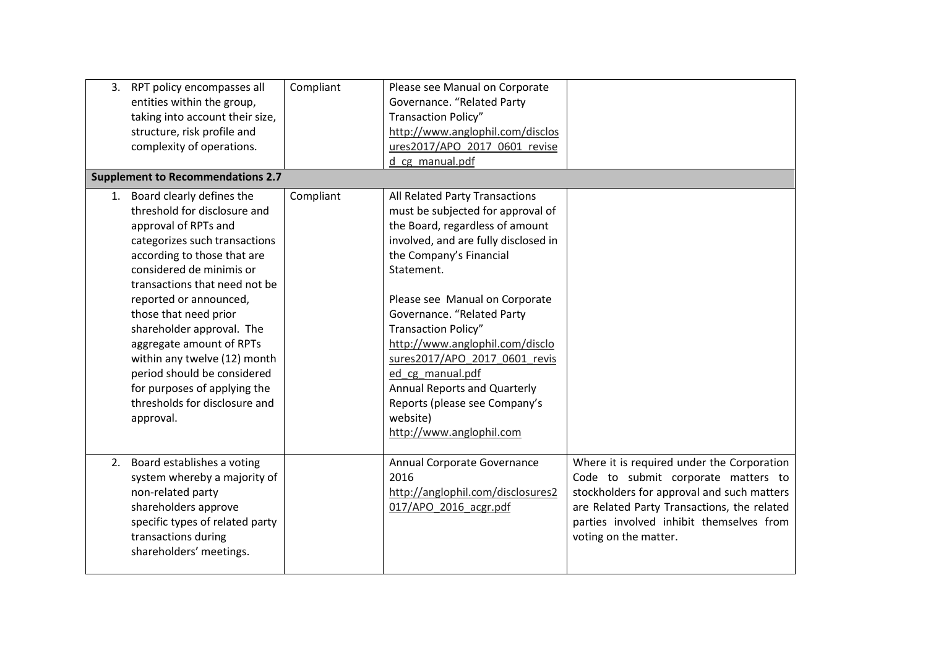|                                                                                            | 3. RPT policy encompasses all<br>entities within the group,<br>taking into account their size,<br>structure, risk profile and<br>complexity of operations.<br><b>Supplement to Recommendations 2.7</b>                                                                                                                                                                       | Compliant | Please see Manual on Corporate<br>Governance. "Related Party<br>Transaction Policy"<br>http://www.anglophil.com/disclos<br>ures2017/APO 2017 0601 revise<br>d cg manual.pdf                                                                                                                                                                                                                                                                                                            |                                                                                                                                                                                                                                                     |
|--------------------------------------------------------------------------------------------|------------------------------------------------------------------------------------------------------------------------------------------------------------------------------------------------------------------------------------------------------------------------------------------------------------------------------------------------------------------------------|-----------|----------------------------------------------------------------------------------------------------------------------------------------------------------------------------------------------------------------------------------------------------------------------------------------------------------------------------------------------------------------------------------------------------------------------------------------------------------------------------------------|-----------------------------------------------------------------------------------------------------------------------------------------------------------------------------------------------------------------------------------------------------|
| 1. Board clearly defines the<br>approval of RPTs and<br>those that need prior<br>approval. | threshold for disclosure and<br>categorizes such transactions<br>according to those that are<br>considered de minimis or<br>transactions that need not be<br>reported or announced,<br>shareholder approval. The<br>aggregate amount of RPTs<br>within any twelve (12) month<br>period should be considered<br>for purposes of applying the<br>thresholds for disclosure and | Compliant | All Related Party Transactions<br>must be subjected for approval of<br>the Board, regardless of amount<br>involved, and are fully disclosed in<br>the Company's Financial<br>Statement.<br>Please see Manual on Corporate<br>Governance. "Related Party<br><b>Transaction Policy"</b><br>http://www.anglophil.com/disclo<br>sures2017/APO 2017 0601 revis<br>ed cg manual.pdf<br>Annual Reports and Quarterly<br>Reports (please see Company's<br>website)<br>http://www.anglophil.com |                                                                                                                                                                                                                                                     |
| non-related party<br>shareholders approve<br>transactions during                           | 2. Board establishes a voting<br>system whereby a majority of<br>specific types of related party<br>shareholders' meetings.                                                                                                                                                                                                                                                  |           | Annual Corporate Governance<br>2016<br>http://anglophil.com/disclosures2<br>017/APO 2016 acgr.pdf                                                                                                                                                                                                                                                                                                                                                                                      | Where it is required under the Corporation<br>Code to submit corporate matters to<br>stockholders for approval and such matters<br>are Related Party Transactions, the related<br>parties involved inhibit themselves from<br>voting on the matter. |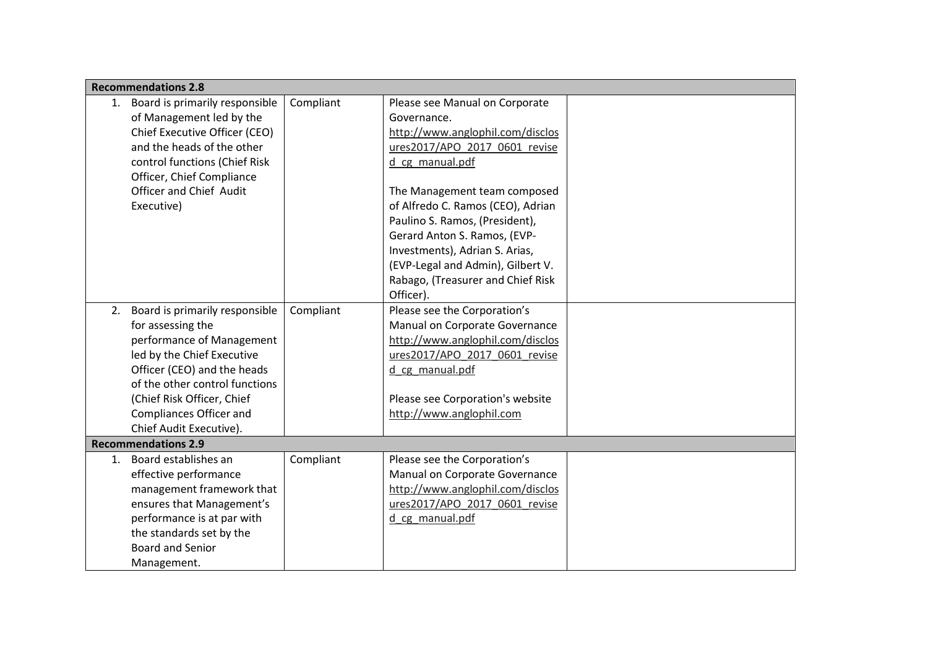|    | <b>Recommendations 2.8</b>        |           |                                   |  |
|----|-----------------------------------|-----------|-----------------------------------|--|
| 1. | Board is primarily responsible    | Compliant | Please see Manual on Corporate    |  |
|    | of Management led by the          |           | Governance.                       |  |
|    | Chief Executive Officer (CEO)     |           | http://www.anglophil.com/disclos  |  |
|    | and the heads of the other        |           | ures2017/APO 2017 0601 revise     |  |
|    | control functions (Chief Risk     |           | d_cg_manual.pdf                   |  |
|    | Officer, Chief Compliance         |           |                                   |  |
|    | Officer and Chief Audit           |           | The Management team composed      |  |
|    | Executive)                        |           | of Alfredo C. Ramos (CEO), Adrian |  |
|    |                                   |           | Paulino S. Ramos, (President),    |  |
|    |                                   |           | Gerard Anton S. Ramos, (EVP-      |  |
|    |                                   |           | Investments), Adrian S. Arias,    |  |
|    |                                   |           | (EVP-Legal and Admin), Gilbert V. |  |
|    |                                   |           | Rabago, (Treasurer and Chief Risk |  |
|    |                                   |           | Officer).                         |  |
|    | 2. Board is primarily responsible | Compliant | Please see the Corporation's      |  |
|    | for assessing the                 |           | Manual on Corporate Governance    |  |
|    | performance of Management         |           | http://www.anglophil.com/disclos  |  |
|    | led by the Chief Executive        |           | ures2017/APO_2017_0601_revise     |  |
|    | Officer (CEO) and the heads       |           | d cg_manual.pdf                   |  |
|    | of the other control functions    |           |                                   |  |
|    | (Chief Risk Officer, Chief        |           | Please see Corporation's website  |  |
|    | Compliances Officer and           |           | http://www.anglophil.com          |  |
|    | Chief Audit Executive).           |           |                                   |  |
|    | <b>Recommendations 2.9</b>        |           |                                   |  |
| 1. | Board establishes an              | Compliant | Please see the Corporation's      |  |
|    | effective performance             |           | Manual on Corporate Governance    |  |
|    | management framework that         |           | http://www.anglophil.com/disclos  |  |
|    | ensures that Management's         |           | ures2017/APO 2017 0601 revise     |  |
|    | performance is at par with        |           | d cg manual.pdf                   |  |
|    | the standards set by the          |           |                                   |  |
|    | <b>Board and Senior</b>           |           |                                   |  |
|    | Management.                       |           |                                   |  |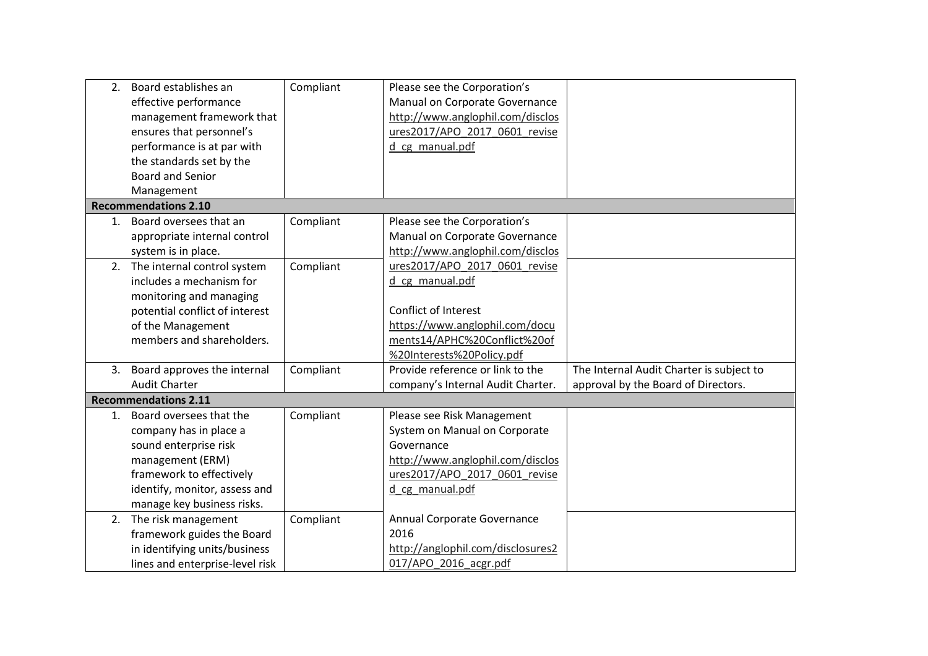| 2. Board establishes an<br>effective performance<br>management framework that<br>ensures that personnel's<br>performance is at par with<br>the standards set by the                          | Compliant | Please see the Corporation's<br>Manual on Corporate Governance<br>http://www.anglophil.com/disclos<br>ures2017/APO 2017 0601 revise<br>d cg manual.pdf                  |                                                                                 |
|----------------------------------------------------------------------------------------------------------------------------------------------------------------------------------------------|-----------|-------------------------------------------------------------------------------------------------------------------------------------------------------------------------|---------------------------------------------------------------------------------|
| <b>Board and Senior</b>                                                                                                                                                                      |           |                                                                                                                                                                         |                                                                                 |
| Management                                                                                                                                                                                   |           |                                                                                                                                                                         |                                                                                 |
| <b>Recommendations 2.10</b>                                                                                                                                                                  |           |                                                                                                                                                                         |                                                                                 |
| 1. Board oversees that an<br>appropriate internal control<br>system is in place.                                                                                                             | Compliant | Please see the Corporation's<br>Manual on Corporate Governance<br>http://www.anglophil.com/disclos                                                                      |                                                                                 |
| 2. The internal control system<br>includes a mechanism for<br>monitoring and managing<br>potential conflict of interest<br>of the Management<br>members and shareholders.                    | Compliant | ures2017/APO 2017 0601 revise<br>d cg manual.pdf<br>Conflict of Interest<br>https://www.anglophil.com/docu<br>ments14/APHC%20Conflict%20of<br>%20Interests%20Policy.pdf |                                                                                 |
| 3. Board approves the internal<br><b>Audit Charter</b>                                                                                                                                       | Compliant | Provide reference or link to the<br>company's Internal Audit Charter.                                                                                                   | The Internal Audit Charter is subject to<br>approval by the Board of Directors. |
| <b>Recommendations 2.11</b>                                                                                                                                                                  |           |                                                                                                                                                                         |                                                                                 |
| 1. Board oversees that the<br>company has in place a<br>sound enterprise risk<br>management (ERM)<br>framework to effectively<br>identify, monitor, assess and<br>manage key business risks. | Compliant | Please see Risk Management<br>System on Manual on Corporate<br>Governance<br>http://www.anglophil.com/disclos<br>ures2017/APO 2017 0601 revise<br>d cg manual.pdf       |                                                                                 |
| 2. The risk management<br>framework guides the Board<br>in identifying units/business<br>lines and enterprise-level risk                                                                     | Compliant | Annual Corporate Governance<br>2016<br>http://anglophil.com/disclosures2<br>017/APO 2016 acgr.pdf                                                                       |                                                                                 |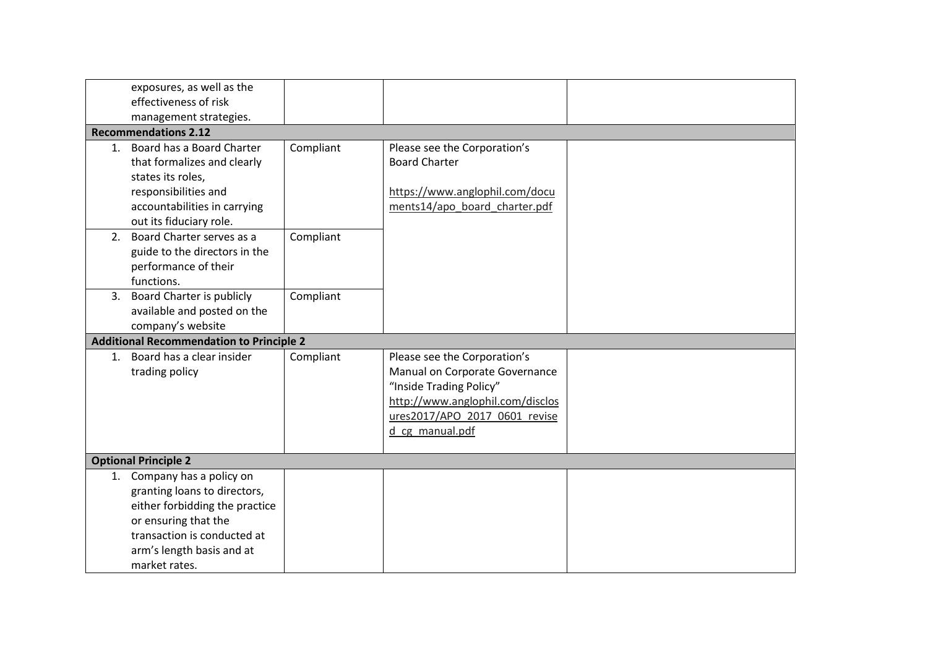|    | exposures, as well as the                       |           |                                  |  |
|----|-------------------------------------------------|-----------|----------------------------------|--|
|    | effectiveness of risk                           |           |                                  |  |
|    | management strategies.                          |           |                                  |  |
|    | <b>Recommendations 2.12</b>                     |           |                                  |  |
|    | 1. Board has a Board Charter                    | Compliant | Please see the Corporation's     |  |
|    | that formalizes and clearly                     |           | <b>Board Charter</b>             |  |
|    | states its roles,                               |           |                                  |  |
|    | responsibilities and                            |           | https://www.anglophil.com/docu   |  |
|    | accountabilities in carrying                    |           | ments14/apo board charter.pdf    |  |
|    | out its fiduciary role.                         |           |                                  |  |
|    | 2. Board Charter serves as a                    | Compliant |                                  |  |
|    | guide to the directors in the                   |           |                                  |  |
|    | performance of their                            |           |                                  |  |
|    | functions.                                      |           |                                  |  |
| 3. | Board Charter is publicly                       | Compliant |                                  |  |
|    | available and posted on the                     |           |                                  |  |
|    | company's website                               |           |                                  |  |
|    | <b>Additional Recommendation to Principle 2</b> |           |                                  |  |
|    | 1. Board has a clear insider                    | Compliant | Please see the Corporation's     |  |
|    | trading policy                                  |           | Manual on Corporate Governance   |  |
|    |                                                 |           | "Inside Trading Policy"          |  |
|    |                                                 |           | http://www.anglophil.com/disclos |  |
|    |                                                 |           | ures2017/APO 2017 0601 revise    |  |
|    |                                                 |           | d cg manual.pdf                  |  |
|    | <b>Optional Principle 2</b>                     |           |                                  |  |
|    | 1. Company has a policy on                      |           |                                  |  |
|    | granting loans to directors,                    |           |                                  |  |
|    | either forbidding the practice                  |           |                                  |  |
|    | or ensuring that the                            |           |                                  |  |
|    | transaction is conducted at                     |           |                                  |  |
|    | arm's length basis and at                       |           |                                  |  |
|    | market rates.                                   |           |                                  |  |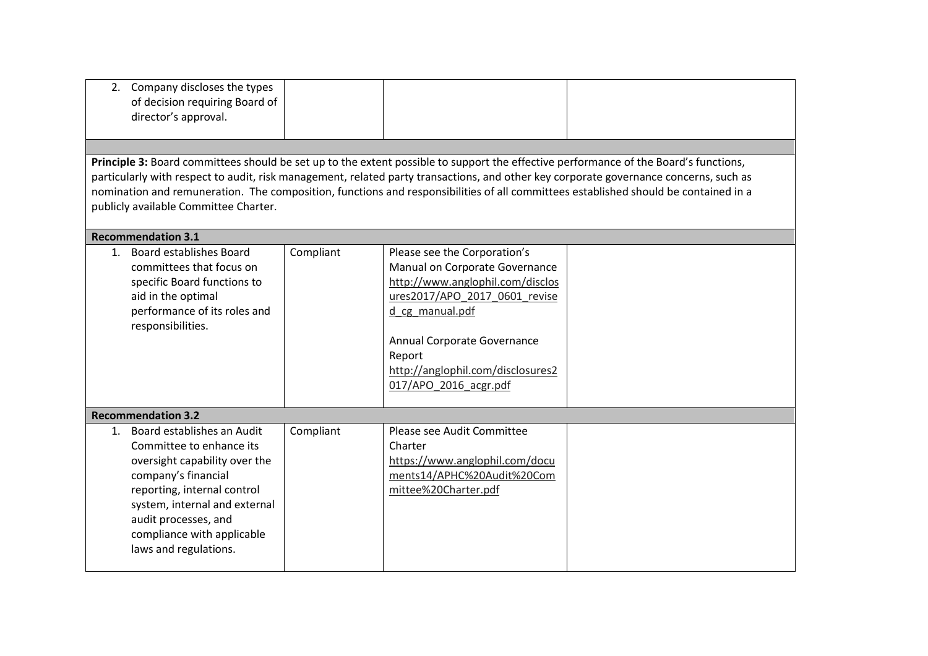| 2. Company discloses the types<br>of decision requiring Board of<br>director's approval.<br>Principle 3: Board committees should be set up to the extent possible to support the effective performance of the Board's functions,<br>particularly with respect to audit, risk management, related party transactions, and other key corporate governance concerns, such as<br>nomination and remuneration. The composition, functions and responsibilities of all committees established should be contained in a<br>publicly available Committee Charter. |           |                                                                                                                                                                                                                                                               |  |
|-----------------------------------------------------------------------------------------------------------------------------------------------------------------------------------------------------------------------------------------------------------------------------------------------------------------------------------------------------------------------------------------------------------------------------------------------------------------------------------------------------------------------------------------------------------|-----------|---------------------------------------------------------------------------------------------------------------------------------------------------------------------------------------------------------------------------------------------------------------|--|
| <b>Recommendation 3.1</b>                                                                                                                                                                                                                                                                                                                                                                                                                                                                                                                                 |           |                                                                                                                                                                                                                                                               |  |
| 1. Board establishes Board<br>committees that focus on<br>specific Board functions to<br>aid in the optimal<br>performance of its roles and<br>responsibilities.                                                                                                                                                                                                                                                                                                                                                                                          | Compliant | Please see the Corporation's<br>Manual on Corporate Governance<br>http://www.anglophil.com/disclos<br>ures2017/APO 2017 0601 revise<br>d cg_manual.pdf<br>Annual Corporate Governance<br>Report<br>http://anglophil.com/disclosures2<br>017/APO 2016 acgr.pdf |  |
| <b>Recommendation 3.2</b>                                                                                                                                                                                                                                                                                                                                                                                                                                                                                                                                 |           |                                                                                                                                                                                                                                                               |  |
| 1. Board establishes an Audit<br>Committee to enhance its<br>oversight capability over the<br>company's financial<br>reporting, internal control<br>system, internal and external<br>audit processes, and<br>compliance with applicable<br>laws and regulations.                                                                                                                                                                                                                                                                                          | Compliant | Please see Audit Committee<br>Charter<br>https://www.anglophil.com/docu<br>ments14/APHC%20Audit%20Com<br>mittee%20Charter.pdf                                                                                                                                 |  |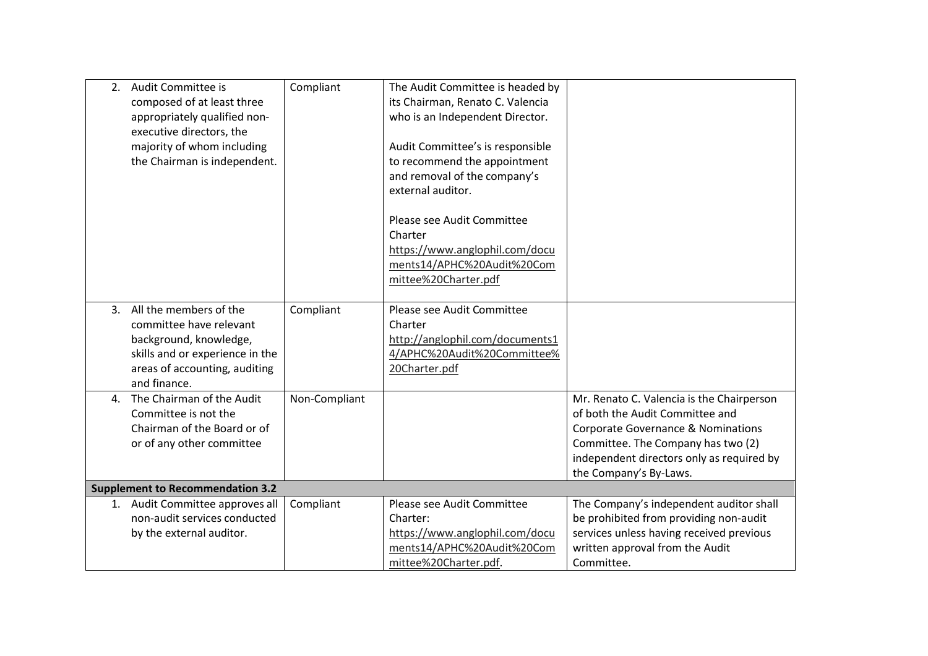|                | 2. Audit Committee is<br>composed of at least three<br>appropriately qualified non-<br>executive directors, the<br>majority of whom including<br>the Chairman is independent. | Compliant     | The Audit Committee is headed by<br>its Chairman, Renato C. Valencia<br>who is an Independent Director.<br>Audit Committee's is responsible<br>to recommend the appointment<br>and removal of the company's<br>external auditor.<br>Please see Audit Committee<br>Charter<br>https://www.anglophil.com/docu<br>ments14/APHC%20Audit%20Com<br>mittee%20Charter.pdf |                                                                                                                                                                                                                                            |
|----------------|-------------------------------------------------------------------------------------------------------------------------------------------------------------------------------|---------------|-------------------------------------------------------------------------------------------------------------------------------------------------------------------------------------------------------------------------------------------------------------------------------------------------------------------------------------------------------------------|--------------------------------------------------------------------------------------------------------------------------------------------------------------------------------------------------------------------------------------------|
|                | 3. All the members of the<br>committee have relevant<br>background, knowledge,<br>skills and or experience in the<br>areas of accounting, auditing<br>and finance.            | Compliant     | Please see Audit Committee<br>Charter<br>http://anglophil.com/documents1<br>4/APHC%20Audit%20Committee%<br>20Charter.pdf                                                                                                                                                                                                                                          |                                                                                                                                                                                                                                            |
| $\mathbf{4}$ . | The Chairman of the Audit<br>Committee is not the<br>Chairman of the Board or of<br>or of any other committee                                                                 | Non-Compliant |                                                                                                                                                                                                                                                                                                                                                                   | Mr. Renato C. Valencia is the Chairperson<br>of both the Audit Committee and<br><b>Corporate Governance &amp; Nominations</b><br>Committee. The Company has two (2)<br>independent directors only as required by<br>the Company's By-Laws. |
|                | <b>Supplement to Recommendation 3.2</b>                                                                                                                                       |               |                                                                                                                                                                                                                                                                                                                                                                   |                                                                                                                                                                                                                                            |
|                | 1. Audit Committee approves all<br>non-audit services conducted<br>by the external auditor.                                                                                   | Compliant     | Please see Audit Committee<br>Charter:<br>https://www.anglophil.com/docu<br>ments14/APHC%20Audit%20Com<br>mittee%20Charter.pdf.                                                                                                                                                                                                                                   | The Company's independent auditor shall<br>be prohibited from providing non-audit<br>services unless having received previous<br>written approval from the Audit<br>Committee.                                                             |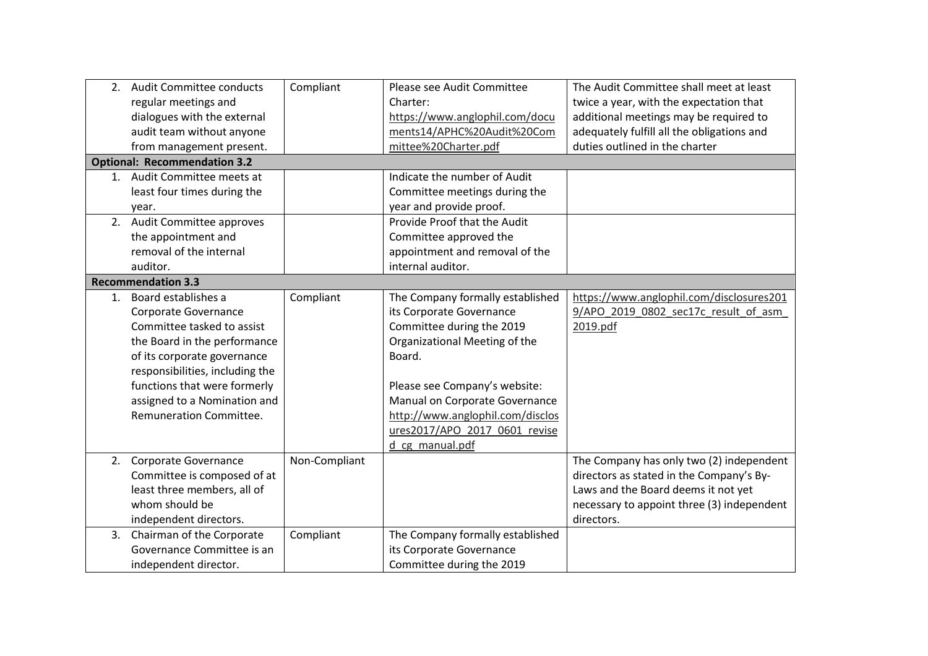|    | 2. Audit Committee conducts         | Compliant     | Please see Audit Committee       | The Audit Committee shall meet at least    |
|----|-------------------------------------|---------------|----------------------------------|--------------------------------------------|
|    | regular meetings and                |               | Charter:                         | twice a year, with the expectation that    |
|    | dialogues with the external         |               | https://www.anglophil.com/docu   | additional meetings may be required to     |
|    | audit team without anyone           |               | ments14/APHC%20Audit%20Com       | adequately fulfill all the obligations and |
|    | from management present.            |               | mittee%20Charter.pdf             | duties outlined in the charter             |
|    | <b>Optional: Recommendation 3.2</b> |               |                                  |                                            |
|    | 1. Audit Committee meets at         |               | Indicate the number of Audit     |                                            |
|    | least four times during the         |               | Committee meetings during the    |                                            |
|    | year.                               |               | year and provide proof.          |                                            |
|    | 2. Audit Committee approves         |               | Provide Proof that the Audit     |                                            |
|    | the appointment and                 |               | Committee approved the           |                                            |
|    | removal of the internal             |               | appointment and removal of the   |                                            |
|    | auditor.                            |               | internal auditor.                |                                            |
|    | <b>Recommendation 3.3</b>           |               |                                  |                                            |
| 1. | Board establishes a                 | Compliant     | The Company formally established | https://www.anglophil.com/disclosures201   |
|    | Corporate Governance                |               | its Corporate Governance         | 9/APO 2019 0802 sec17c result of asm       |
|    | Committee tasked to assist          |               | Committee during the 2019        | 2019.pdf                                   |
|    | the Board in the performance        |               | Organizational Meeting of the    |                                            |
|    | of its corporate governance         |               | Board.                           |                                            |
|    | responsibilities, including the     |               |                                  |                                            |
|    | functions that were formerly        |               | Please see Company's website:    |                                            |
|    | assigned to a Nomination and        |               | Manual on Corporate Governance   |                                            |
|    | <b>Remuneration Committee.</b>      |               | http://www.anglophil.com/disclos |                                            |
|    |                                     |               | ures2017/APO 2017 0601 revise    |                                            |
|    |                                     |               | d_cg_manual.pdf                  |                                            |
|    | 2. Corporate Governance             | Non-Compliant |                                  | The Company has only two (2) independent   |
|    | Committee is composed of at         |               |                                  | directors as stated in the Company's By-   |
|    | least three members, all of         |               |                                  | Laws and the Board deems it not yet        |
|    | whom should be                      |               |                                  | necessary to appoint three (3) independent |
|    | independent directors.              |               |                                  | directors.                                 |
|    | 3. Chairman of the Corporate        | Compliant     | The Company formally established |                                            |
|    | Governance Committee is an          |               | its Corporate Governance         |                                            |
|    | independent director.               |               | Committee during the 2019        |                                            |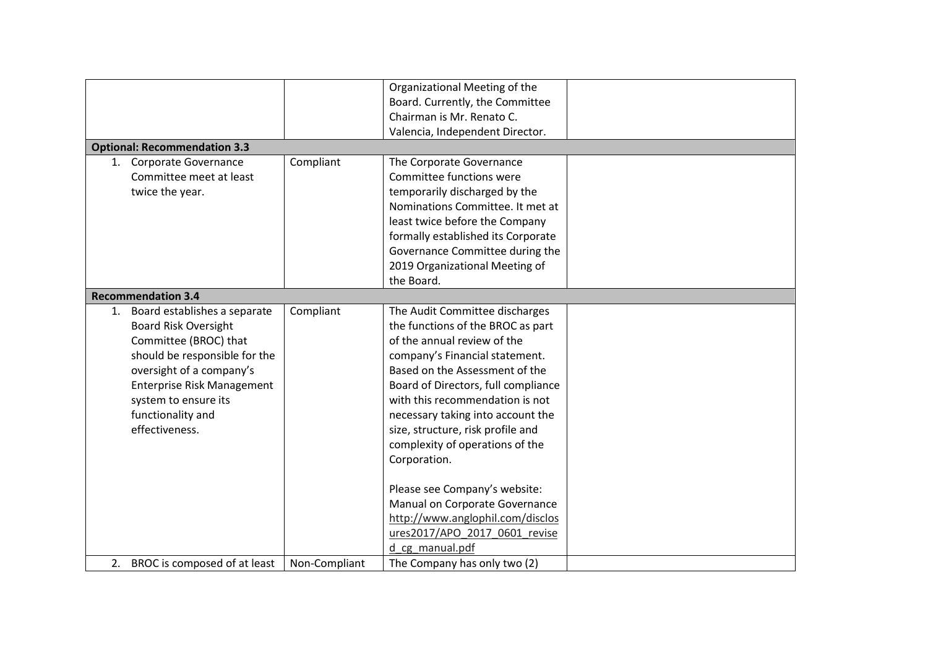|                                                                                                                                                                                                                                                          |               | Organizational Meeting of the<br>Board. Currently, the Committee<br>Chairman is Mr. Renato C.                                                                                                                                                                                                                                                                                 |  |
|----------------------------------------------------------------------------------------------------------------------------------------------------------------------------------------------------------------------------------------------------------|---------------|-------------------------------------------------------------------------------------------------------------------------------------------------------------------------------------------------------------------------------------------------------------------------------------------------------------------------------------------------------------------------------|--|
|                                                                                                                                                                                                                                                          |               | Valencia, Independent Director.                                                                                                                                                                                                                                                                                                                                               |  |
| <b>Optional: Recommendation 3.3</b>                                                                                                                                                                                                                      |               |                                                                                                                                                                                                                                                                                                                                                                               |  |
| 1. Corporate Governance<br>Committee meet at least<br>twice the year.                                                                                                                                                                                    | Compliant     | The Corporate Governance<br>Committee functions were<br>temporarily discharged by the<br>Nominations Committee. It met at<br>least twice before the Company<br>formally established its Corporate<br>Governance Committee during the<br>2019 Organizational Meeting of<br>the Board.                                                                                          |  |
| <b>Recommendation 3.4</b>                                                                                                                                                                                                                                |               |                                                                                                                                                                                                                                                                                                                                                                               |  |
| 1. Board establishes a separate<br><b>Board Risk Oversight</b><br>Committee (BROC) that<br>should be responsible for the<br>oversight of a company's<br><b>Enterprise Risk Management</b><br>system to ensure its<br>functionality and<br>effectiveness. | Compliant     | The Audit Committee discharges<br>the functions of the BROC as part<br>of the annual review of the<br>company's Financial statement.<br>Based on the Assessment of the<br>Board of Directors, full compliance<br>with this recommendation is not<br>necessary taking into account the<br>size, structure, risk profile and<br>complexity of operations of the<br>Corporation. |  |
|                                                                                                                                                                                                                                                          |               | Please see Company's website:<br>Manual on Corporate Governance<br>http://www.anglophil.com/disclos<br>ures2017/APO 2017 0601 revise<br>d cg manual.pdf                                                                                                                                                                                                                       |  |
| 2. BROC is composed of at least                                                                                                                                                                                                                          | Non-Compliant | The Company has only two (2)                                                                                                                                                                                                                                                                                                                                                  |  |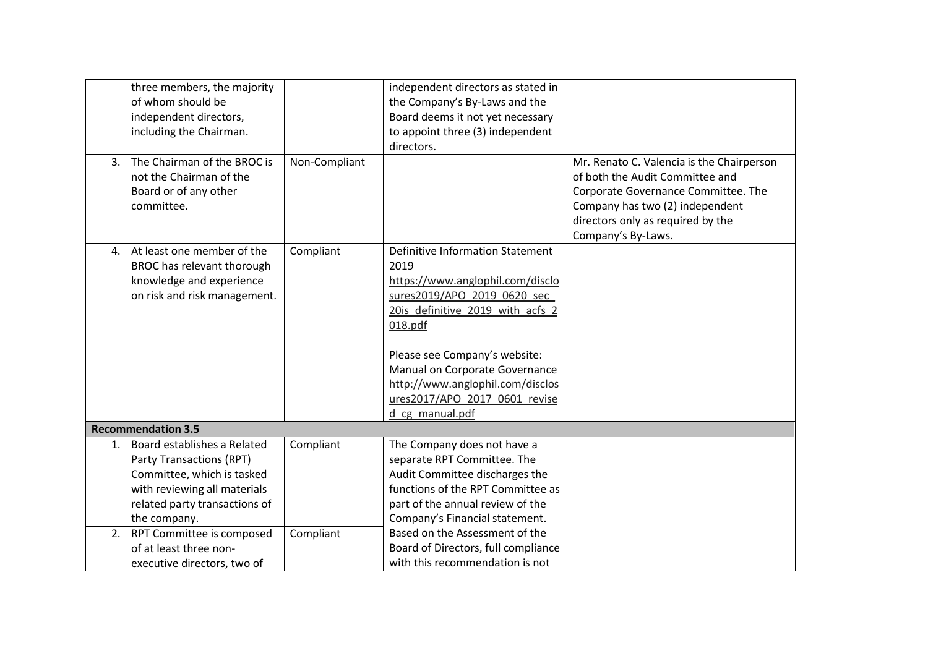| three members, the majority<br>of whom should be<br>independent directors,<br>including the Chairman.<br>3. The Chairman of the BROC is<br>not the Chairman of the<br>Board or of any other<br>committee. | Non-Compliant | independent directors as stated in<br>the Company's By-Laws and the<br>Board deems it not yet necessary<br>to appoint three (3) independent<br>directors.                                                                                                                                                                    | Mr. Renato C. Valencia is the Chairperson<br>of both the Audit Committee and<br>Corporate Governance Committee. The<br>Company has two (2) independent<br>directors only as required by the<br>Company's By-Laws. |
|-----------------------------------------------------------------------------------------------------------------------------------------------------------------------------------------------------------|---------------|------------------------------------------------------------------------------------------------------------------------------------------------------------------------------------------------------------------------------------------------------------------------------------------------------------------------------|-------------------------------------------------------------------------------------------------------------------------------------------------------------------------------------------------------------------|
| 4. At least one member of the<br>BROC has relevant thorough<br>knowledge and experience<br>on risk and risk management.                                                                                   | Compliant     | <b>Definitive Information Statement</b><br>2019<br>https://www.anglophil.com/disclo<br>sures2019/APO 2019 0620 sec<br>20is definitive 2019 with acfs 2<br>018.pdf<br>Please see Company's website:<br>Manual on Corporate Governance<br>http://www.anglophil.com/disclos<br>ures2017/APO 2017 0601 revise<br>d cg manual.pdf |                                                                                                                                                                                                                   |
| <b>Recommendation 3.5</b>                                                                                                                                                                                 |               |                                                                                                                                                                                                                                                                                                                              |                                                                                                                                                                                                                   |
| 1. Board establishes a Related<br>Party Transactions (RPT)<br>Committee, which is tasked<br>with reviewing all materials<br>related party transactions of<br>the company.                                 | Compliant     | The Company does not have a<br>separate RPT Committee. The<br>Audit Committee discharges the<br>functions of the RPT Committee as<br>part of the annual review of the<br>Company's Financial statement.                                                                                                                      |                                                                                                                                                                                                                   |
| 2. RPT Committee is composed<br>of at least three non-<br>executive directors, two of                                                                                                                     | Compliant     | Based on the Assessment of the<br>Board of Directors, full compliance<br>with this recommendation is not                                                                                                                                                                                                                     |                                                                                                                                                                                                                   |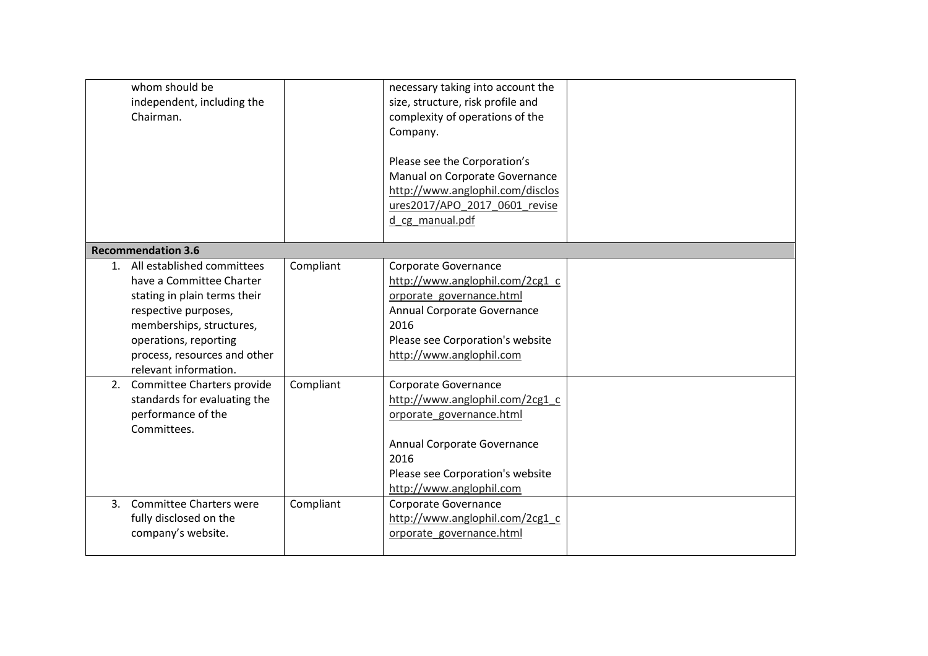|    | whom should be<br>independent, including the<br>Chairman.                                                                                                                                                                       |           | necessary taking into account the<br>size, structure, risk profile and<br>complexity of operations of the<br>Company.<br>Please see the Corporation's<br>Manual on Corporate Governance<br>http://www.anglophil.com/disclos<br>ures2017/APO_2017_0601_revise<br>d cg manual.pdf |  |
|----|---------------------------------------------------------------------------------------------------------------------------------------------------------------------------------------------------------------------------------|-----------|---------------------------------------------------------------------------------------------------------------------------------------------------------------------------------------------------------------------------------------------------------------------------------|--|
|    | <b>Recommendation 3.6</b>                                                                                                                                                                                                       |           |                                                                                                                                                                                                                                                                                 |  |
|    | 1. All established committees<br>have a Committee Charter<br>stating in plain terms their<br>respective purposes,<br>memberships, structures,<br>operations, reporting<br>process, resources and other<br>relevant information. | Compliant | Corporate Governance<br>http://www.anglophil.com/2cg1 c<br>orporate governance.html<br>Annual Corporate Governance<br>2016<br>Please see Corporation's website<br>http://www.anglophil.com                                                                                      |  |
|    | 2. Committee Charters provide<br>standards for evaluating the<br>performance of the<br>Committees.                                                                                                                              | Compliant | Corporate Governance<br>http://www.anglophil.com/2cg1_c<br>orporate governance.html<br>Annual Corporate Governance<br>2016<br>Please see Corporation's website<br>http://www.anglophil.com                                                                                      |  |
| 3. | <b>Committee Charters were</b><br>fully disclosed on the<br>company's website.                                                                                                                                                  | Compliant | Corporate Governance<br>http://www.anglophil.com/2cg1 c<br>orporate governance.html                                                                                                                                                                                             |  |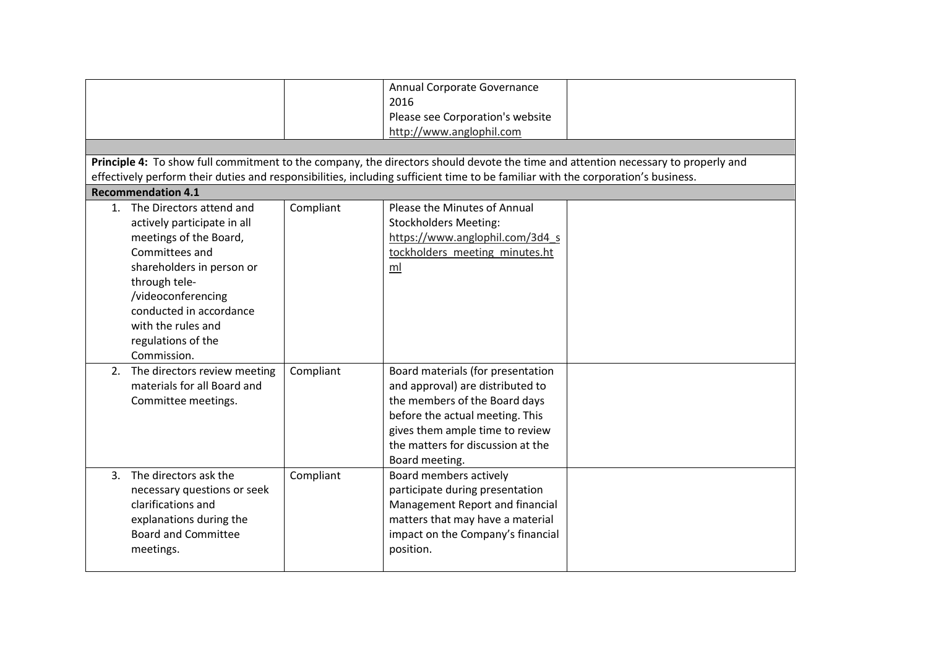| Principle 4: To show full commitment to the company, the directors should devote the time and attention necessary to properly and                                                                                                                                |           | Annual Corporate Governance<br>2016<br>Please see Corporation's website<br>http://www.anglophil.com                                                                                                                                 |  |
|------------------------------------------------------------------------------------------------------------------------------------------------------------------------------------------------------------------------------------------------------------------|-----------|-------------------------------------------------------------------------------------------------------------------------------------------------------------------------------------------------------------------------------------|--|
| effectively perform their duties and responsibilities, including sufficient time to be familiar with the corporation's business.<br><b>Recommendation 4.1</b>                                                                                                    |           |                                                                                                                                                                                                                                     |  |
| 1. The Directors attend and<br>actively participate in all<br>meetings of the Board,<br>Committees and<br>shareholders in person or<br>through tele-<br>/videoconferencing<br>conducted in accordance<br>with the rules and<br>regulations of the<br>Commission. | Compliant | Please the Minutes of Annual<br><b>Stockholders Meeting:</b><br>https://www.anglophil.com/3d4 s<br>tockholders_meeting_minutes.ht<br>ml                                                                                             |  |
| 2. The directors review meeting<br>materials for all Board and<br>Committee meetings.                                                                                                                                                                            | Compliant | Board materials (for presentation<br>and approval) are distributed to<br>the members of the Board days<br>before the actual meeting. This<br>gives them ample time to review<br>the matters for discussion at the<br>Board meeting. |  |
| The directors ask the<br>3.<br>necessary questions or seek<br>clarifications and<br>explanations during the<br><b>Board and Committee</b><br>meetings.                                                                                                           | Compliant | Board members actively<br>participate during presentation<br>Management Report and financial<br>matters that may have a material<br>impact on the Company's financial<br>position.                                                  |  |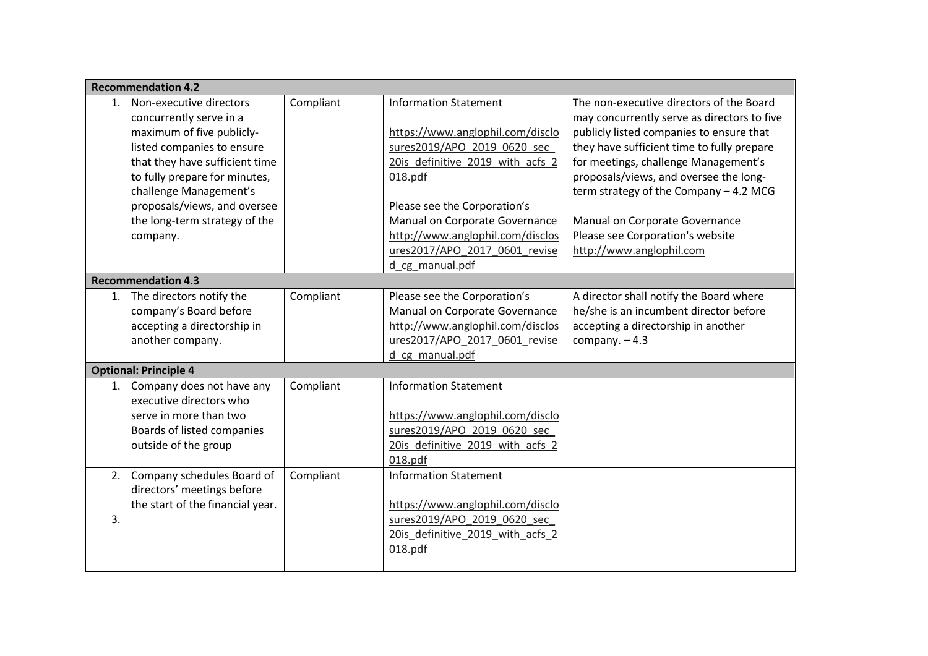|    | <b>Recommendation 4.2</b>                                                                                                                                                                                                                                                               |           |                                                                                                                                                                                                                                                                                                          |                                                                                                                                                                                                                                                                                                                                                                                                                 |
|----|-----------------------------------------------------------------------------------------------------------------------------------------------------------------------------------------------------------------------------------------------------------------------------------------|-----------|----------------------------------------------------------------------------------------------------------------------------------------------------------------------------------------------------------------------------------------------------------------------------------------------------------|-----------------------------------------------------------------------------------------------------------------------------------------------------------------------------------------------------------------------------------------------------------------------------------------------------------------------------------------------------------------------------------------------------------------|
| 1. | Non-executive directors<br>concurrently serve in a<br>maximum of five publicly-<br>listed companies to ensure<br>that they have sufficient time<br>to fully prepare for minutes,<br>challenge Management's<br>proposals/views, and oversee<br>the long-term strategy of the<br>company. | Compliant | <b>Information Statement</b><br>https://www.anglophil.com/disclo<br>sures2019/APO 2019 0620 sec<br>20is definitive 2019 with acfs 2<br>018.pdf<br>Please see the Corporation's<br>Manual on Corporate Governance<br>http://www.anglophil.com/disclos<br>ures2017/APO 2017 0601 revise<br>d cg manual.pdf | The non-executive directors of the Board<br>may concurrently serve as directors to five<br>publicly listed companies to ensure that<br>they have sufficient time to fully prepare<br>for meetings, challenge Management's<br>proposals/views, and oversee the long-<br>term strategy of the Company - 4.2 MCG<br>Manual on Corporate Governance<br>Please see Corporation's website<br>http://www.anglophil.com |
|    | <b>Recommendation 4.3</b>                                                                                                                                                                                                                                                               |           |                                                                                                                                                                                                                                                                                                          |                                                                                                                                                                                                                                                                                                                                                                                                                 |
|    | 1. The directors notify the<br>company's Board before<br>accepting a directorship in<br>another company.                                                                                                                                                                                | Compliant | Please see the Corporation's<br>Manual on Corporate Governance<br>http://www.anglophil.com/disclos<br>ures2017/APO 2017 0601 revise<br>d cg manual.pdf                                                                                                                                                   | A director shall notify the Board where<br>he/she is an incumbent director before<br>accepting a directorship in another<br>company. $-4.3$                                                                                                                                                                                                                                                                     |
|    | <b>Optional: Principle 4</b>                                                                                                                                                                                                                                                            |           |                                                                                                                                                                                                                                                                                                          |                                                                                                                                                                                                                                                                                                                                                                                                                 |
| 1. | Company does not have any<br>executive directors who<br>serve in more than two<br>Boards of listed companies<br>outside of the group                                                                                                                                                    | Compliant | <b>Information Statement</b><br>https://www.anglophil.com/disclo<br>sures2019/APO 2019 0620 sec<br>20is definitive 2019 with acfs 2<br>018.pdf                                                                                                                                                           |                                                                                                                                                                                                                                                                                                                                                                                                                 |
| 3. | 2. Company schedules Board of<br>directors' meetings before<br>the start of the financial year.                                                                                                                                                                                         | Compliant | <b>Information Statement</b><br>https://www.anglophil.com/disclo<br>sures2019/APO 2019 0620 sec<br>20is definitive 2019 with acfs 2<br>018.pdf                                                                                                                                                           |                                                                                                                                                                                                                                                                                                                                                                                                                 |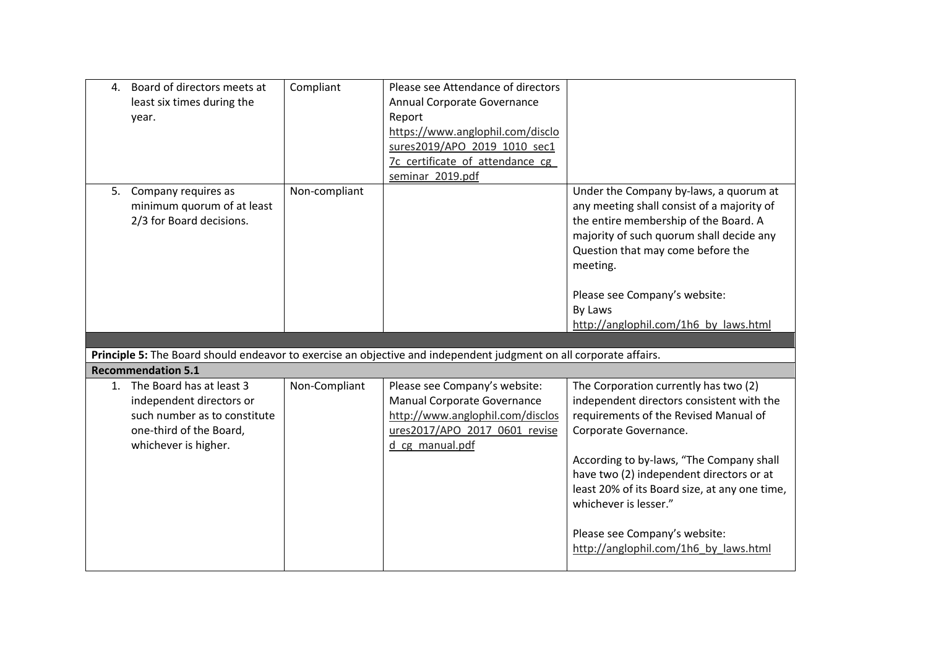| Under the Company by-laws, a quorum at        |
|-----------------------------------------------|
| any meeting shall consist of a majority of    |
| the entire membership of the Board. A         |
| majority of such quorum shall decide any      |
| Question that may come before the             |
|                                               |
|                                               |
| Please see Company's website:                 |
|                                               |
| http://anglophil.com/1h6 by laws.html         |
|                                               |
|                                               |
|                                               |
| The Corporation currently has two (2)         |
| independent directors consistent with the     |
| requirements of the Revised Manual of         |
|                                               |
|                                               |
| According to by-laws, "The Company shall      |
| have two (2) independent directors or at      |
| least 20% of its Board size, at any one time, |
|                                               |
|                                               |
| Please see Company's website:                 |
| http://anglophil.com/1h6 by laws.html         |
|                                               |
|                                               |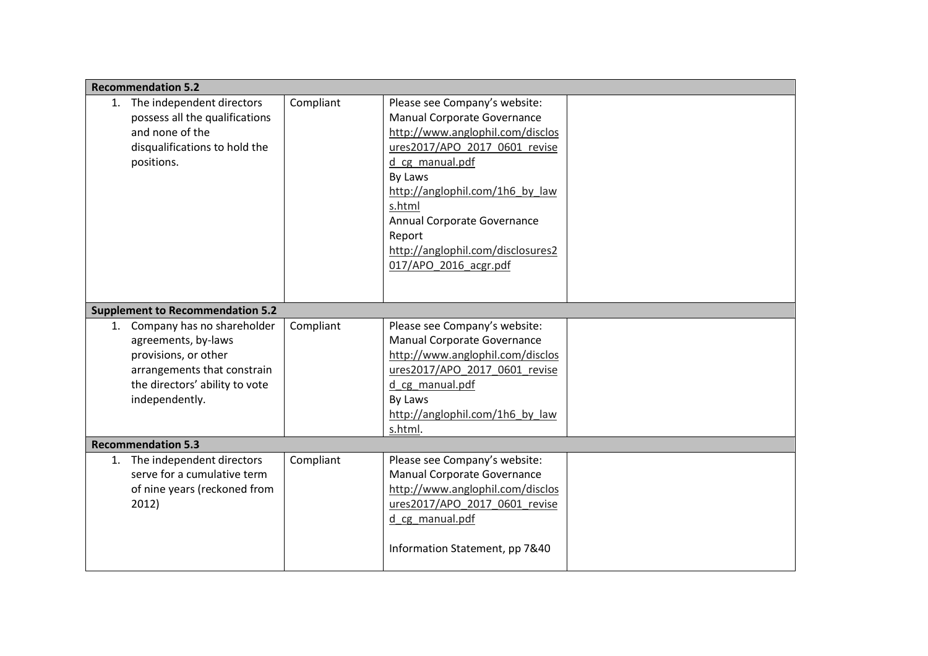| <b>Recommendation 5.2</b>                                                                                                                                          |           |                                                                                                                                                                                                                                                                                                                     |  |
|--------------------------------------------------------------------------------------------------------------------------------------------------------------------|-----------|---------------------------------------------------------------------------------------------------------------------------------------------------------------------------------------------------------------------------------------------------------------------------------------------------------------------|--|
| 1. The independent directors<br>possess all the qualifications<br>and none of the<br>disqualifications to hold the<br>positions.                                   | Compliant | Please see Company's website:<br>Manual Corporate Governance<br>http://www.anglophil.com/disclos<br>ures2017/APO 2017 0601 revise<br>d_cg_manual.pdf<br>By Laws<br>http://anglophil.com/1h6 by law<br>s.html<br>Annual Corporate Governance<br>Report<br>http://anglophil.com/disclosures2<br>017/APO 2016 acgr.pdf |  |
| <b>Supplement to Recommendation 5.2</b>                                                                                                                            |           |                                                                                                                                                                                                                                                                                                                     |  |
| Company has no shareholder<br>1.<br>agreements, by-laws<br>provisions, or other<br>arrangements that constrain<br>the directors' ability to vote<br>independently. | Compliant | Please see Company's website:<br>Manual Corporate Governance<br>http://www.anglophil.com/disclos<br>ures2017/APO 2017 0601 revise<br>d cg_manual.pdf<br>By Laws<br>http://anglophil.com/1h6 by law<br>s.html.                                                                                                       |  |
| <b>Recommendation 5.3</b>                                                                                                                                          |           |                                                                                                                                                                                                                                                                                                                     |  |
| 1. The independent directors<br>serve for a cumulative term<br>of nine years (reckoned from<br>2012)                                                               | Compliant | Please see Company's website:<br>Manual Corporate Governance<br>http://www.anglophil.com/disclos<br>ures2017/APO 2017 0601 revise<br>d cg_manual.pdf<br>Information Statement, pp 7&40                                                                                                                              |  |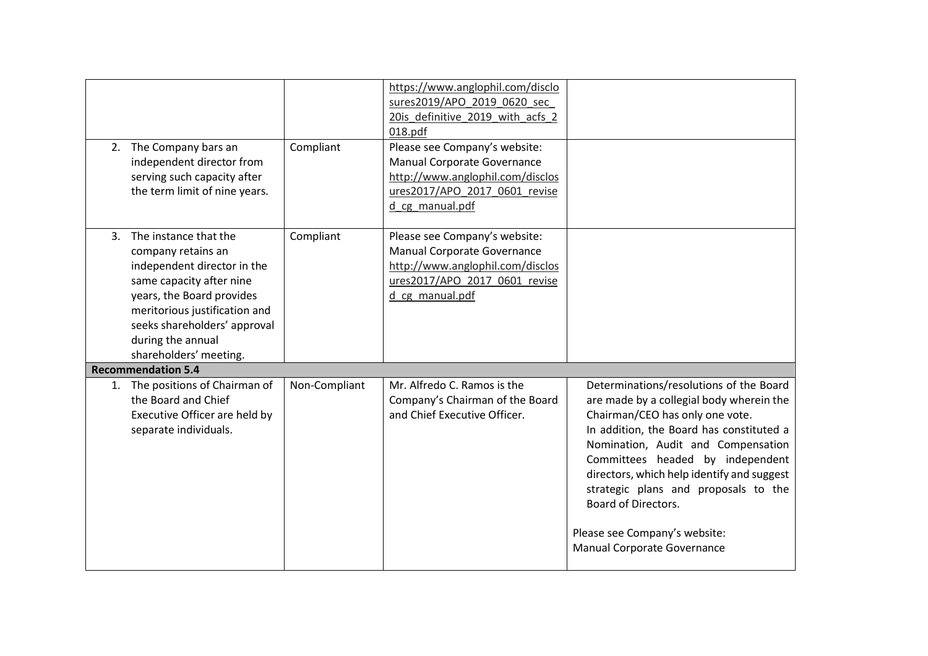| 2. The Company bars an<br>independent director from<br>serving such capacity after<br>the term limit of nine years.                                                                                                                                    | Compliant     | https://www.anglophil.com/disclo<br>sures2019/APO 2019 0620 sec<br>20is definitive 2019 with acfs 2<br>018.pdf<br>Please see Company's website:<br>Manual Corporate Governance<br>http://www.anglophil.com/disclos<br>ures2017/APO 2017 0601 revise<br>d cg manual.pdf |                                                                                                                                                                                                                                                                                                                                                                                                                           |
|--------------------------------------------------------------------------------------------------------------------------------------------------------------------------------------------------------------------------------------------------------|---------------|------------------------------------------------------------------------------------------------------------------------------------------------------------------------------------------------------------------------------------------------------------------------|---------------------------------------------------------------------------------------------------------------------------------------------------------------------------------------------------------------------------------------------------------------------------------------------------------------------------------------------------------------------------------------------------------------------------|
| 3. The instance that the<br>company retains an<br>independent director in the<br>same capacity after nine<br>years, the Board provides<br>meritorious justification and<br>seeks shareholders' approval<br>during the annual<br>shareholders' meeting. | Compliant     | Please see Company's website:<br>Manual Corporate Governance<br>http://www.anglophil.com/disclos<br>ures2017/APO 2017 0601 revise<br>d cg manual.pdf                                                                                                                   |                                                                                                                                                                                                                                                                                                                                                                                                                           |
| <b>Recommendation 5.4</b>                                                                                                                                                                                                                              |               |                                                                                                                                                                                                                                                                        |                                                                                                                                                                                                                                                                                                                                                                                                                           |
| 1. The positions of Chairman of<br>the Board and Chief<br>Executive Officer are held by<br>separate individuals.                                                                                                                                       | Non-Compliant | Mr. Alfredo C. Ramos is the<br>Company's Chairman of the Board<br>and Chief Executive Officer.                                                                                                                                                                         | Determinations/resolutions of the Board<br>are made by a collegial body wherein the<br>Chairman/CEO has only one vote.<br>In addition, the Board has constituted a<br>Nomination, Audit and Compensation<br>Committees headed by independent<br>directors, which help identify and suggest<br>strategic plans and proposals to the<br>Board of Directors.<br>Please see Company's website:<br>Manual Corporate Governance |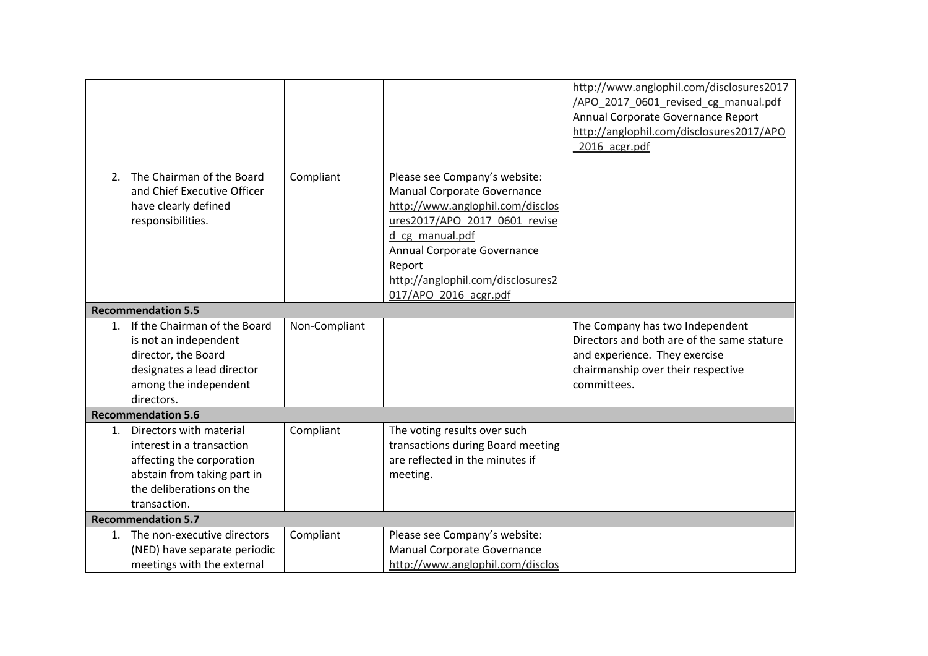|    |                                                                                                                                                              |               |                                                                                                                                                                                                                                                             | http://www.anglophil.com/disclosures2017<br>/APO 2017 0601 revised cg manual.pdf<br>Annual Corporate Governance Report<br>http://anglophil.com/disclosures2017/APO<br>2016 acgr.pdf |
|----|--------------------------------------------------------------------------------------------------------------------------------------------------------------|---------------|-------------------------------------------------------------------------------------------------------------------------------------------------------------------------------------------------------------------------------------------------------------|-------------------------------------------------------------------------------------------------------------------------------------------------------------------------------------|
| 2. | The Chairman of the Board<br>and Chief Executive Officer<br>have clearly defined<br>responsibilities.                                                        | Compliant     | Please see Company's website:<br>Manual Corporate Governance<br>http://www.anglophil.com/disclos<br>ures2017/APO 2017 0601 revise<br>d_cg_manual.pdf<br>Annual Corporate Governance<br>Report<br>http://anglophil.com/disclosures2<br>017/APO 2016 acgr.pdf |                                                                                                                                                                                     |
|    | <b>Recommendation 5.5</b>                                                                                                                                    |               |                                                                                                                                                                                                                                                             |                                                                                                                                                                                     |
|    | 1. If the Chairman of the Board<br>is not an independent<br>director, the Board<br>designates a lead director<br>among the independent<br>directors.         | Non-Compliant |                                                                                                                                                                                                                                                             | The Company has two Independent<br>Directors and both are of the same stature<br>and experience. They exercise<br>chairmanship over their respective<br>committees.                 |
|    | <b>Recommendation 5.6</b>                                                                                                                                    |               |                                                                                                                                                                                                                                                             |                                                                                                                                                                                     |
| 1. | Directors with material<br>interest in a transaction<br>affecting the corporation<br>abstain from taking part in<br>the deliberations on the<br>transaction. | Compliant     | The voting results over such<br>transactions during Board meeting<br>are reflected in the minutes if<br>meeting.                                                                                                                                            |                                                                                                                                                                                     |
|    | <b>Recommendation 5.7</b>                                                                                                                                    |               |                                                                                                                                                                                                                                                             |                                                                                                                                                                                     |
|    | 1. The non-executive directors<br>(NED) have separate periodic<br>meetings with the external                                                                 | Compliant     | Please see Company's website:<br>Manual Corporate Governance<br>http://www.anglophil.com/disclos                                                                                                                                                            |                                                                                                                                                                                     |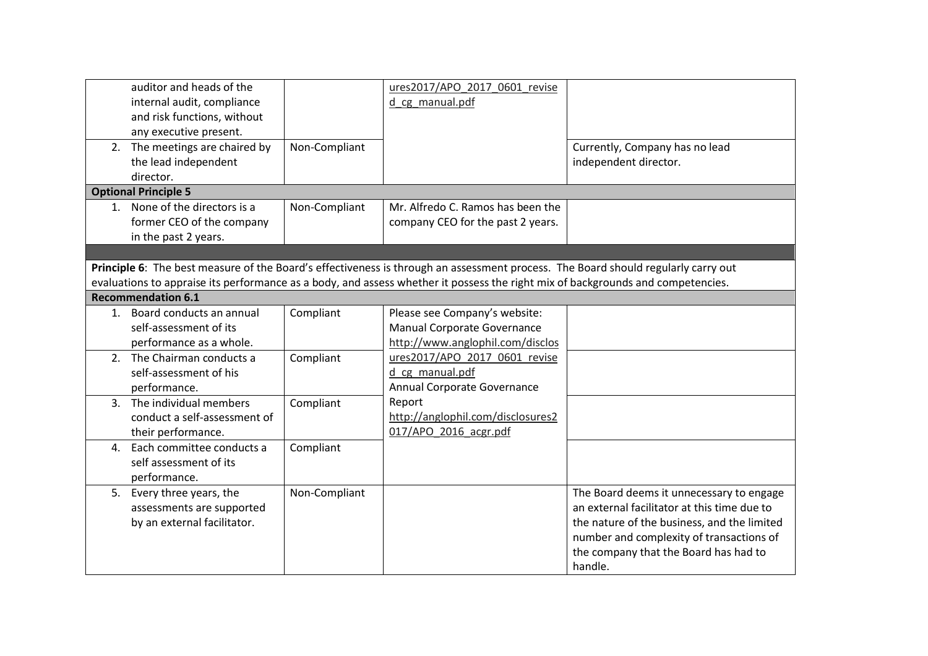| auditor and heads of the<br>internal audit, compliance<br>and risk functions, without |               | ures2017/APO 2017 0601 revise<br>d cg manual.pdf                                                                                  |                                             |
|---------------------------------------------------------------------------------------|---------------|-----------------------------------------------------------------------------------------------------------------------------------|---------------------------------------------|
| any executive present.                                                                |               |                                                                                                                                   |                                             |
| 2. The meetings are chaired by                                                        | Non-Compliant |                                                                                                                                   | Currently, Company has no lead              |
| the lead independent                                                                  |               |                                                                                                                                   | independent director.                       |
| director.                                                                             |               |                                                                                                                                   |                                             |
| <b>Optional Principle 5</b>                                                           |               |                                                                                                                                   |                                             |
| 1. None of the directors is a                                                         | Non-Compliant | Mr. Alfredo C. Ramos has been the                                                                                                 |                                             |
| former CEO of the company                                                             |               | company CEO for the past 2 years.                                                                                                 |                                             |
| in the past 2 years.                                                                  |               |                                                                                                                                   |                                             |
|                                                                                       |               |                                                                                                                                   |                                             |
|                                                                                       |               | Principle 6: The best measure of the Board's effectiveness is through an assessment process. The Board should regularly carry out |                                             |
|                                                                                       |               | evaluations to appraise its performance as a body, and assess whether it possess the right mix of backgrounds and competencies.   |                                             |
| <b>Recommendation 6.1</b>                                                             |               |                                                                                                                                   |                                             |
| 1. Board conducts an annual                                                           | Compliant     | Please see Company's website:                                                                                                     |                                             |
| self-assessment of its                                                                |               | Manual Corporate Governance                                                                                                       |                                             |
| performance as a whole.                                                               |               | http://www.anglophil.com/disclos                                                                                                  |                                             |
| 2. The Chairman conducts a                                                            | Compliant     | ures2017/APO 2017 0601 revise                                                                                                     |                                             |
| self-assessment of his                                                                |               | d cg manual.pdf                                                                                                                   |                                             |
| performance.                                                                          |               | Annual Corporate Governance                                                                                                       |                                             |
| 3. The individual members                                                             | Compliant     | Report                                                                                                                            |                                             |
| conduct a self-assessment of                                                          |               | http://anglophil.com/disclosures2                                                                                                 |                                             |
| their performance.                                                                    |               | 017/APO 2016 acgr.pdf                                                                                                             |                                             |
| 4. Each committee conducts a                                                          | Compliant     |                                                                                                                                   |                                             |
| self assessment of its                                                                |               |                                                                                                                                   |                                             |
| performance.                                                                          |               |                                                                                                                                   |                                             |
| 5. Every three years, the                                                             | Non-Compliant |                                                                                                                                   | The Board deems it unnecessary to engage    |
| assessments are supported                                                             |               |                                                                                                                                   | an external facilitator at this time due to |
| by an external facilitator.                                                           |               |                                                                                                                                   | the nature of the business, and the limited |
|                                                                                       |               |                                                                                                                                   | number and complexity of transactions of    |
|                                                                                       |               |                                                                                                                                   | the company that the Board has had to       |
|                                                                                       |               |                                                                                                                                   | handle.                                     |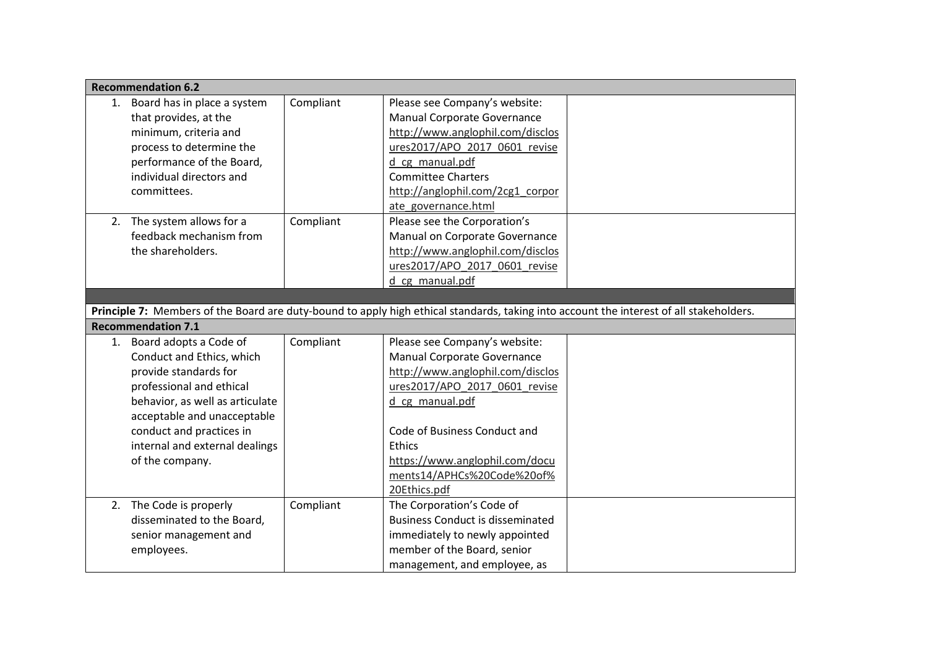|    | <b>Recommendation 6.2</b>                                                                                                                                                                                                                                      |           |                                                                                                                                                                                                                                                                                       |                                                                                                                                         |
|----|----------------------------------------------------------------------------------------------------------------------------------------------------------------------------------------------------------------------------------------------------------------|-----------|---------------------------------------------------------------------------------------------------------------------------------------------------------------------------------------------------------------------------------------------------------------------------------------|-----------------------------------------------------------------------------------------------------------------------------------------|
| 1. | Board has in place a system<br>that provides, at the<br>minimum, criteria and<br>process to determine the<br>performance of the Board,<br>individual directors and<br>committees.                                                                              | Compliant | Please see Company's website:<br><b>Manual Corporate Governance</b><br>http://www.anglophil.com/disclos<br>ures2017/APO 2017 0601 revise<br>d_cg_manual.pdf<br><b>Committee Charters</b><br>http://anglophil.com/2cg1 corpor<br>ate governance.html                                   |                                                                                                                                         |
|    | 2. The system allows for a<br>feedback mechanism from<br>the shareholders.                                                                                                                                                                                     | Compliant | Please see the Corporation's<br>Manual on Corporate Governance<br>http://www.anglophil.com/disclos<br>ures2017/APO_2017_0601_revise<br>d cg manual.pdf                                                                                                                                |                                                                                                                                         |
|    |                                                                                                                                                                                                                                                                |           |                                                                                                                                                                                                                                                                                       |                                                                                                                                         |
|    |                                                                                                                                                                                                                                                                |           |                                                                                                                                                                                                                                                                                       | Principle 7: Members of the Board are duty-bound to apply high ethical standards, taking into account the interest of all stakeholders. |
|    | <b>Recommendation 7.1</b>                                                                                                                                                                                                                                      |           |                                                                                                                                                                                                                                                                                       |                                                                                                                                         |
|    | 1. Board adopts a Code of<br>Conduct and Ethics, which<br>provide standards for<br>professional and ethical<br>behavior, as well as articulate<br>acceptable and unacceptable<br>conduct and practices in<br>internal and external dealings<br>of the company. | Compliant | Please see Company's website:<br><b>Manual Corporate Governance</b><br>http://www.anglophil.com/disclos<br>ures2017/APO 2017 0601 revise<br>d cg manual.pdf<br>Code of Business Conduct and<br>Ethics<br>https://www.anglophil.com/docu<br>ments14/APHCs%20Code%20of%<br>20Ethics.pdf |                                                                                                                                         |
|    | 2. The Code is properly<br>disseminated to the Board,<br>senior management and<br>employees.                                                                                                                                                                   | Compliant | The Corporation's Code of<br><b>Business Conduct is disseminated</b><br>immediately to newly appointed<br>member of the Board, senior<br>management, and employee, as                                                                                                                 |                                                                                                                                         |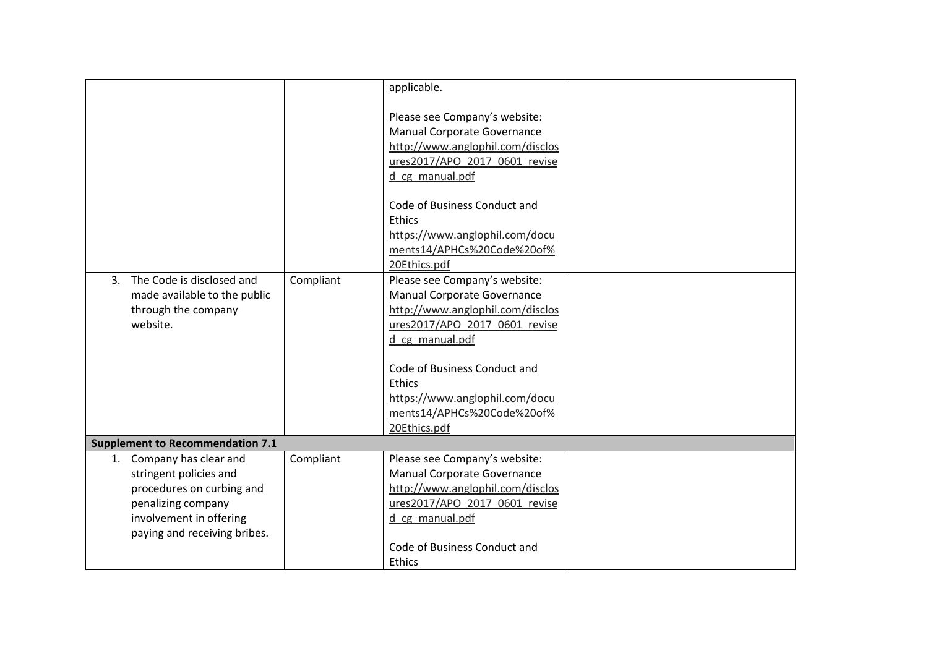|                                             |           | applicable.                      |  |
|---------------------------------------------|-----------|----------------------------------|--|
|                                             |           |                                  |  |
|                                             |           |                                  |  |
|                                             |           | Please see Company's website:    |  |
|                                             |           | Manual Corporate Governance      |  |
|                                             |           | http://www.anglophil.com/disclos |  |
|                                             |           | ures2017/APO 2017 0601 revise    |  |
|                                             |           | d cg_manual.pdf                  |  |
|                                             |           | Code of Business Conduct and     |  |
|                                             |           | Ethics                           |  |
|                                             |           | https://www.anglophil.com/docu   |  |
|                                             |           | ments14/APHCs%20Code%20of%       |  |
|                                             |           | 20Ethics.pdf                     |  |
| The Code is disclosed and<br>$\mathbf{3}$ . | Compliant | Please see Company's website:    |  |
| made available to the public                |           | Manual Corporate Governance      |  |
| through the company                         |           | http://www.anglophil.com/disclos |  |
| website.                                    |           | ures2017/APO 2017 0601 revise    |  |
|                                             |           | d cg_manual.pdf                  |  |
|                                             |           |                                  |  |
|                                             |           | Code of Business Conduct and     |  |
|                                             |           | Ethics                           |  |
|                                             |           | https://www.anglophil.com/docu   |  |
|                                             |           | ments14/APHCs%20Code%20of%       |  |
|                                             |           | 20Ethics.pdf                     |  |
| <b>Supplement to Recommendation 7.1</b>     |           |                                  |  |
| 1. Company has clear and                    | Compliant | Please see Company's website:    |  |
| stringent policies and                      |           | Manual Corporate Governance      |  |
| procedures on curbing and                   |           | http://www.anglophil.com/disclos |  |
| penalizing company                          |           | ures2017/APO 2017 0601 revise    |  |
| involvement in offering                     |           | d cg manual.pdf                  |  |
| paying and receiving bribes.                |           |                                  |  |
|                                             |           | Code of Business Conduct and     |  |
|                                             |           | Ethics                           |  |
|                                             |           |                                  |  |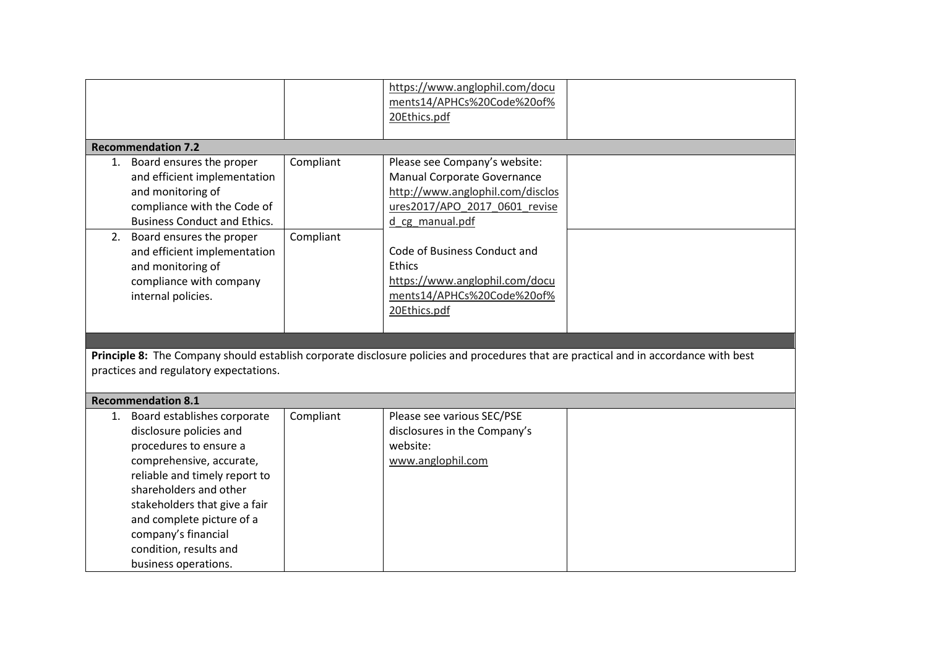|                                                                                                                                                                                                                                                                                             |                        | https://www.anglophil.com/docu<br>ments14/APHCs%20Code%20of%<br>20Ethics.pdf                                                                                                                                                                                   |  |
|---------------------------------------------------------------------------------------------------------------------------------------------------------------------------------------------------------------------------------------------------------------------------------------------|------------------------|----------------------------------------------------------------------------------------------------------------------------------------------------------------------------------------------------------------------------------------------------------------|--|
| <b>Recommendation 7.2</b>                                                                                                                                                                                                                                                                   |                        |                                                                                                                                                                                                                                                                |  |
| 1. Board ensures the proper<br>and efficient implementation<br>and monitoring of<br>compliance with the Code of<br><b>Business Conduct and Ethics.</b><br>2. Board ensures the proper<br>and efficient implementation<br>and monitoring of<br>compliance with company<br>internal policies. | Compliant<br>Compliant | Please see Company's website:<br>Manual Corporate Governance<br>http://www.anglophil.com/disclos<br>ures2017/APO 2017 0601 revise<br>d cg manual.pdf<br>Code of Business Conduct and<br>Ethics<br>https://www.anglophil.com/docu<br>ments14/APHCs%20Code%20of% |  |
|                                                                                                                                                                                                                                                                                             |                        | 20Ethics.pdf                                                                                                                                                                                                                                                   |  |
|                                                                                                                                                                                                                                                                                             |                        |                                                                                                                                                                                                                                                                |  |
| Principle 8: The Company should establish corporate disclosure policies and procedures that are practical and in accordance with best<br>practices and regulatory expectations.                                                                                                             |                        |                                                                                                                                                                                                                                                                |  |
| <b>Recommendation 8.1</b>                                                                                                                                                                                                                                                                   |                        |                                                                                                                                                                                                                                                                |  |
| 1. Board establishes corporate<br>disclosure policies and<br>procedures to ensure a<br>comprehensive, accurate,                                                                                                                                                                             | Compliant              | Please see various SEC/PSE<br>disclosures in the Company's<br>website:<br>www.anglophil.com                                                                                                                                                                    |  |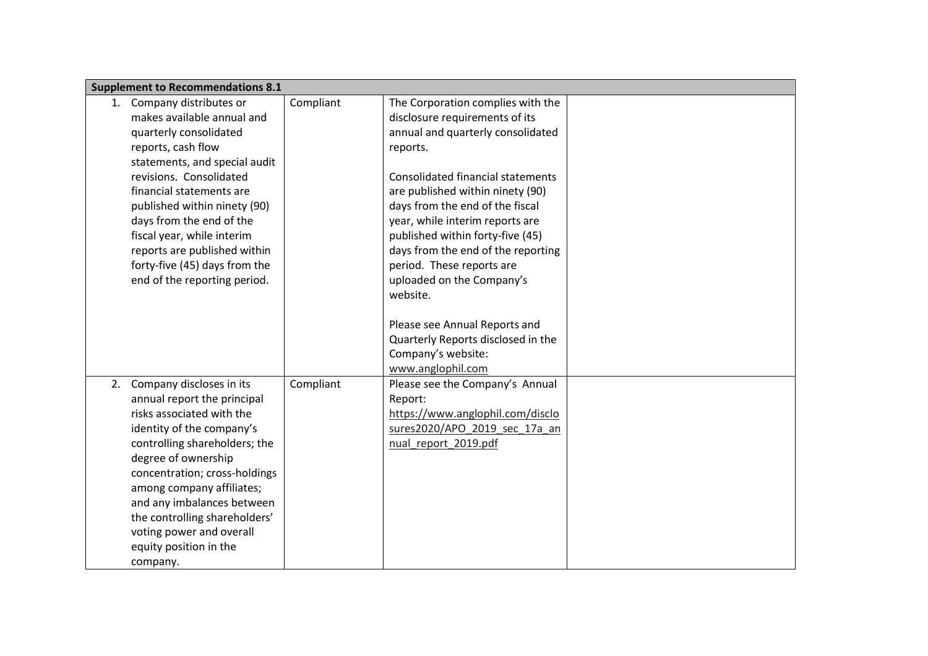|    | <b>Supplement to Recommendations 8.1</b> |           |                                          |  |
|----|------------------------------------------|-----------|------------------------------------------|--|
|    | 1. Company distributes or                | Compliant | The Corporation complies with the        |  |
|    | makes available annual and               |           | disclosure requirements of its           |  |
|    | quarterly consolidated                   |           | annual and quarterly consolidated        |  |
|    | reports, cash flow                       |           | reports.                                 |  |
|    | statements, and special audit            |           |                                          |  |
|    | revisions. Consolidated                  |           | <b>Consolidated financial statements</b> |  |
|    | financial statements are                 |           | are published within ninety (90)         |  |
|    | published within ninety (90)             |           | days from the end of the fiscal          |  |
|    | days from the end of the                 |           | year, while interim reports are          |  |
|    | fiscal year, while interim               |           | published within forty-five (45)         |  |
|    | reports are published within             |           | days from the end of the reporting       |  |
|    | forty-five (45) days from the            |           | period. These reports are                |  |
|    | end of the reporting period.             |           | uploaded on the Company's                |  |
|    |                                          |           | website.                                 |  |
|    |                                          |           |                                          |  |
|    |                                          |           | Please see Annual Reports and            |  |
|    |                                          |           | Quarterly Reports disclosed in the       |  |
|    |                                          |           | Company's website:                       |  |
|    |                                          |           | www.anglophil.com                        |  |
| 2. | Company discloses in its                 | Compliant | Please see the Company's Annual          |  |
|    | annual report the principal              |           | Report:                                  |  |
|    | risks associated with the                |           | https://www.anglophil.com/disclo         |  |
|    | identity of the company's                |           | sures2020/APO_2019_sec_17a_an            |  |
|    | controlling shareholders; the            |           | nual report 2019.pdf                     |  |
|    | degree of ownership                      |           |                                          |  |
|    | concentration; cross-holdings            |           |                                          |  |
|    | among company affiliates;                |           |                                          |  |
|    | and any imbalances between               |           |                                          |  |
|    | the controlling shareholders'            |           |                                          |  |
|    | voting power and overall                 |           |                                          |  |
|    | equity position in the                   |           |                                          |  |
|    | company.                                 |           |                                          |  |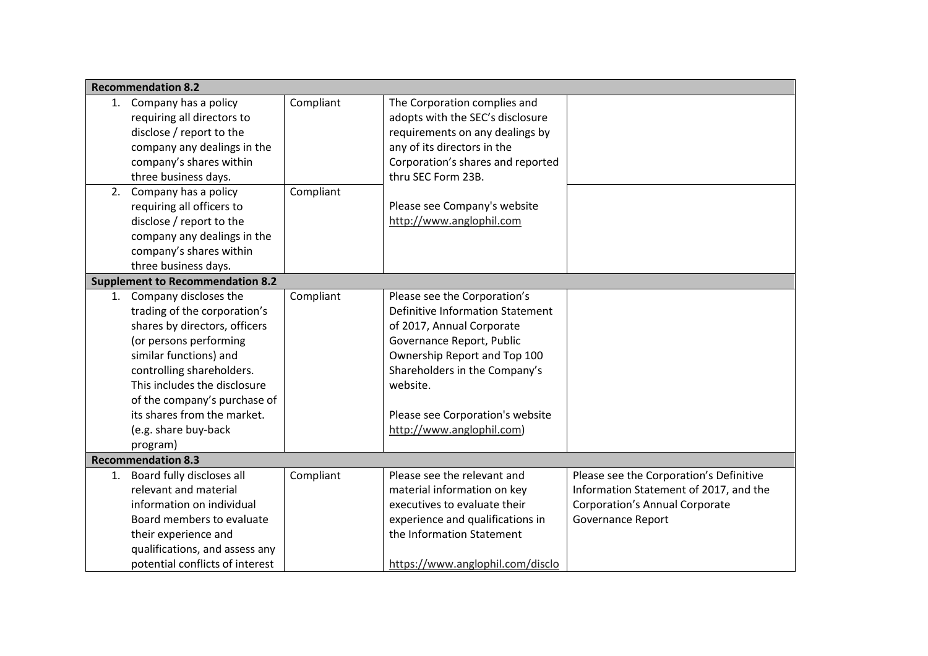| <b>Recommendation 8.2</b>               |           |                                         |                                         |
|-----------------------------------------|-----------|-----------------------------------------|-----------------------------------------|
| 1. Company has a policy                 | Compliant | The Corporation complies and            |                                         |
| requiring all directors to              |           | adopts with the SEC's disclosure        |                                         |
| disclose / report to the                |           | requirements on any dealings by         |                                         |
| company any dealings in the             |           | any of its directors in the             |                                         |
| company's shares within                 |           | Corporation's shares and reported       |                                         |
| three business days.                    |           | thru SEC Form 23B.                      |                                         |
| 2. Company has a policy                 | Compliant |                                         |                                         |
| requiring all officers to               |           | Please see Company's website            |                                         |
| disclose / report to the                |           | http://www.anglophil.com                |                                         |
| company any dealings in the             |           |                                         |                                         |
| company's shares within                 |           |                                         |                                         |
| three business days.                    |           |                                         |                                         |
| <b>Supplement to Recommendation 8.2</b> |           |                                         |                                         |
| 1. Company discloses the                | Compliant | Please see the Corporation's            |                                         |
| trading of the corporation's            |           | <b>Definitive Information Statement</b> |                                         |
| shares by directors, officers           |           | of 2017, Annual Corporate               |                                         |
| (or persons performing                  |           | Governance Report, Public               |                                         |
| similar functions) and                  |           | Ownership Report and Top 100            |                                         |
| controlling shareholders.               |           | Shareholders in the Company's           |                                         |
| This includes the disclosure            |           | website.                                |                                         |
| of the company's purchase of            |           |                                         |                                         |
| its shares from the market.             |           | Please see Corporation's website        |                                         |
| (e.g. share buy-back                    |           | http://www.anglophil.com)               |                                         |
| program)                                |           |                                         |                                         |
| <b>Recommendation 8.3</b>               |           |                                         |                                         |
| 1. Board fully discloses all            | Compliant | Please see the relevant and             | Please see the Corporation's Definitive |
| relevant and material                   |           | material information on key             | Information Statement of 2017, and the  |
| information on individual               |           | executives to evaluate their            | <b>Corporation's Annual Corporate</b>   |
| Board members to evaluate               |           | experience and qualifications in        | Governance Report                       |
| their experience and                    |           | the Information Statement               |                                         |
| qualifications, and assess any          |           |                                         |                                         |
| potential conflicts of interest         |           | https://www.anglophil.com/disclo        |                                         |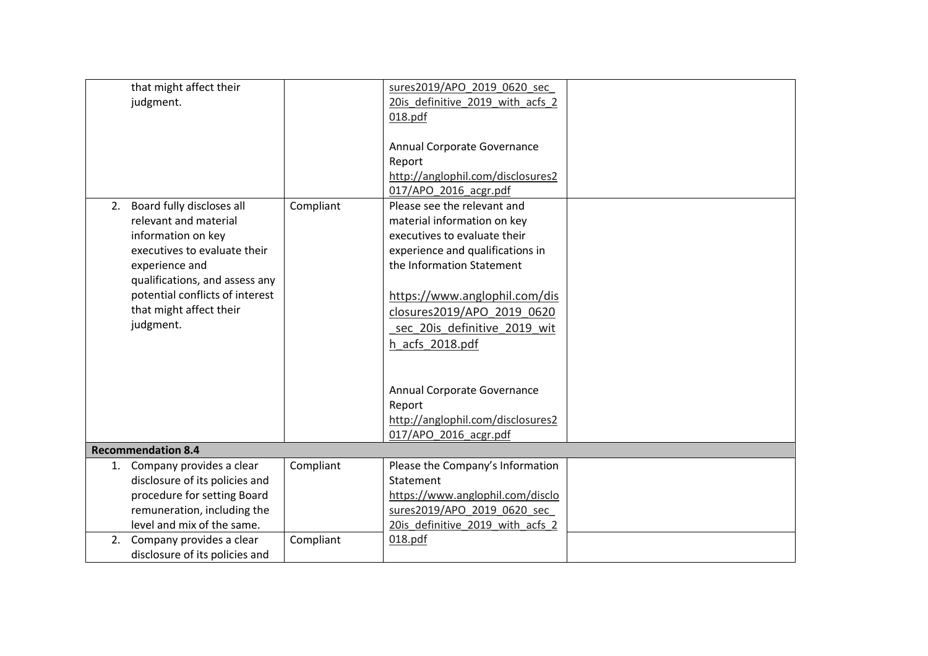| that might affect their<br>judgment.                                                                                                                                                                                                       |           | sures2019/APO 2019 0620 sec<br>20is definitive 2019 with acfs 2<br>018.pdf<br>Annual Corporate Governance<br>Report<br>http://anglophil.com/disclosures2                                                                                                                      |  |
|--------------------------------------------------------------------------------------------------------------------------------------------------------------------------------------------------------------------------------------------|-----------|-------------------------------------------------------------------------------------------------------------------------------------------------------------------------------------------------------------------------------------------------------------------------------|--|
|                                                                                                                                                                                                                                            |           | 017/APO 2016 acgr.pdf                                                                                                                                                                                                                                                         |  |
| 2. Board fully discloses all<br>relevant and material<br>information on key<br>executives to evaluate their<br>experience and<br>qualifications, and assess any<br>potential conflicts of interest<br>that might affect their<br>judgment. | Compliant | Please see the relevant and<br>material information on key<br>executives to evaluate their<br>experience and qualifications in<br>the Information Statement<br>https://www.anglophil.com/dis<br>closures2019/APO 2019 0620<br>sec 20is definitive 2019 wit<br>h acfs 2018.pdf |  |
|                                                                                                                                                                                                                                            |           | Annual Corporate Governance<br>Report<br>http://anglophil.com/disclosures2<br>017/APO_2016_acgr.pdf                                                                                                                                                                           |  |
| <b>Recommendation 8.4</b>                                                                                                                                                                                                                  |           |                                                                                                                                                                                                                                                                               |  |
| 1. Company provides a clear<br>disclosure of its policies and<br>procedure for setting Board<br>remuneration, including the<br>level and mix of the same.                                                                                  | Compliant | Please the Company's Information<br>Statement<br>https://www.anglophil.com/disclo<br>sures2019/APO 2019 0620 sec<br>20is definitive 2019 with acfs 2                                                                                                                          |  |
| Company provides a clear<br>2.<br>disclosure of its policies and                                                                                                                                                                           | Compliant | 018.pdf                                                                                                                                                                                                                                                                       |  |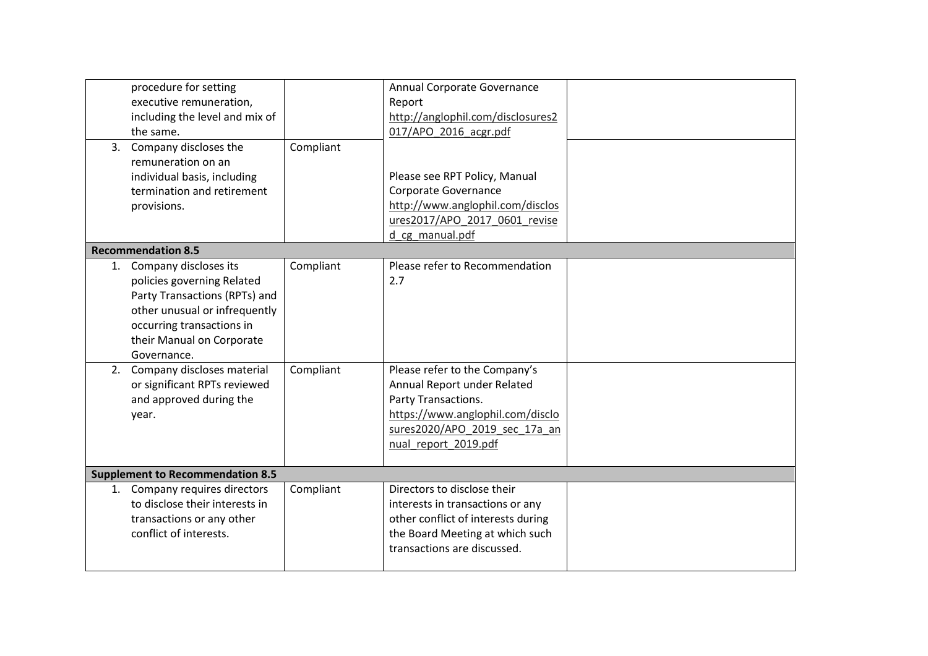|    | procedure for setting<br>executive remuneration,<br>including the level and mix of<br>the same.<br>3. Company discloses the<br>remuneration on an<br>individual basis, including<br>termination and retirement<br>provisions.                                                                       | Compliant              | Annual Corporate Governance<br>Report<br>http://anglophil.com/disclosures2<br>017/APO 2016 acgr.pdf<br>Please see RPT Policy, Manual<br>Corporate Governance<br>http://www.anglophil.com/disclos<br>ures2017/APO 2017 0601 revise<br>d cg manual.pdf |  |
|----|-----------------------------------------------------------------------------------------------------------------------------------------------------------------------------------------------------------------------------------------------------------------------------------------------------|------------------------|------------------------------------------------------------------------------------------------------------------------------------------------------------------------------------------------------------------------------------------------------|--|
|    | <b>Recommendation 8.5</b>                                                                                                                                                                                                                                                                           |                        |                                                                                                                                                                                                                                                      |  |
| 1. | Company discloses its<br>policies governing Related<br>Party Transactions (RPTs) and<br>other unusual or infrequently<br>occurring transactions in<br>their Manual on Corporate<br>Governance.<br>2. Company discloses material<br>or significant RPTs reviewed<br>and approved during the<br>year. | Compliant<br>Compliant | Please refer to Recommendation<br>2.7<br>Please refer to the Company's<br>Annual Report under Related<br>Party Transactions.<br>https://www.anglophil.com/disclo<br>sures2020/APO 2019 sec 17a an<br>nual report 2019.pdf                            |  |
|    | <b>Supplement to Recommendation 8.5</b>                                                                                                                                                                                                                                                             |                        |                                                                                                                                                                                                                                                      |  |
|    | 1. Company requires directors<br>to disclose their interests in<br>transactions or any other<br>conflict of interests.                                                                                                                                                                              | Compliant              | Directors to disclose their<br>interests in transactions or any<br>other conflict of interests during<br>the Board Meeting at which such<br>transactions are discussed.                                                                              |  |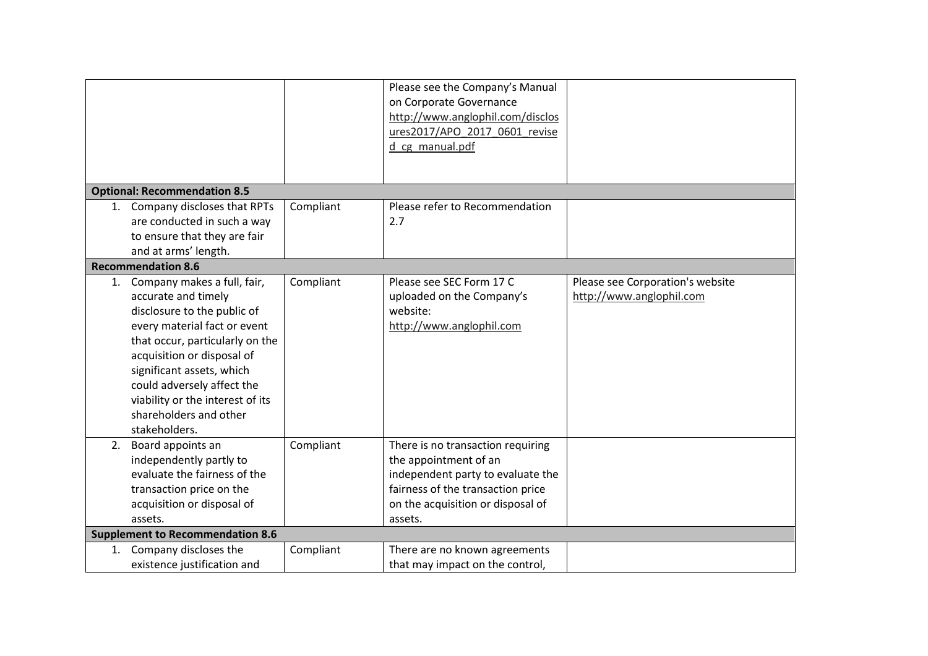|                                                                                                                                                                                                                                                                                                                                 |           | Please see the Company's Manual<br>on Corporate Governance<br>http://www.anglophil.com/disclos<br>ures2017/APO_2017_0601_revise                                                      |                                                              |
|---------------------------------------------------------------------------------------------------------------------------------------------------------------------------------------------------------------------------------------------------------------------------------------------------------------------------------|-----------|--------------------------------------------------------------------------------------------------------------------------------------------------------------------------------------|--------------------------------------------------------------|
|                                                                                                                                                                                                                                                                                                                                 |           | d cg manual.pdf                                                                                                                                                                      |                                                              |
|                                                                                                                                                                                                                                                                                                                                 |           |                                                                                                                                                                                      |                                                              |
| <b>Optional: Recommendation 8.5</b>                                                                                                                                                                                                                                                                                             |           |                                                                                                                                                                                      |                                                              |
| 1. Company discloses that RPTs                                                                                                                                                                                                                                                                                                  | Compliant | Please refer to Recommendation                                                                                                                                                       |                                                              |
| are conducted in such a way                                                                                                                                                                                                                                                                                                     |           | 2.7                                                                                                                                                                                  |                                                              |
| to ensure that they are fair                                                                                                                                                                                                                                                                                                    |           |                                                                                                                                                                                      |                                                              |
| and at arms' length.                                                                                                                                                                                                                                                                                                            |           |                                                                                                                                                                                      |                                                              |
| <b>Recommendation 8.6</b>                                                                                                                                                                                                                                                                                                       |           |                                                                                                                                                                                      |                                                              |
| 1. Company makes a full, fair,<br>accurate and timely<br>disclosure to the public of<br>every material fact or event<br>that occur, particularly on the<br>acquisition or disposal of<br>significant assets, which<br>could adversely affect the<br>viability or the interest of its<br>shareholders and other<br>stakeholders. | Compliant | Please see SEC Form 17 C<br>uploaded on the Company's<br>website:<br>http://www.anglophil.com                                                                                        | Please see Corporation's website<br>http://www.anglophil.com |
| 2. Board appoints an<br>independently partly to<br>evaluate the fairness of the<br>transaction price on the<br>acquisition or disposal of<br>assets.<br><b>Supplement to Recommendation 8.6</b>                                                                                                                                 | Compliant | There is no transaction requiring<br>the appointment of an<br>independent party to evaluate the<br>fairness of the transaction price<br>on the acquisition or disposal of<br>assets. |                                                              |
|                                                                                                                                                                                                                                                                                                                                 |           |                                                                                                                                                                                      |                                                              |
| 1. Company discloses the<br>existence justification and                                                                                                                                                                                                                                                                         | Compliant | There are no known agreements                                                                                                                                                        |                                                              |
|                                                                                                                                                                                                                                                                                                                                 |           | that may impact on the control,                                                                                                                                                      |                                                              |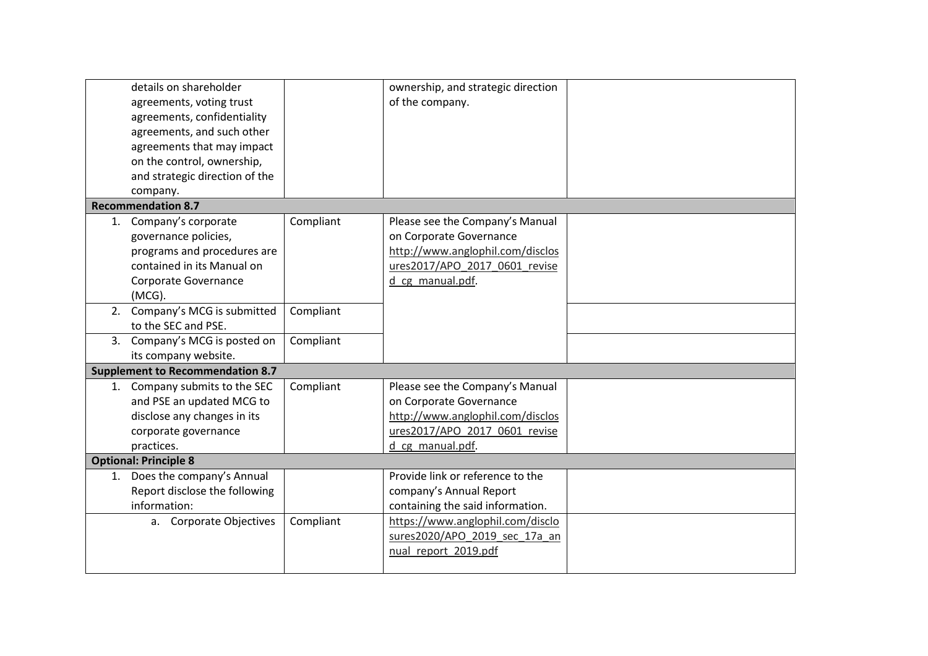| details on shareholder<br>agreements, voting trust<br>agreements, confidentiality<br>agreements, and such other<br>agreements that may impact<br>on the control, ownership,<br>and strategic direction of the |           | ownership, and strategic direction<br>of the company.                                                                                               |  |
|---------------------------------------------------------------------------------------------------------------------------------------------------------------------------------------------------------------|-----------|-----------------------------------------------------------------------------------------------------------------------------------------------------|--|
| company.                                                                                                                                                                                                      |           |                                                                                                                                                     |  |
| <b>Recommendation 8.7</b>                                                                                                                                                                                     |           |                                                                                                                                                     |  |
| 1. Company's corporate<br>governance policies,<br>programs and procedures are<br>contained in its Manual on<br>Corporate Governance<br>(MCG).                                                                 | Compliant | Please see the Company's Manual<br>on Corporate Governance<br>http://www.anglophil.com/disclos<br>ures2017/APO 2017 0601 revise<br>d cg manual.pdf. |  |
| 2. Company's MCG is submitted<br>to the SEC and PSE.                                                                                                                                                          | Compliant |                                                                                                                                                     |  |
| 3. Company's MCG is posted on<br>its company website.                                                                                                                                                         | Compliant |                                                                                                                                                     |  |
| <b>Supplement to Recommendation 8.7</b>                                                                                                                                                                       |           |                                                                                                                                                     |  |
| 1. Company submits to the SEC<br>and PSE an updated MCG to<br>disclose any changes in its<br>corporate governance<br>practices.                                                                               | Compliant | Please see the Company's Manual<br>on Corporate Governance<br>http://www.anglophil.com/disclos<br>ures2017/APO 2017 0601 revise<br>d cg manual.pdf. |  |
| <b>Optional: Principle 8</b>                                                                                                                                                                                  |           |                                                                                                                                                     |  |
| 1. Does the company's Annual<br>Report disclose the following<br>information:<br>a. Corporate Objectives                                                                                                      | Compliant | Provide link or reference to the<br>company's Annual Report<br>containing the said information.<br>https://www.anglophil.com/disclo                 |  |
|                                                                                                                                                                                                               |           | sures2020/APO 2019 sec 17a an<br>nual report 2019.pdf                                                                                               |  |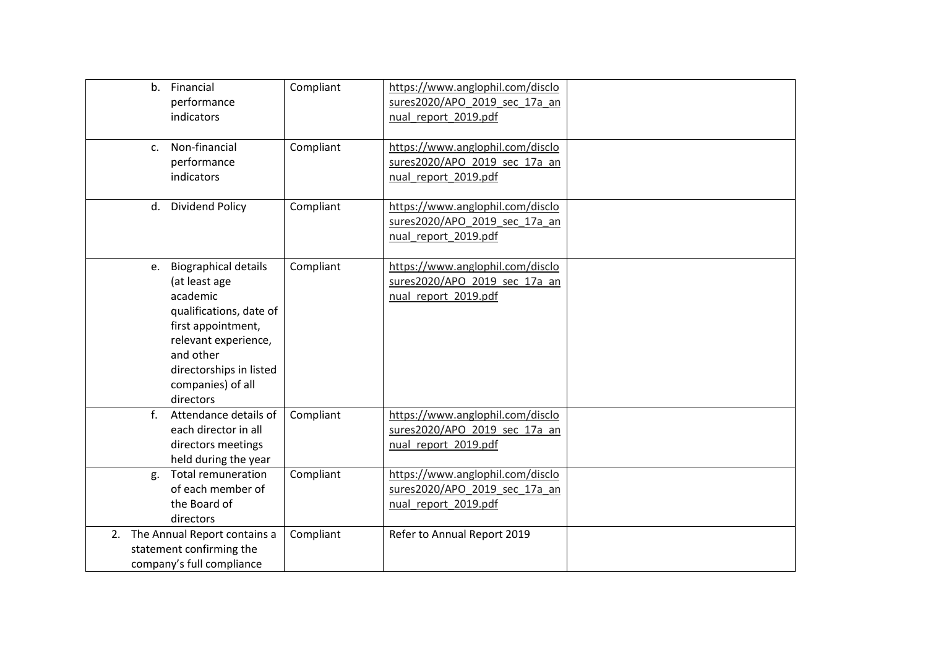| b. Financial<br>performance<br>indicators                                                                                                                                                               | Compliant | https://www.anglophil.com/disclo<br>sures2020/APO 2019 sec 17a an<br>nual report 2019.pdf |  |
|---------------------------------------------------------------------------------------------------------------------------------------------------------------------------------------------------------|-----------|-------------------------------------------------------------------------------------------|--|
| Non-financial<br>$C_{\star}$<br>performance<br>indicators                                                                                                                                               | Compliant | https://www.anglophil.com/disclo<br>sures2020/APO_2019_sec_17a_an<br>nual report 2019.pdf |  |
| d. Dividend Policy                                                                                                                                                                                      | Compliant | https://www.anglophil.com/disclo<br>sures2020/APO 2019 sec 17a an<br>nual report 2019.pdf |  |
| e. Biographical details<br>(at least age<br>academic<br>qualifications, date of<br>first appointment,<br>relevant experience,<br>and other<br>directorships in listed<br>companies) of all<br>directors | Compliant | https://www.anglophil.com/disclo<br>sures2020/APO 2019 sec 17a an<br>nual_report_2019.pdf |  |
| $f_{\cdot}$<br>Attendance details of<br>each director in all<br>directors meetings<br>held during the year                                                                                              | Compliant | https://www.anglophil.com/disclo<br>sures2020/APO 2019 sec 17a an<br>nual report 2019.pdf |  |
| <b>Total remuneration</b><br>g.<br>of each member of<br>the Board of<br>directors                                                                                                                       | Compliant | https://www.anglophil.com/disclo<br>sures2020/APO 2019 sec 17a an<br>nual report 2019.pdf |  |
| 2. The Annual Report contains a<br>statement confirming the<br>company's full compliance                                                                                                                | Compliant | Refer to Annual Report 2019                                                               |  |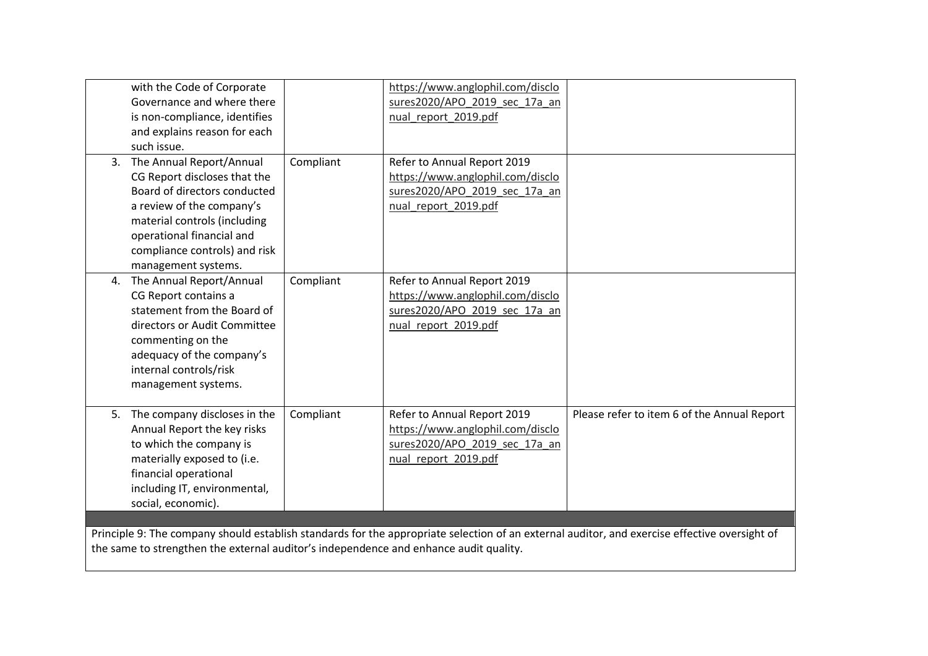|                                                                                       | with the Code of Corporate      |           | https://www.anglophil.com/disclo |                                                                                                                                               |
|---------------------------------------------------------------------------------------|---------------------------------|-----------|----------------------------------|-----------------------------------------------------------------------------------------------------------------------------------------------|
|                                                                                       | Governance and where there      |           | sures2020/APO 2019 sec 17a an    |                                                                                                                                               |
|                                                                                       | is non-compliance, identifies   |           | nual report 2019.pdf             |                                                                                                                                               |
|                                                                                       | and explains reason for each    |           |                                  |                                                                                                                                               |
|                                                                                       | such issue.                     |           |                                  |                                                                                                                                               |
|                                                                                       | 3. The Annual Report/Annual     | Compliant | Refer to Annual Report 2019      |                                                                                                                                               |
|                                                                                       | CG Report discloses that the    |           | https://www.anglophil.com/disclo |                                                                                                                                               |
|                                                                                       | Board of directors conducted    |           | sures2020/APO 2019 sec 17a an    |                                                                                                                                               |
|                                                                                       | a review of the company's       |           | nual report 2019.pdf             |                                                                                                                                               |
|                                                                                       | material controls (including    |           |                                  |                                                                                                                                               |
|                                                                                       | operational financial and       |           |                                  |                                                                                                                                               |
|                                                                                       | compliance controls) and risk   |           |                                  |                                                                                                                                               |
|                                                                                       | management systems.             |           |                                  |                                                                                                                                               |
|                                                                                       | 4. The Annual Report/Annual     | Compliant | Refer to Annual Report 2019      |                                                                                                                                               |
|                                                                                       | CG Report contains a            |           | https://www.anglophil.com/disclo |                                                                                                                                               |
|                                                                                       | statement from the Board of     |           | sures2020/APO 2019 sec 17a an    |                                                                                                                                               |
|                                                                                       | directors or Audit Committee    |           | nual report 2019.pdf             |                                                                                                                                               |
|                                                                                       | commenting on the               |           |                                  |                                                                                                                                               |
|                                                                                       | adequacy of the company's       |           |                                  |                                                                                                                                               |
|                                                                                       | internal controls/risk          |           |                                  |                                                                                                                                               |
|                                                                                       | management systems.             |           |                                  |                                                                                                                                               |
|                                                                                       |                                 |           |                                  |                                                                                                                                               |
|                                                                                       | 5. The company discloses in the | Compliant | Refer to Annual Report 2019      | Please refer to item 6 of the Annual Report                                                                                                   |
|                                                                                       | Annual Report the key risks     |           | https://www.anglophil.com/disclo |                                                                                                                                               |
|                                                                                       | to which the company is         |           | sures2020/APO 2019 sec 17a an    |                                                                                                                                               |
|                                                                                       | materially exposed to (i.e.     |           | nual_report_2019.pdf             |                                                                                                                                               |
|                                                                                       | financial operational           |           |                                  |                                                                                                                                               |
|                                                                                       | including IT, environmental,    |           |                                  |                                                                                                                                               |
|                                                                                       | social, economic).              |           |                                  |                                                                                                                                               |
|                                                                                       |                                 |           |                                  |                                                                                                                                               |
|                                                                                       |                                 |           |                                  | Principle 9: The company should establish standards for the appropriate selection of an external auditor, and exercise effective oversight of |
|                                                                                       |                                 |           |                                  |                                                                                                                                               |
| the same to strengthen the external auditor's independence and enhance audit quality. |                                 |           |                                  |                                                                                                                                               |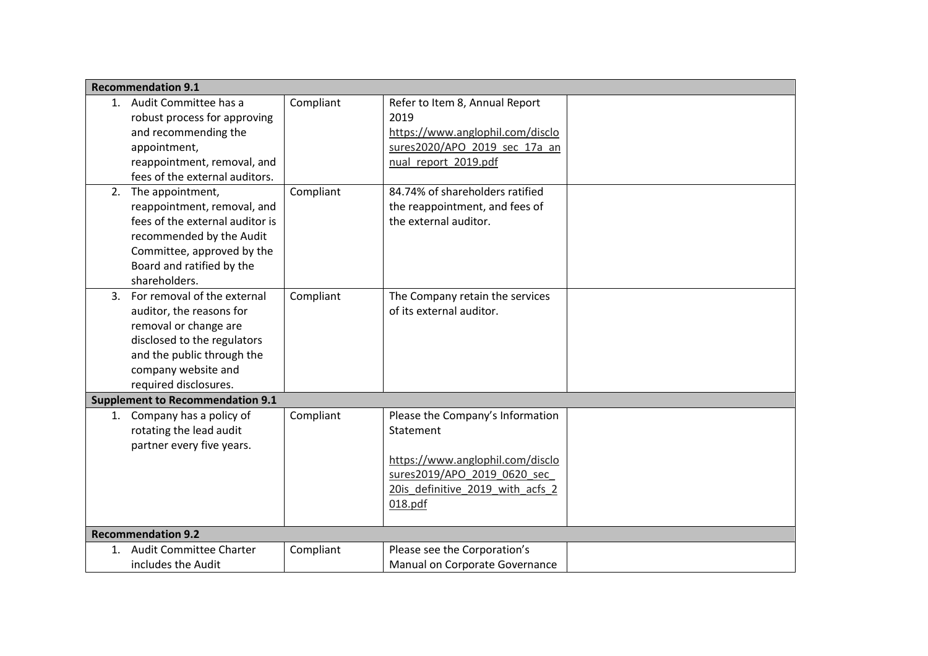|    | <b>Recommendation 9.1</b>               |           |                                  |  |
|----|-----------------------------------------|-----------|----------------------------------|--|
|    | 1. Audit Committee has a                | Compliant | Refer to Item 8, Annual Report   |  |
|    | robust process for approving            |           | 2019                             |  |
|    | and recommending the                    |           | https://www.anglophil.com/disclo |  |
|    | appointment,                            |           | sures2020/APO 2019 sec 17a an    |  |
|    | reappointment, removal, and             |           | nual_report_2019.pdf             |  |
|    | fees of the external auditors.          |           |                                  |  |
| 2. | The appointment,                        | Compliant | 84.74% of shareholders ratified  |  |
|    | reappointment, removal, and             |           | the reappointment, and fees of   |  |
|    | fees of the external auditor is         |           | the external auditor.            |  |
|    | recommended by the Audit                |           |                                  |  |
|    | Committee, approved by the              |           |                                  |  |
|    | Board and ratified by the               |           |                                  |  |
|    | shareholders.                           |           |                                  |  |
|    | 3. For removal of the external          | Compliant | The Company retain the services  |  |
|    | auditor, the reasons for                |           | of its external auditor.         |  |
|    | removal or change are                   |           |                                  |  |
|    | disclosed to the regulators             |           |                                  |  |
|    | and the public through the              |           |                                  |  |
|    | company website and                     |           |                                  |  |
|    | required disclosures.                   |           |                                  |  |
|    | <b>Supplement to Recommendation 9.1</b> |           |                                  |  |
|    | 1. Company has a policy of              | Compliant | Please the Company's Information |  |
|    | rotating the lead audit                 |           | Statement                        |  |
|    | partner every five years.               |           |                                  |  |
|    |                                         |           | https://www.anglophil.com/disclo |  |
|    |                                         |           | sures2019/APO 2019 0620 sec      |  |
|    |                                         |           | 20is definitive 2019 with acfs 2 |  |
|    |                                         |           | 018.pdf                          |  |
|    |                                         |           |                                  |  |
|    | <b>Recommendation 9.2</b>               |           |                                  |  |
| 1. | <b>Audit Committee Charter</b>          | Compliant | Please see the Corporation's     |  |
|    | includes the Audit                      |           | Manual on Corporate Governance   |  |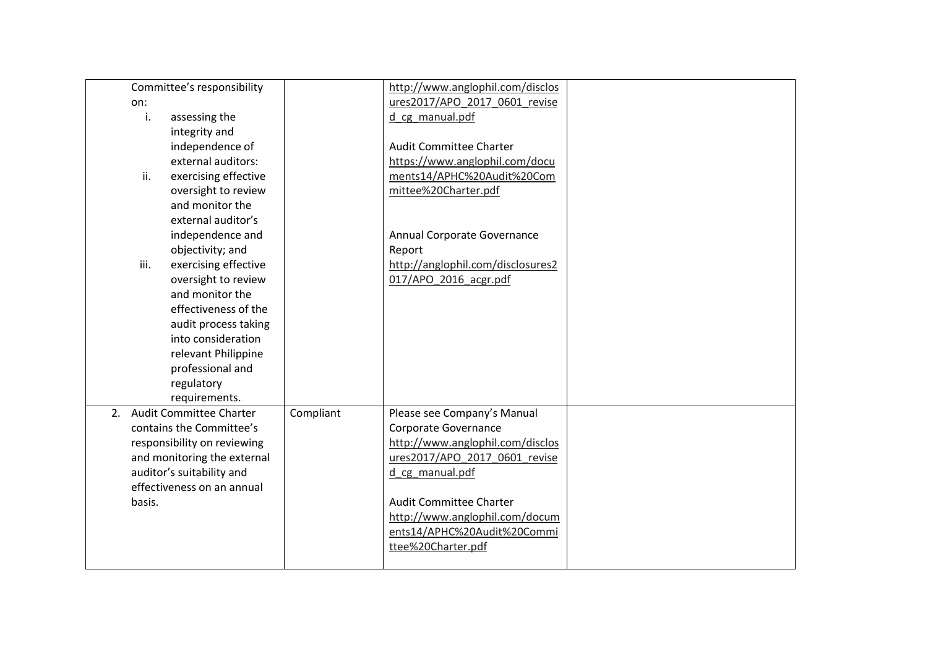| Committee's responsibility   |           | http://www.anglophil.com/disclos  |  |
|------------------------------|-----------|-----------------------------------|--|
| on:                          |           | ures2017/APO 2017 0601 revise     |  |
| assessing the<br>i.          |           | d cg manual.pdf                   |  |
| integrity and                |           |                                   |  |
| independence of              |           | <b>Audit Committee Charter</b>    |  |
| external auditors:           |           | https://www.anglophil.com/docu    |  |
| ii.<br>exercising effective  |           | ments14/APHC%20Audit%20Com        |  |
| oversight to review          |           | mittee%20Charter.pdf              |  |
| and monitor the              |           |                                   |  |
| external auditor's           |           |                                   |  |
|                              |           |                                   |  |
| independence and             |           | Annual Corporate Governance       |  |
| objectivity; and             |           | Report                            |  |
| iii.<br>exercising effective |           | http://anglophil.com/disclosures2 |  |
| oversight to review          |           | 017/APO 2016 acgr.pdf             |  |
| and monitor the              |           |                                   |  |
| effectiveness of the         |           |                                   |  |
| audit process taking         |           |                                   |  |
| into consideration           |           |                                   |  |
| relevant Philippine          |           |                                   |  |
| professional and             |           |                                   |  |
| regulatory                   |           |                                   |  |
| requirements.                |           |                                   |  |
| 2. Audit Committee Charter   | Compliant | Please see Company's Manual       |  |
| contains the Committee's     |           | Corporate Governance              |  |
| responsibility on reviewing  |           | http://www.anglophil.com/disclos  |  |
| and monitoring the external  |           | ures2017/APO 2017 0601 revise     |  |
| auditor's suitability and    |           | d cg manual.pdf                   |  |
| effectiveness on an annual   |           |                                   |  |
| basis.                       |           | Audit Committee Charter           |  |
|                              |           | http://www.anglophil.com/docum    |  |
|                              |           | ents14/APHC%20Audit%20Commi       |  |
|                              |           | ttee%20Charter.pdf                |  |
|                              |           |                                   |  |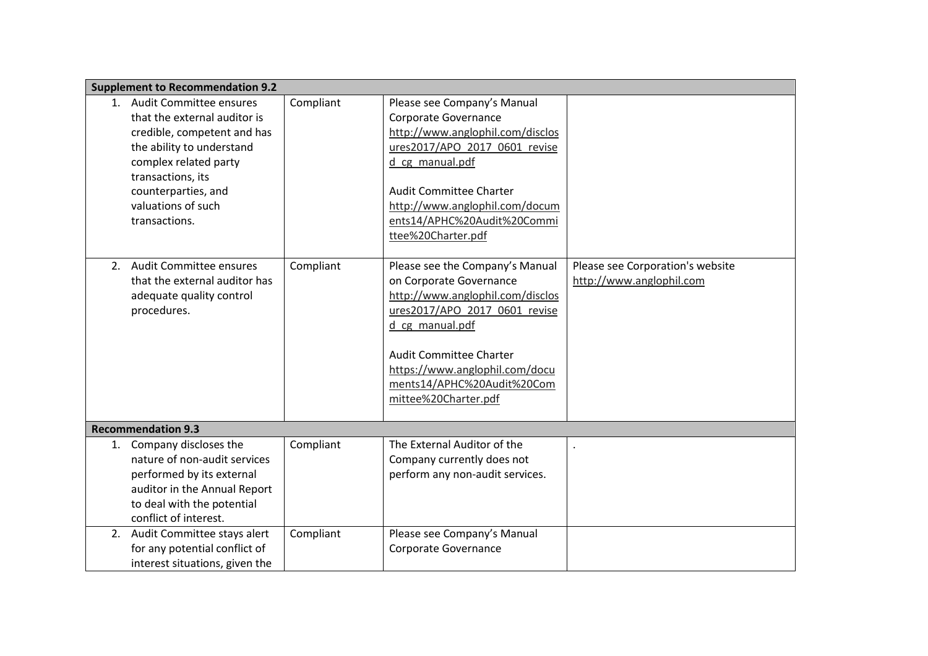|    | <b>Supplement to Recommendation 9.2</b>                                                                                                                                                                                            |           |                                                                                                                                                                                                                                                                              |                                                              |
|----|------------------------------------------------------------------------------------------------------------------------------------------------------------------------------------------------------------------------------------|-----------|------------------------------------------------------------------------------------------------------------------------------------------------------------------------------------------------------------------------------------------------------------------------------|--------------------------------------------------------------|
|    | 1. Audit Committee ensures<br>that the external auditor is<br>credible, competent and has<br>the ability to understand<br>complex related party<br>transactions, its<br>counterparties, and<br>valuations of such<br>transactions. | Compliant | Please see Company's Manual<br>Corporate Governance<br>http://www.anglophil.com/disclos<br>ures2017/APO 2017 0601 revise<br>d_cg_manual.pdf<br><b>Audit Committee Charter</b><br>http://www.anglophil.com/docum<br>ents14/APHC%20Audit%20Commi<br>ttee%20Charter.pdf         |                                                              |
| 2. | <b>Audit Committee ensures</b><br>that the external auditor has<br>adequate quality control<br>procedures.                                                                                                                         | Compliant | Please see the Company's Manual<br>on Corporate Governance<br>http://www.anglophil.com/disclos<br>ures2017/APO 2017 0601 revise<br>d cg manual.pdf<br><b>Audit Committee Charter</b><br>https://www.anglophil.com/docu<br>ments14/APHC%20Audit%20Com<br>mittee%20Charter.pdf | Please see Corporation's website<br>http://www.anglophil.com |
|    | <b>Recommendation 9.3</b>                                                                                                                                                                                                          |           |                                                                                                                                                                                                                                                                              |                                                              |
| 1. | Company discloses the<br>nature of non-audit services<br>performed by its external<br>auditor in the Annual Report<br>to deal with the potential<br>conflict of interest.                                                          | Compliant | The External Auditor of the<br>Company currently does not<br>perform any non-audit services.                                                                                                                                                                                 |                                                              |
|    | 2. Audit Committee stays alert<br>for any potential conflict of<br>interest situations, given the                                                                                                                                  | Compliant | Please see Company's Manual<br>Corporate Governance                                                                                                                                                                                                                          |                                                              |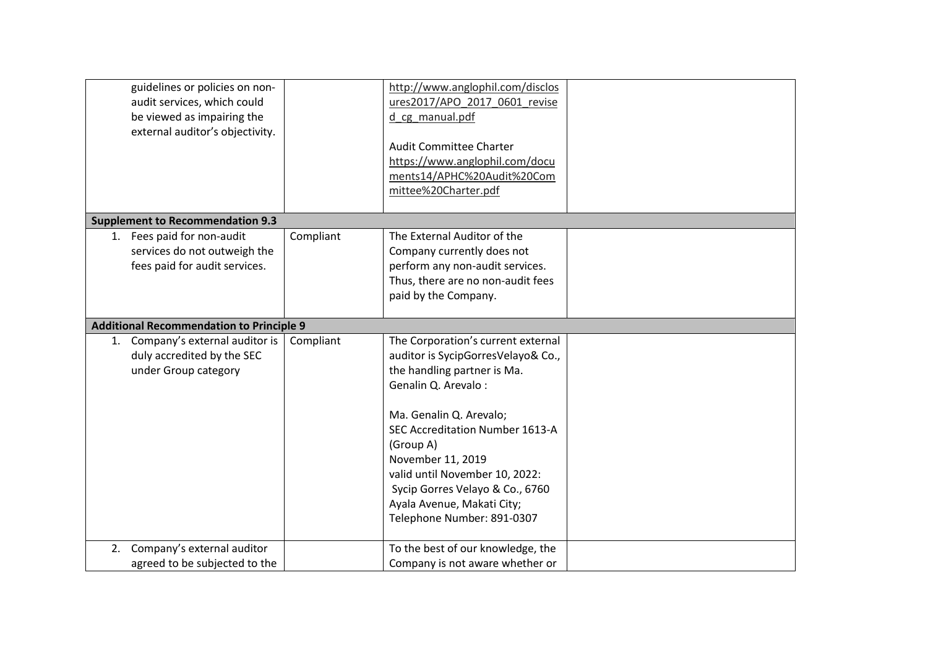| guidelines or policies on non-<br>audit services, which could<br>be viewed as impairing the<br>external auditor's objectivity. |           | http://www.anglophil.com/disclos<br>ures2017/APO 2017 0601 revise<br>d cg manual.pdf<br><b>Audit Committee Charter</b><br>https://www.anglophil.com/docu<br>ments14/APHC%20Audit%20Com<br>mittee%20Charter.pdf                                                                                                                                                  |  |
|--------------------------------------------------------------------------------------------------------------------------------|-----------|-----------------------------------------------------------------------------------------------------------------------------------------------------------------------------------------------------------------------------------------------------------------------------------------------------------------------------------------------------------------|--|
| <b>Supplement to Recommendation 9.3</b>                                                                                        |           |                                                                                                                                                                                                                                                                                                                                                                 |  |
| 1. Fees paid for non-audit<br>services do not outweigh the<br>fees paid for audit services.                                    | Compliant | The External Auditor of the<br>Company currently does not<br>perform any non-audit services.<br>Thus, there are no non-audit fees<br>paid by the Company.                                                                                                                                                                                                       |  |
| <b>Additional Recommendation to Principle 9</b>                                                                                |           |                                                                                                                                                                                                                                                                                                                                                                 |  |
| 1. Company's external auditor is<br>duly accredited by the SEC<br>under Group category                                         | Compliant | The Corporation's current external<br>auditor is SycipGorresVelayo& Co.,<br>the handling partner is Ma.<br>Genalin Q. Arevalo:<br>Ma. Genalin Q. Arevalo;<br>SEC Accreditation Number 1613-A<br>(Group A)<br>November 11, 2019<br>valid until November 10, 2022:<br>Sycip Gorres Velayo & Co., 6760<br>Ayala Avenue, Makati City;<br>Telephone Number: 891-0307 |  |
| 2. Company's external auditor<br>agreed to be subjected to the                                                                 |           | To the best of our knowledge, the<br>Company is not aware whether or                                                                                                                                                                                                                                                                                            |  |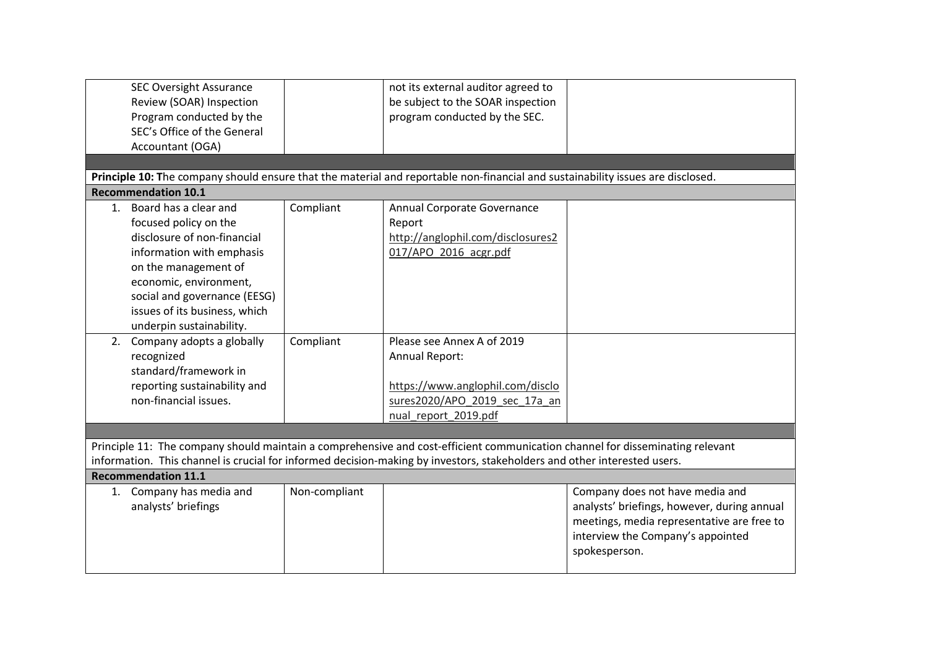| <b>SEC Oversight Assurance</b><br>Review (SOAR) Inspection<br>Program conducted by the<br>SEC's Office of the General<br>Accountant (OGA)                                                                                                                                               |               | not its external auditor agreed to<br>be subject to the SOAR inspection<br>program conducted by the SEC.                                  |                                                                                                                                                                                    |
|-----------------------------------------------------------------------------------------------------------------------------------------------------------------------------------------------------------------------------------------------------------------------------------------|---------------|-------------------------------------------------------------------------------------------------------------------------------------------|------------------------------------------------------------------------------------------------------------------------------------------------------------------------------------|
|                                                                                                                                                                                                                                                                                         |               | Principle 10: The company should ensure that the material and reportable non-financial and sustainability issues are disclosed.           |                                                                                                                                                                                    |
| <b>Recommendation 10.1</b>                                                                                                                                                                                                                                                              |               |                                                                                                                                           |                                                                                                                                                                                    |
| 1. Board has a clear and<br>focused policy on the<br>disclosure of non-financial<br>information with emphasis<br>on the management of<br>economic, environment,<br>social and governance (EESG)<br>issues of its business, which<br>underpin sustainability.                            | Compliant     | Annual Corporate Governance<br>Report<br>http://anglophil.com/disclosures2<br>017/APO_2016_acgr.pdf                                       |                                                                                                                                                                                    |
| 2. Company adopts a globally<br>recognized<br>standard/framework in<br>reporting sustainability and<br>non-financial issues.                                                                                                                                                            | Compliant     | Please see Annex A of 2019<br>Annual Report:<br>https://www.anglophil.com/disclo<br>sures2020/APO 2019 sec 17a an<br>nual report 2019.pdf |                                                                                                                                                                                    |
|                                                                                                                                                                                                                                                                                         |               |                                                                                                                                           |                                                                                                                                                                                    |
| Principle 11: The company should maintain a comprehensive and cost-efficient communication channel for disseminating relevant<br>information. This channel is crucial for informed decision-making by investors, stakeholders and other interested users.<br><b>Recommendation 11.1</b> |               |                                                                                                                                           |                                                                                                                                                                                    |
| 1. Company has media and<br>analysts' briefings                                                                                                                                                                                                                                         | Non-compliant |                                                                                                                                           | Company does not have media and<br>analysts' briefings, however, during annual<br>meetings, media representative are free to<br>interview the Company's appointed<br>spokesperson. |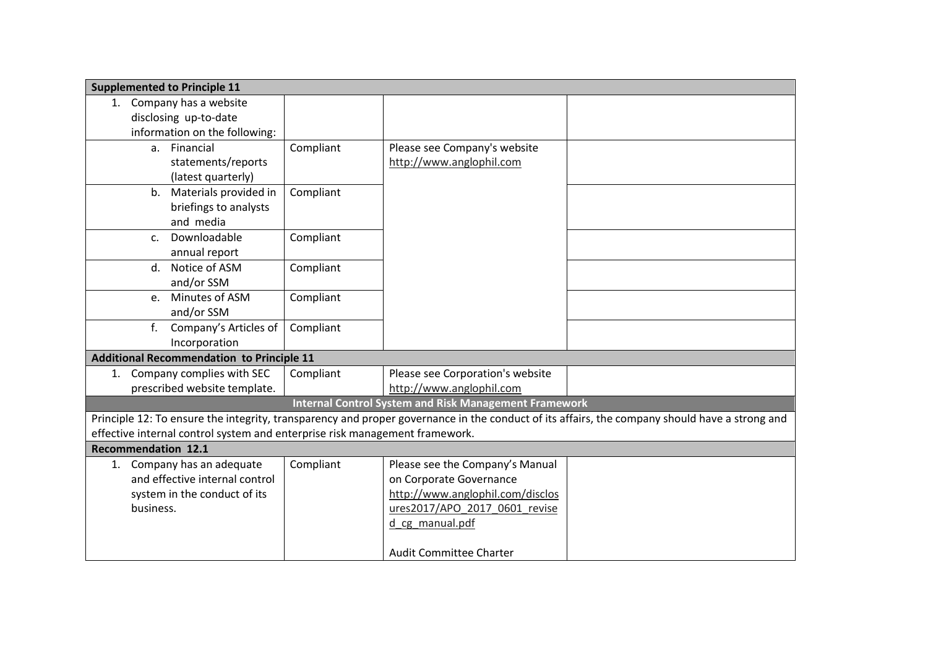| <b>Supplemented to Principle 11</b>                                         |           |                                                              |                                                                                                                                               |
|-----------------------------------------------------------------------------|-----------|--------------------------------------------------------------|-----------------------------------------------------------------------------------------------------------------------------------------------|
| 1. Company has a website                                                    |           |                                                              |                                                                                                                                               |
| disclosing up-to-date                                                       |           |                                                              |                                                                                                                                               |
| information on the following:                                               |           |                                                              |                                                                                                                                               |
| a. Financial                                                                | Compliant | Please see Company's website                                 |                                                                                                                                               |
| statements/reports                                                          |           | http://www.anglophil.com                                     |                                                                                                                                               |
| (latest quarterly)                                                          |           |                                                              |                                                                                                                                               |
| b. Materials provided in                                                    | Compliant |                                                              |                                                                                                                                               |
| briefings to analysts                                                       |           |                                                              |                                                                                                                                               |
| and media                                                                   |           |                                                              |                                                                                                                                               |
| Downloadable<br>C <sub>1</sub>                                              | Compliant |                                                              |                                                                                                                                               |
| annual report                                                               |           |                                                              |                                                                                                                                               |
| d. Notice of ASM                                                            | Compliant |                                                              |                                                                                                                                               |
| and/or SSM                                                                  |           |                                                              |                                                                                                                                               |
| Minutes of ASM<br>$e_{1}$                                                   | Compliant |                                                              |                                                                                                                                               |
| and/or SSM                                                                  |           |                                                              |                                                                                                                                               |
| f <sub>r</sub><br>Company's Articles of                                     | Compliant |                                                              |                                                                                                                                               |
| Incorporation                                                               |           |                                                              |                                                                                                                                               |
| <b>Additional Recommendation to Principle 11</b>                            |           |                                                              |                                                                                                                                               |
| 1. Company complies with SEC                                                | Compliant | Please see Corporation's website                             |                                                                                                                                               |
| prescribed website template.                                                |           | http://www.anglophil.com                                     |                                                                                                                                               |
|                                                                             |           | <b>Internal Control System and Risk Management Framework</b> |                                                                                                                                               |
|                                                                             |           |                                                              | Principle 12: To ensure the integrity, transparency and proper governance in the conduct of its affairs, the company should have a strong and |
| effective internal control system and enterprise risk management framework. |           |                                                              |                                                                                                                                               |
| <b>Recommendation 12.1</b>                                                  |           |                                                              |                                                                                                                                               |
| 1. Company has an adequate                                                  | Compliant | Please see the Company's Manual                              |                                                                                                                                               |
| and effective internal control                                              |           | on Corporate Governance                                      |                                                                                                                                               |
| system in the conduct of its                                                |           | http://www.anglophil.com/disclos                             |                                                                                                                                               |
| business.                                                                   |           | ures2017/APO 2017 0601 revise                                |                                                                                                                                               |
|                                                                             |           | d cg manual.pdf                                              |                                                                                                                                               |
|                                                                             |           |                                                              |                                                                                                                                               |
|                                                                             |           | <b>Audit Committee Charter</b>                               |                                                                                                                                               |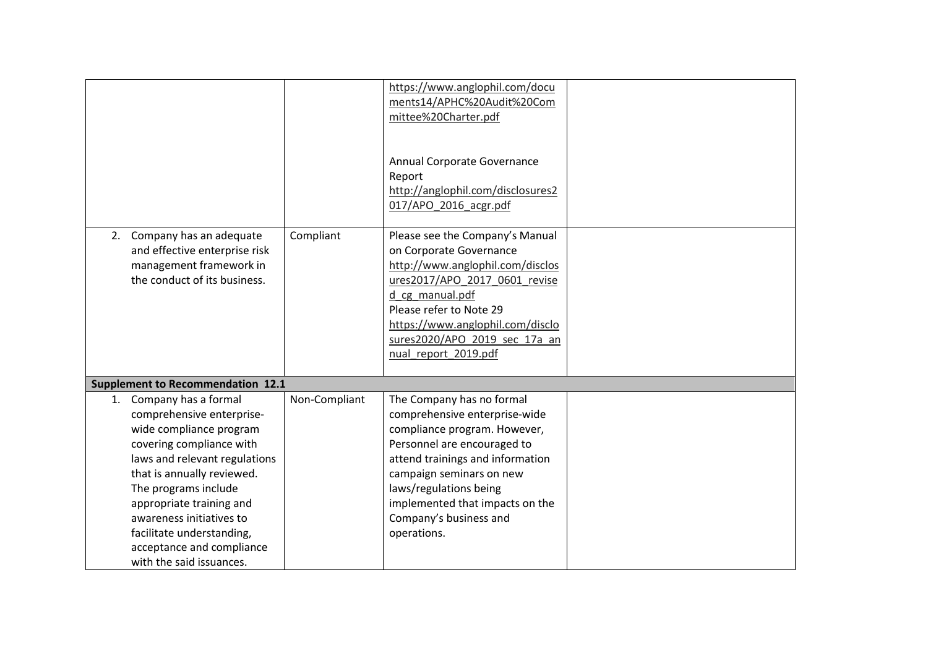|                                                                                                                                                                                                                                                                                                                                                  |               | https://www.anglophil.com/docu<br>ments14/APHC%20Audit%20Com<br>mittee%20Charter.pdf<br>Annual Corporate Governance<br>Report<br>http://anglophil.com/disclosures2<br>017/APO_2016_acgr.pdf                                                                                                     |  |
|--------------------------------------------------------------------------------------------------------------------------------------------------------------------------------------------------------------------------------------------------------------------------------------------------------------------------------------------------|---------------|-------------------------------------------------------------------------------------------------------------------------------------------------------------------------------------------------------------------------------------------------------------------------------------------------|--|
| 2. Company has an adequate<br>and effective enterprise risk<br>management framework in<br>the conduct of its business.                                                                                                                                                                                                                           | Compliant     | Please see the Company's Manual<br>on Corporate Governance<br>http://www.anglophil.com/disclos<br>ures2017/APO 2017 0601 revise<br>d cg manual.pdf<br>Please refer to Note 29<br>https://www.anglophil.com/disclo<br>sures2020/APO 2019 sec 17a an<br>nual report 2019.pdf                      |  |
| <b>Supplement to Recommendation 12.1</b>                                                                                                                                                                                                                                                                                                         |               |                                                                                                                                                                                                                                                                                                 |  |
| 1. Company has a formal<br>comprehensive enterprise-<br>wide compliance program<br>covering compliance with<br>laws and relevant regulations<br>that is annually reviewed.<br>The programs include<br>appropriate training and<br>awareness initiatives to<br>facilitate understanding,<br>acceptance and compliance<br>with the said issuances. | Non-Compliant | The Company has no formal<br>comprehensive enterprise-wide<br>compliance program. However,<br>Personnel are encouraged to<br>attend trainings and information<br>campaign seminars on new<br>laws/regulations being<br>implemented that impacts on the<br>Company's business and<br>operations. |  |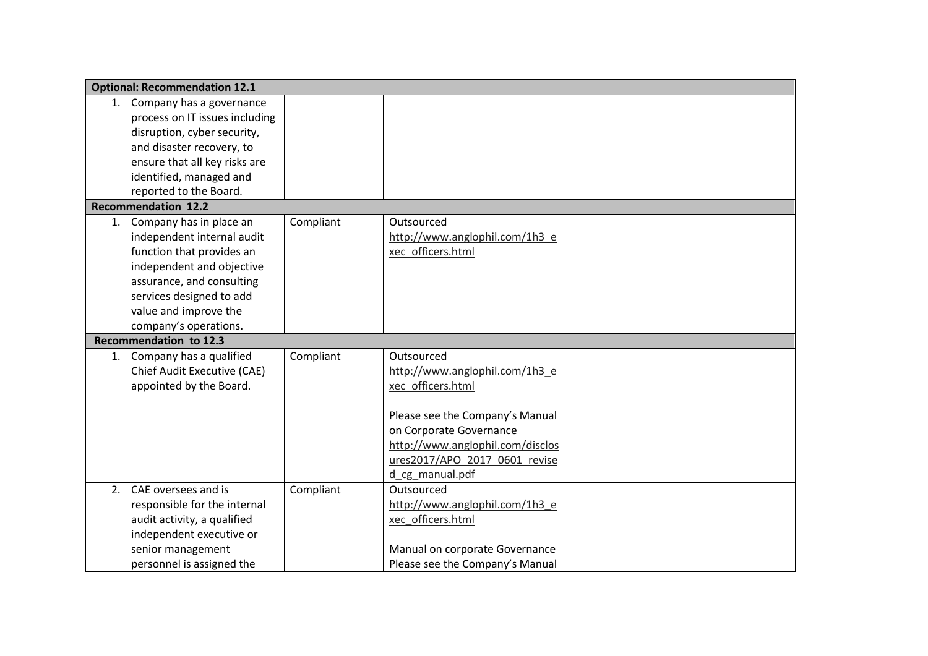|    | <b>Optional: Recommendation 12.1</b> |           |                                  |  |
|----|--------------------------------------|-----------|----------------------------------|--|
|    | 1. Company has a governance          |           |                                  |  |
|    | process on IT issues including       |           |                                  |  |
|    | disruption, cyber security,          |           |                                  |  |
|    | and disaster recovery, to            |           |                                  |  |
|    | ensure that all key risks are        |           |                                  |  |
|    | identified, managed and              |           |                                  |  |
|    | reported to the Board.               |           |                                  |  |
|    | <b>Recommendation 12.2</b>           |           |                                  |  |
|    | 1. Company has in place an           | Compliant | Outsourced                       |  |
|    | independent internal audit           |           | http://www.anglophil.com/1h3_e   |  |
|    | function that provides an            |           | xec officers.html                |  |
|    | independent and objective            |           |                                  |  |
|    | assurance, and consulting            |           |                                  |  |
|    | services designed to add             |           |                                  |  |
|    | value and improve the                |           |                                  |  |
|    | company's operations.                |           |                                  |  |
|    | Recommendation to 12.3               |           |                                  |  |
|    | 1. Company has a qualified           | Compliant | Outsourced                       |  |
|    | Chief Audit Executive (CAE)          |           | http://www.anglophil.com/1h3_e   |  |
|    | appointed by the Board.              |           | xec officers.html                |  |
|    |                                      |           |                                  |  |
|    |                                      |           | Please see the Company's Manual  |  |
|    |                                      |           | on Corporate Governance          |  |
|    |                                      |           | http://www.anglophil.com/disclos |  |
|    |                                      |           | ures2017/APO 2017 0601 revise    |  |
|    |                                      |           | d cg manual.pdf                  |  |
| 2. | CAE oversees and is                  | Compliant | Outsourced                       |  |
|    | responsible for the internal         |           | http://www.anglophil.com/1h3_e   |  |
|    | audit activity, a qualified          |           | xec officers.html                |  |
|    | independent executive or             |           |                                  |  |
|    | senior management                    |           | Manual on corporate Governance   |  |
|    | personnel is assigned the            |           | Please see the Company's Manual  |  |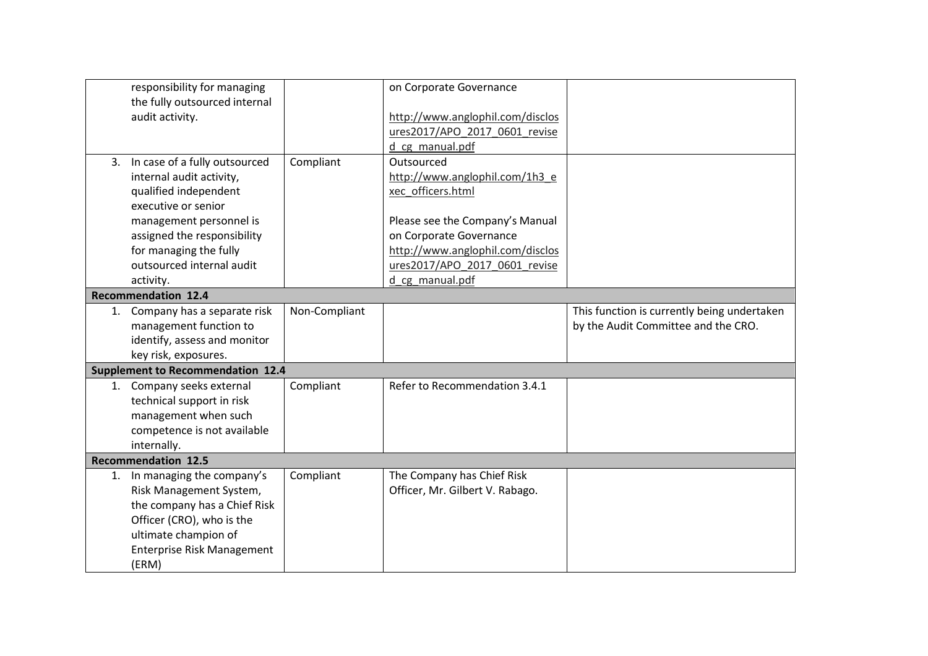|    | responsibility for managing              |               | on Corporate Governance          |                                             |
|----|------------------------------------------|---------------|----------------------------------|---------------------------------------------|
|    | the fully outsourced internal            |               |                                  |                                             |
|    | audit activity.                          |               | http://www.anglophil.com/disclos |                                             |
|    |                                          |               | ures2017/APO 2017 0601 revise    |                                             |
|    |                                          |               | d cg manual.pdf                  |                                             |
|    | 3. In case of a fully outsourced         | Compliant     | Outsourced                       |                                             |
|    | internal audit activity,                 |               | http://www.anglophil.com/1h3_e   |                                             |
|    | qualified independent                    |               | xec officers.html                |                                             |
|    | executive or senior                      |               |                                  |                                             |
|    | management personnel is                  |               | Please see the Company's Manual  |                                             |
|    | assigned the responsibility              |               | on Corporate Governance          |                                             |
|    | for managing the fully                   |               | http://www.anglophil.com/disclos |                                             |
|    | outsourced internal audit                |               | ures2017/APO 2017 0601 revise    |                                             |
|    | activity.                                |               | d cg manual.pdf                  |                                             |
|    | <b>Recommendation 12.4</b>               |               |                                  |                                             |
| 1. | Company has a separate risk              | Non-Compliant |                                  | This function is currently being undertaken |
|    | management function to                   |               |                                  | by the Audit Committee and the CRO.         |
|    | identify, assess and monitor             |               |                                  |                                             |
|    | key risk, exposures.                     |               |                                  |                                             |
|    | <b>Supplement to Recommendation 12.4</b> |               |                                  |                                             |
|    | 1. Company seeks external                | Compliant     | Refer to Recommendation 3.4.1    |                                             |
|    | technical support in risk                |               |                                  |                                             |
|    | management when such                     |               |                                  |                                             |
|    | competence is not available              |               |                                  |                                             |
|    | internally.                              |               |                                  |                                             |
|    | <b>Recommendation 12.5</b>               |               |                                  |                                             |
|    | 1. In managing the company's             | Compliant     | The Company has Chief Risk       |                                             |
|    | Risk Management System,                  |               | Officer, Mr. Gilbert V. Rabago.  |                                             |
|    | the company has a Chief Risk             |               |                                  |                                             |
|    | Officer (CRO), who is the                |               |                                  |                                             |
|    | ultimate champion of                     |               |                                  |                                             |
|    | Enterprise Risk Management               |               |                                  |                                             |
|    | (ERM)                                    |               |                                  |                                             |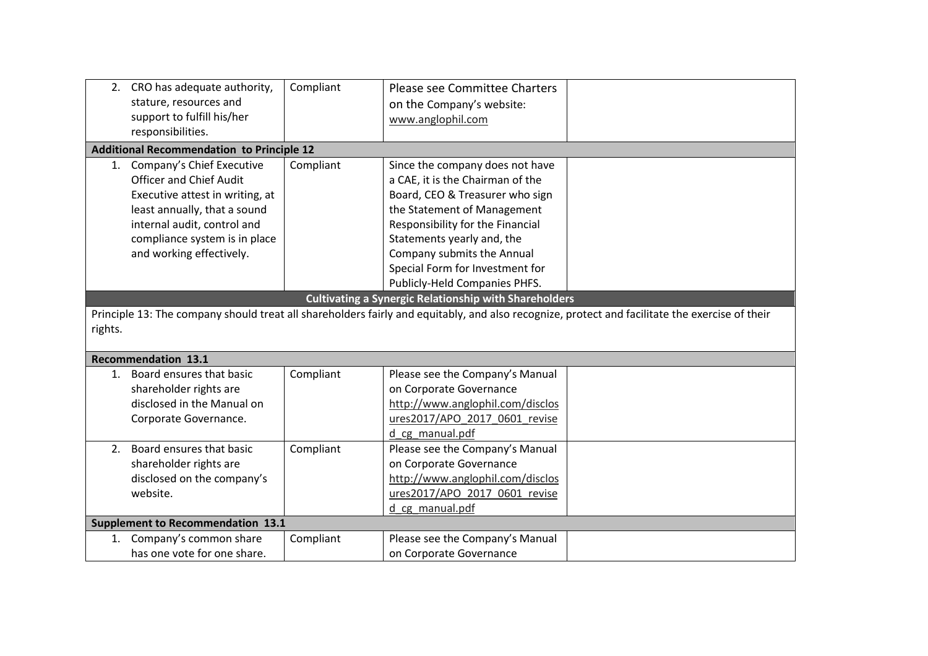|              | 2. CRO has adequate authority,<br>stature, resources and<br>support to fulfill his/her                                                                                                                                        | Compliant | Please see Committee Charters<br>on the Company's website:<br>www.anglophil.com                                                                                                                                                                                                                                                                                           |                                                                                                                                                |
|--------------|-------------------------------------------------------------------------------------------------------------------------------------------------------------------------------------------------------------------------------|-----------|---------------------------------------------------------------------------------------------------------------------------------------------------------------------------------------------------------------------------------------------------------------------------------------------------------------------------------------------------------------------------|------------------------------------------------------------------------------------------------------------------------------------------------|
|              | responsibilities.                                                                                                                                                                                                             |           |                                                                                                                                                                                                                                                                                                                                                                           |                                                                                                                                                |
|              | <b>Additional Recommendation to Principle 12</b>                                                                                                                                                                              |           |                                                                                                                                                                                                                                                                                                                                                                           |                                                                                                                                                |
|              | 1. Company's Chief Executive<br><b>Officer and Chief Audit</b><br>Executive attest in writing, at<br>least annually, that a sound<br>internal audit, control and<br>compliance system is in place<br>and working effectively. | Compliant | Since the company does not have<br>a CAE, it is the Chairman of the<br>Board, CEO & Treasurer who sign<br>the Statement of Management<br>Responsibility for the Financial<br>Statements yearly and, the<br>Company submits the Annual<br>Special Form for Investment for<br>Publicly-Held Companies PHFS.<br><b>Cultivating a Synergic Relationship with Shareholders</b> |                                                                                                                                                |
| rights.      | <b>Recommendation 13.1</b>                                                                                                                                                                                                    |           |                                                                                                                                                                                                                                                                                                                                                                           | Principle 13: The company should treat all shareholders fairly and equitably, and also recognize, protect and facilitate the exercise of their |
| $1_{\ldots}$ | Board ensures that basic<br>shareholder rights are<br>disclosed in the Manual on<br>Corporate Governance.                                                                                                                     | Compliant | Please see the Company's Manual<br>on Corporate Governance<br>http://www.anglophil.com/disclos<br>ures2017/APO_2017_0601_revise<br>d cg manual.pdf                                                                                                                                                                                                                        |                                                                                                                                                |
|              | 2. Board ensures that basic<br>shareholder rights are<br>disclosed on the company's<br>website.                                                                                                                               | Compliant | Please see the Company's Manual<br>on Corporate Governance<br>http://www.anglophil.com/disclos<br>ures2017/APO 2017 0601 revise<br>d cg manual.pdf                                                                                                                                                                                                                        |                                                                                                                                                |
|              | <b>Supplement to Recommendation 13.1</b>                                                                                                                                                                                      |           |                                                                                                                                                                                                                                                                                                                                                                           |                                                                                                                                                |
|              | 1. Company's common share<br>has one vote for one share.                                                                                                                                                                      | Compliant | Please see the Company's Manual<br>on Corporate Governance                                                                                                                                                                                                                                                                                                                |                                                                                                                                                |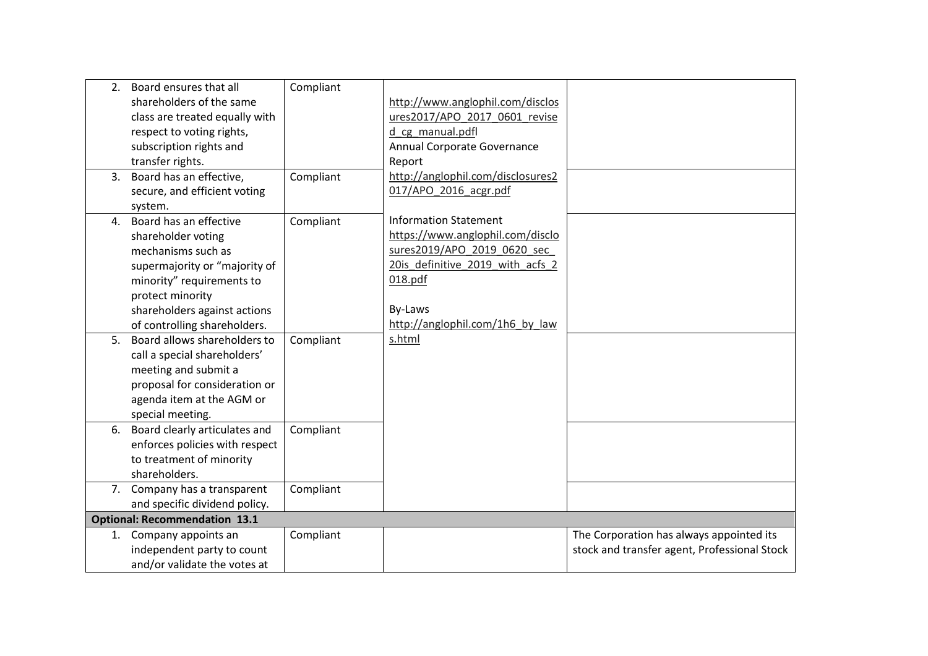|    | 2. Board ensures that all            | Compliant |                                   |                                              |
|----|--------------------------------------|-----------|-----------------------------------|----------------------------------------------|
|    | shareholders of the same             |           | http://www.anglophil.com/disclos  |                                              |
|    | class are treated equally with       |           | ures2017/APO 2017 0601 revise     |                                              |
|    | respect to voting rights,            |           | d cg manual.pdfl                  |                                              |
|    | subscription rights and              |           | Annual Corporate Governance       |                                              |
|    | transfer rights.                     |           | Report                            |                                              |
|    | 3. Board has an effective,           | Compliant | http://anglophil.com/disclosures2 |                                              |
|    | secure, and efficient voting         |           | 017/APO 2016 acgr.pdf             |                                              |
|    | system.                              |           |                                   |                                              |
|    | 4. Board has an effective            | Compliant | <b>Information Statement</b>      |                                              |
|    | shareholder voting                   |           | https://www.anglophil.com/disclo  |                                              |
|    | mechanisms such as                   |           | sures2019/APO 2019 0620 sec       |                                              |
|    | supermajority or "majority of        |           | 20is definitive 2019 with acfs 2  |                                              |
|    | minority" requirements to            |           | 018.pdf                           |                                              |
|    | protect minority                     |           |                                   |                                              |
|    | shareholders against actions         |           | By-Laws                           |                                              |
|    | of controlling shareholders.         |           | http://anglophil.com/1h6 by law   |                                              |
| 5. | Board allows shareholders to         | Compliant | s.html                            |                                              |
|    | call a special shareholders'         |           |                                   |                                              |
|    | meeting and submit a                 |           |                                   |                                              |
|    | proposal for consideration or        |           |                                   |                                              |
|    | agenda item at the AGM or            |           |                                   |                                              |
|    | special meeting.                     |           |                                   |                                              |
|    | 6. Board clearly articulates and     | Compliant |                                   |                                              |
|    | enforces policies with respect       |           |                                   |                                              |
|    | to treatment of minority             |           |                                   |                                              |
|    | shareholders.                        |           |                                   |                                              |
|    | 7. Company has a transparent         | Compliant |                                   |                                              |
|    | and specific dividend policy.        |           |                                   |                                              |
|    | <b>Optional: Recommendation 13.1</b> |           |                                   |                                              |
|    | 1. Company appoints an               | Compliant |                                   | The Corporation has always appointed its     |
|    | independent party to count           |           |                                   | stock and transfer agent, Professional Stock |
|    | and/or validate the votes at         |           |                                   |                                              |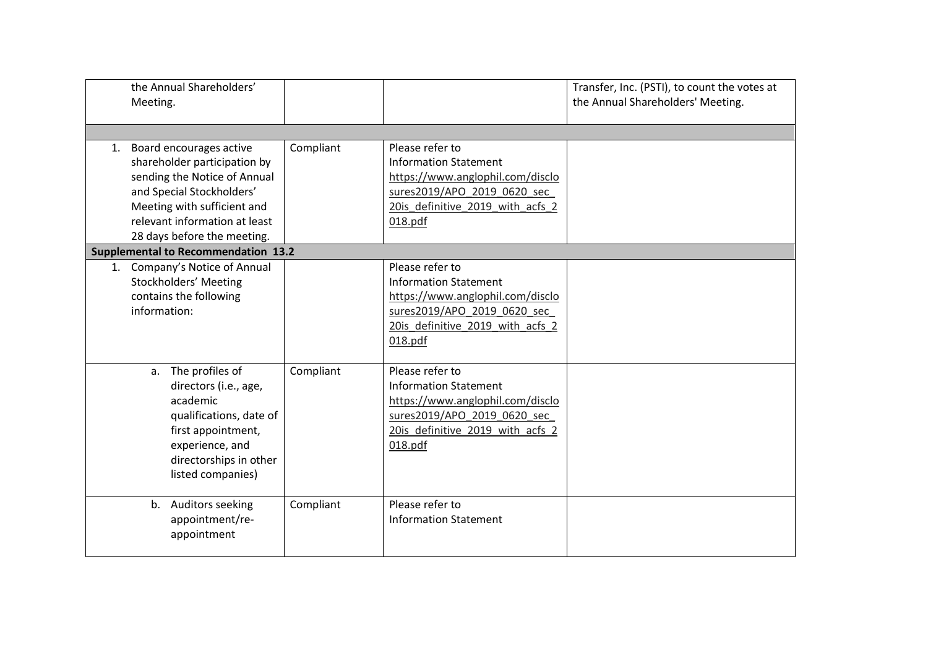| the Annual Shareholders'<br>Meeting.                                                                                                                                                                                   |           |                                                                                                                                                                    | Transfer, Inc. (PSTI), to count the votes at<br>the Annual Shareholders' Meeting. |
|------------------------------------------------------------------------------------------------------------------------------------------------------------------------------------------------------------------------|-----------|--------------------------------------------------------------------------------------------------------------------------------------------------------------------|-----------------------------------------------------------------------------------|
| 1. Board encourages active<br>shareholder participation by<br>sending the Notice of Annual<br>and Special Stockholders'<br>Meeting with sufficient and<br>relevant information at least<br>28 days before the meeting. | Compliant | Please refer to<br><b>Information Statement</b><br>https://www.anglophil.com/disclo<br>sures2019/APO_2019_0620_sec_<br>20is definitive 2019 with acfs 2<br>018.pdf |                                                                                   |
| <b>Supplemental to Recommendation 13.2</b><br>1. Company's Notice of Annual<br>Stockholders' Meeting<br>contains the following<br>information:                                                                         |           | Please refer to<br><b>Information Statement</b><br>https://www.anglophil.com/disclo<br>sures2019/APO_2019_0620_sec_<br>20is definitive 2019 with acfs 2<br>018.pdf |                                                                                   |
| a. The profiles of<br>directors (i.e., age,<br>academic<br>qualifications, date of<br>first appointment,<br>experience, and<br>directorships in other<br>listed companies)                                             | Compliant | Please refer to<br><b>Information Statement</b><br>https://www.anglophil.com/disclo<br>sures2019/APO 2019 0620 sec<br>20is definitive 2019 with acfs 2<br>018.pdf  |                                                                                   |
| b. Auditors seeking<br>appointment/re-<br>appointment                                                                                                                                                                  | Compliant | Please refer to<br><b>Information Statement</b>                                                                                                                    |                                                                                   |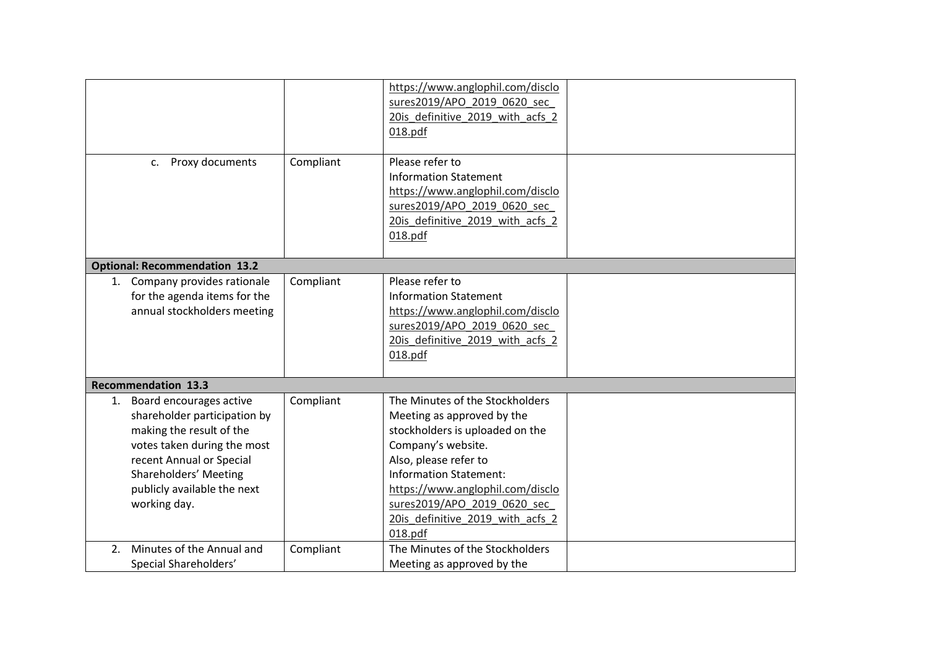|                                                                                                                                                                                                                           |           | https://www.anglophil.com/disclo<br>sures2019/APO 2019 0620 sec<br>20is definitive 2019 with acfs 2<br>018.pdf                                                                                                                                                                                     |  |
|---------------------------------------------------------------------------------------------------------------------------------------------------------------------------------------------------------------------------|-----------|----------------------------------------------------------------------------------------------------------------------------------------------------------------------------------------------------------------------------------------------------------------------------------------------------|--|
| c. Proxy documents                                                                                                                                                                                                        | Compliant | Please refer to<br><b>Information Statement</b><br>https://www.anglophil.com/disclo<br>sures2019/APO 2019 0620 sec<br>20is definitive 2019 with acfs 2<br>018.pdf                                                                                                                                  |  |
| <b>Optional: Recommendation 13.2</b>                                                                                                                                                                                      |           |                                                                                                                                                                                                                                                                                                    |  |
| 1. Company provides rationale<br>for the agenda items for the<br>annual stockholders meeting                                                                                                                              | Compliant | Please refer to<br><b>Information Statement</b><br>https://www.anglophil.com/disclo<br>sures2019/APO 2019 0620 sec<br>20is definitive 2019 with acfs 2<br>018.pdf                                                                                                                                  |  |
| <b>Recommendation 13.3</b>                                                                                                                                                                                                |           |                                                                                                                                                                                                                                                                                                    |  |
| 1. Board encourages active<br>shareholder participation by<br>making the result of the<br>votes taken during the most<br>recent Annual or Special<br>Shareholders' Meeting<br>publicly available the next<br>working day. | Compliant | The Minutes of the Stockholders<br>Meeting as approved by the<br>stockholders is uploaded on the<br>Company's website.<br>Also, please refer to<br><b>Information Statement:</b><br>https://www.anglophil.com/disclo<br>sures2019/APO 2019 0620 sec<br>20is_definitive_2019_with_acfs_2<br>018.pdf |  |
| 2. Minutes of the Annual and<br>Special Shareholders'                                                                                                                                                                     | Compliant | The Minutes of the Stockholders<br>Meeting as approved by the                                                                                                                                                                                                                                      |  |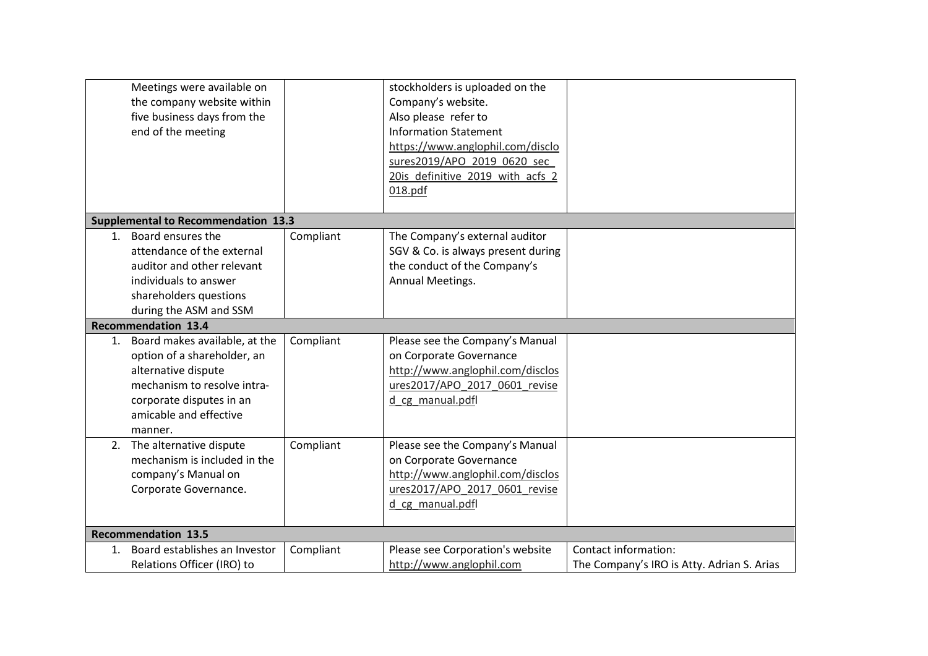| Meetings were available on<br>the company website within<br>five business days from the<br>end of the meeting                                                                          |           | stockholders is uploaded on the<br>Company's website.<br>Also please refer to<br><b>Information Statement</b><br>https://www.anglophil.com/disclo<br>sures2019/APO 2019 0620 sec<br>20is definitive 2019 with acfs 2<br>018.pdf |                                                                    |
|----------------------------------------------------------------------------------------------------------------------------------------------------------------------------------------|-----------|---------------------------------------------------------------------------------------------------------------------------------------------------------------------------------------------------------------------------------|--------------------------------------------------------------------|
| <b>Supplemental to Recommendation 13.3</b>                                                                                                                                             |           |                                                                                                                                                                                                                                 |                                                                    |
| 1. Board ensures the<br>attendance of the external<br>auditor and other relevant<br>individuals to answer<br>shareholders questions<br>during the ASM and SSM                          | Compliant | The Company's external auditor<br>SGV & Co. is always present during<br>the conduct of the Company's<br>Annual Meetings.                                                                                                        |                                                                    |
| <b>Recommendation 13.4</b>                                                                                                                                                             |           |                                                                                                                                                                                                                                 |                                                                    |
| 1. Board makes available, at the<br>option of a shareholder, an<br>alternative dispute<br>mechanism to resolve intra-<br>corporate disputes in an<br>amicable and effective<br>manner. | Compliant | Please see the Company's Manual<br>on Corporate Governance<br>http://www.anglophil.com/disclos<br>ures2017/APO 2017 0601 revise<br>d cg manual.pdfl                                                                             |                                                                    |
| 2. The alternative dispute<br>mechanism is included in the<br>company's Manual on<br>Corporate Governance.                                                                             | Compliant | Please see the Company's Manual<br>on Corporate Governance<br>http://www.anglophil.com/disclos<br>ures2017/APO 2017 0601 revise<br>d cg manual.pdfl                                                                             |                                                                    |
| <b>Recommendation 13.5</b>                                                                                                                                                             |           |                                                                                                                                                                                                                                 |                                                                    |
| 1. Board establishes an Investor<br>Relations Officer (IRO) to                                                                                                                         | Compliant | Please see Corporation's website<br>http://www.anglophil.com                                                                                                                                                                    | Contact information:<br>The Company's IRO is Atty. Adrian S. Arias |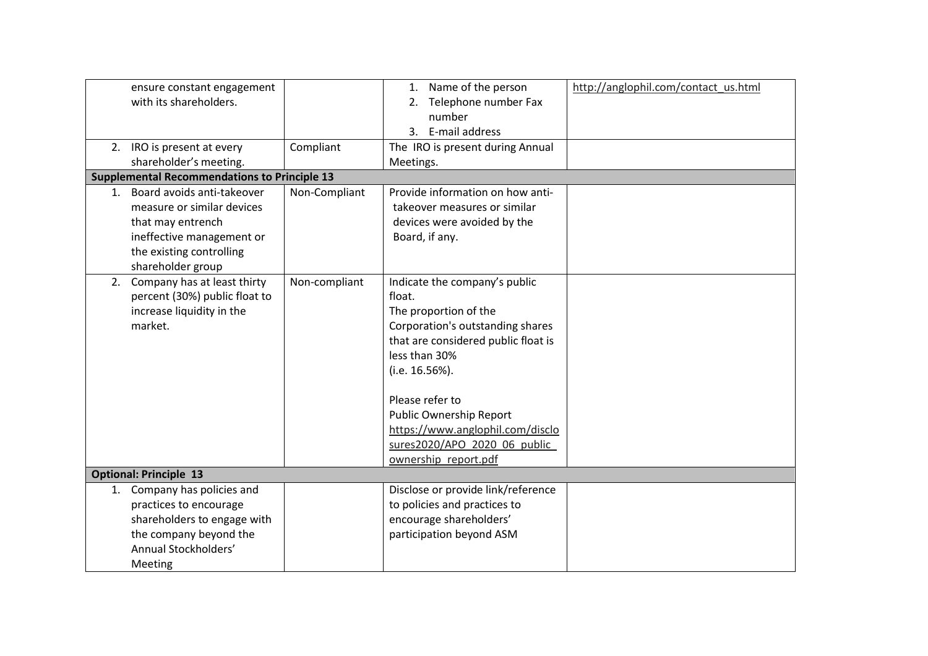| ensure constant engagement<br>with its shareholders.<br>2. IRO is present at every<br>shareholder's meeting.                                                   | Compliant     | 1. Name of the person<br>2. Telephone number Fax<br>number<br>3. E-mail address<br>The IRO is present during Annual<br>Meetings.                                                                                                                                                                                         | http://anglophil.com/contact_us.html |
|----------------------------------------------------------------------------------------------------------------------------------------------------------------|---------------|--------------------------------------------------------------------------------------------------------------------------------------------------------------------------------------------------------------------------------------------------------------------------------------------------------------------------|--------------------------------------|
| <b>Supplemental Recommendations to Principle 13</b>                                                                                                            |               |                                                                                                                                                                                                                                                                                                                          |                                      |
| 1. Board avoids anti-takeover<br>measure or similar devices<br>that may entrench<br>ineffective management or<br>the existing controlling<br>shareholder group | Non-Compliant | Provide information on how anti-<br>takeover measures or similar<br>devices were avoided by the<br>Board, if any.                                                                                                                                                                                                        |                                      |
| 2. Company has at least thirty<br>percent (30%) public float to<br>increase liquidity in the<br>market.                                                        | Non-compliant | Indicate the company's public<br>float.<br>The proportion of the<br>Corporation's outstanding shares<br>that are considered public float is<br>less than 30%<br>(i.e. 16.56%).<br>Please refer to<br>Public Ownership Report<br>https://www.anglophil.com/disclo<br>sures2020/APO 2020 06 public<br>ownership report.pdf |                                      |
| <b>Optional: Principle 13</b>                                                                                                                                  |               |                                                                                                                                                                                                                                                                                                                          |                                      |
| 1. Company has policies and<br>practices to encourage<br>shareholders to engage with<br>the company beyond the<br>Annual Stockholders'<br>Meeting              |               | Disclose or provide link/reference<br>to policies and practices to<br>encourage shareholders'<br>participation beyond ASM                                                                                                                                                                                                |                                      |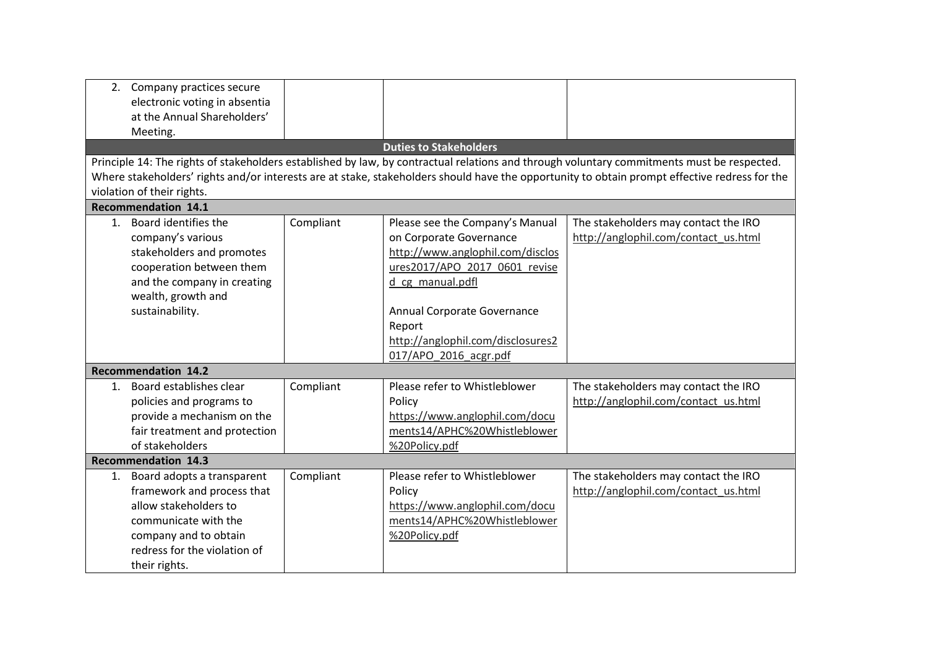|    | 2. Company practices secure   |           |                                   |                                                                                                                                               |  |  |
|----|-------------------------------|-----------|-----------------------------------|-----------------------------------------------------------------------------------------------------------------------------------------------|--|--|
|    | electronic voting in absentia |           |                                   |                                                                                                                                               |  |  |
|    | at the Annual Shareholders'   |           |                                   |                                                                                                                                               |  |  |
|    | Meeting.                      |           |                                   |                                                                                                                                               |  |  |
|    |                               |           | <b>Duties to Stakeholders</b>     |                                                                                                                                               |  |  |
|    |                               |           |                                   | Principle 14: The rights of stakeholders established by law, by contractual relations and through voluntary commitments must be respected.    |  |  |
|    |                               |           |                                   | Where stakeholders' rights and/or interests are at stake, stakeholders should have the opportunity to obtain prompt effective redress for the |  |  |
|    | violation of their rights.    |           |                                   |                                                                                                                                               |  |  |
|    | <b>Recommendation 14.1</b>    |           |                                   |                                                                                                                                               |  |  |
|    | 1. Board identifies the       | Compliant | Please see the Company's Manual   | The stakeholders may contact the IRO                                                                                                          |  |  |
|    | company's various             |           | on Corporate Governance           | http://anglophil.com/contact_us.html                                                                                                          |  |  |
|    | stakeholders and promotes     |           | http://www.anglophil.com/disclos  |                                                                                                                                               |  |  |
|    | cooperation between them      |           | ures2017/APO 2017 0601 revise     |                                                                                                                                               |  |  |
|    | and the company in creating   |           | d cg manual.pdfl                  |                                                                                                                                               |  |  |
|    | wealth, growth and            |           |                                   |                                                                                                                                               |  |  |
|    | sustainability.               |           | Annual Corporate Governance       |                                                                                                                                               |  |  |
|    |                               |           | Report                            |                                                                                                                                               |  |  |
|    |                               |           | http://anglophil.com/disclosures2 |                                                                                                                                               |  |  |
|    |                               |           | 017/APO 2016 acgr.pdf             |                                                                                                                                               |  |  |
|    | <b>Recommendation 14.2</b>    |           |                                   |                                                                                                                                               |  |  |
|    | 1. Board establishes clear    | Compliant | Please refer to Whistleblower     | The stakeholders may contact the IRO                                                                                                          |  |  |
|    | policies and programs to      |           | Policy                            | http://anglophil.com/contact_us.html                                                                                                          |  |  |
|    | provide a mechanism on the    |           | https://www.anglophil.com/docu    |                                                                                                                                               |  |  |
|    | fair treatment and protection |           | ments14/APHC%20Whistleblower      |                                                                                                                                               |  |  |
|    | of stakeholders               |           | %20Policy.pdf                     |                                                                                                                                               |  |  |
|    | <b>Recommendation 14.3</b>    |           |                                   |                                                                                                                                               |  |  |
| 1. | Board adopts a transparent    | Compliant | Please refer to Whistleblower     | The stakeholders may contact the IRO                                                                                                          |  |  |
|    | framework and process that    |           | Policy                            | http://anglophil.com/contact_us.html                                                                                                          |  |  |
|    | allow stakeholders to         |           | https://www.anglophil.com/docu    |                                                                                                                                               |  |  |
|    | communicate with the          |           | ments14/APHC%20Whistleblower      |                                                                                                                                               |  |  |
|    | company and to obtain         |           | %20Policy.pdf                     |                                                                                                                                               |  |  |
|    | redress for the violation of  |           |                                   |                                                                                                                                               |  |  |
|    | their rights.                 |           |                                   |                                                                                                                                               |  |  |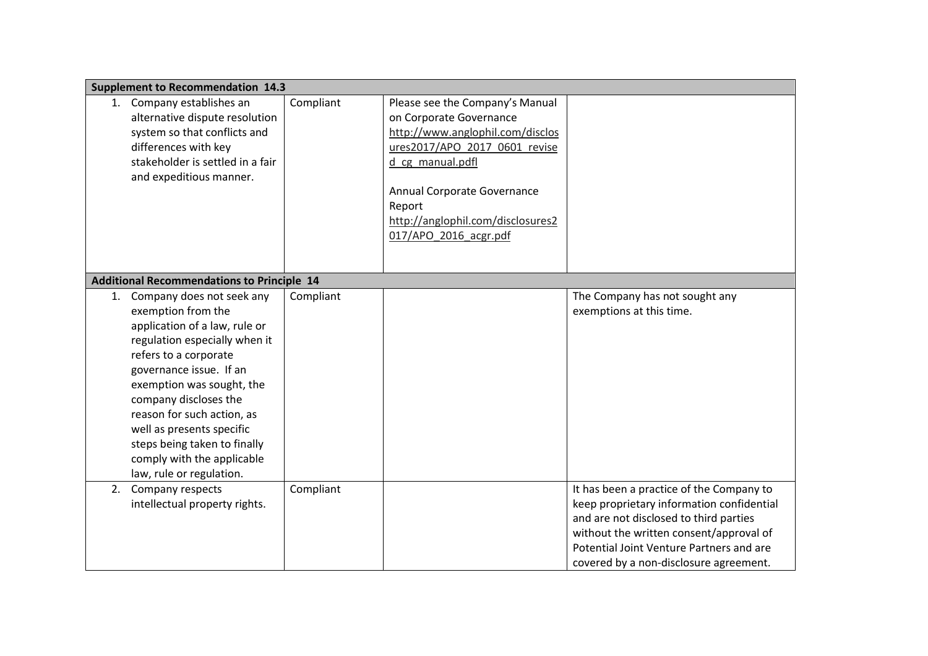|    | <b>Supplement to Recommendation 14.3</b>                                                                                                                                                                                                                                                                                                                                            |           |                                                                                                                                                                                                                                                            |                                                                                                                                                                                                                                                                  |
|----|-------------------------------------------------------------------------------------------------------------------------------------------------------------------------------------------------------------------------------------------------------------------------------------------------------------------------------------------------------------------------------------|-----------|------------------------------------------------------------------------------------------------------------------------------------------------------------------------------------------------------------------------------------------------------------|------------------------------------------------------------------------------------------------------------------------------------------------------------------------------------------------------------------------------------------------------------------|
|    | 1. Company establishes an<br>alternative dispute resolution<br>system so that conflicts and<br>differences with key<br>stakeholder is settled in a fair<br>and expeditious manner.                                                                                                                                                                                                  | Compliant | Please see the Company's Manual<br>on Corporate Governance<br>http://www.anglophil.com/disclos<br>ures2017/APO 2017 0601 revise<br>d_cg_manual.pdfl<br>Annual Corporate Governance<br>Report<br>http://anglophil.com/disclosures2<br>017/APO_2016_acgr.pdf |                                                                                                                                                                                                                                                                  |
|    | <b>Additional Recommendations to Principle 14</b>                                                                                                                                                                                                                                                                                                                                   |           |                                                                                                                                                                                                                                                            |                                                                                                                                                                                                                                                                  |
|    | 1. Company does not seek any<br>exemption from the<br>application of a law, rule or<br>regulation especially when it<br>refers to a corporate<br>governance issue. If an<br>exemption was sought, the<br>company discloses the<br>reason for such action, as<br>well as presents specific<br>steps being taken to finally<br>comply with the applicable<br>law, rule or regulation. | Compliant |                                                                                                                                                                                                                                                            | The Company has not sought any<br>exemptions at this time.                                                                                                                                                                                                       |
| 2. | Company respects<br>intellectual property rights.                                                                                                                                                                                                                                                                                                                                   | Compliant |                                                                                                                                                                                                                                                            | It has been a practice of the Company to<br>keep proprietary information confidential<br>and are not disclosed to third parties<br>without the written consent/approval of<br>Potential Joint Venture Partners and are<br>covered by a non-disclosure agreement. |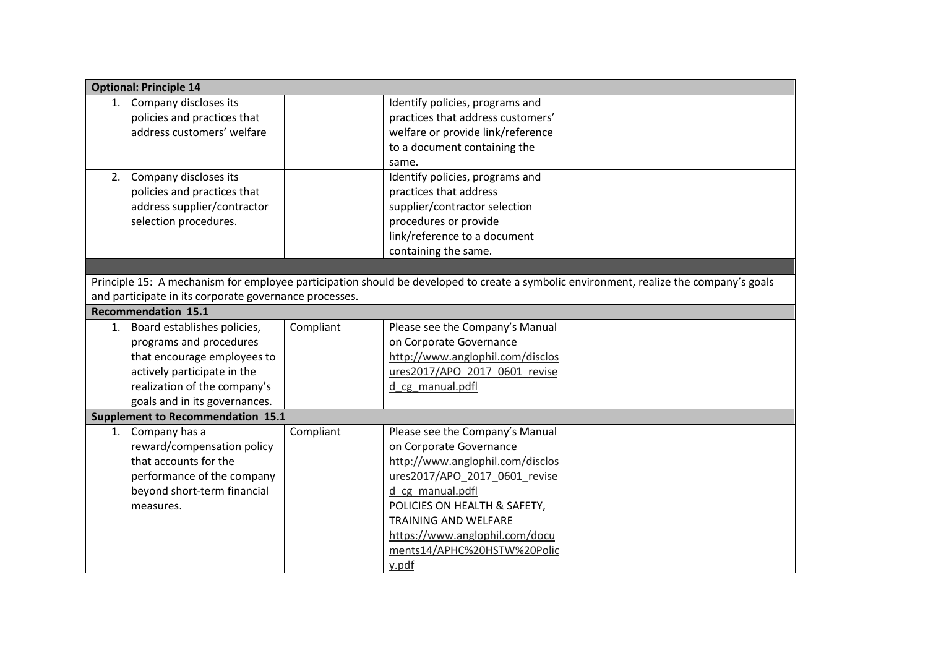| Identify policies, programs and                                                                                                        |
|----------------------------------------------------------------------------------------------------------------------------------------|
| practices that address customers'                                                                                                      |
| welfare or provide link/reference                                                                                                      |
|                                                                                                                                        |
| to a document containing the                                                                                                           |
| same.                                                                                                                                  |
| Identify policies, programs and                                                                                                        |
| practices that address                                                                                                                 |
| supplier/contractor selection                                                                                                          |
| procedures or provide                                                                                                                  |
| link/reference to a document                                                                                                           |
| containing the same.                                                                                                                   |
|                                                                                                                                        |
| Principle 15: A mechanism for employee participation should be developed to create a symbolic environment, realize the company's goals |
|                                                                                                                                        |
|                                                                                                                                        |
| Please see the Company's Manual                                                                                                        |
| on Corporate Governance                                                                                                                |
| http://www.anglophil.com/disclos                                                                                                       |
| ures2017/APO_2017_0601_revise                                                                                                          |
| d cg manual.pdfl                                                                                                                       |
|                                                                                                                                        |
|                                                                                                                                        |
| Please see the Company's Manual                                                                                                        |
| on Corporate Governance                                                                                                                |
| http://www.anglophil.com/disclos                                                                                                       |
| ures2017/APO 2017 0601 revise                                                                                                          |
| d cg manual.pdfl                                                                                                                       |
| POLICIES ON HEALTH & SAFETY,                                                                                                           |
| <b>TRAINING AND WELFARE</b>                                                                                                            |
| https://www.anglophil.com/docu                                                                                                         |
| ments14/APHC%20HSTW%20Polic                                                                                                            |
| y.pdf                                                                                                                                  |
|                                                                                                                                        |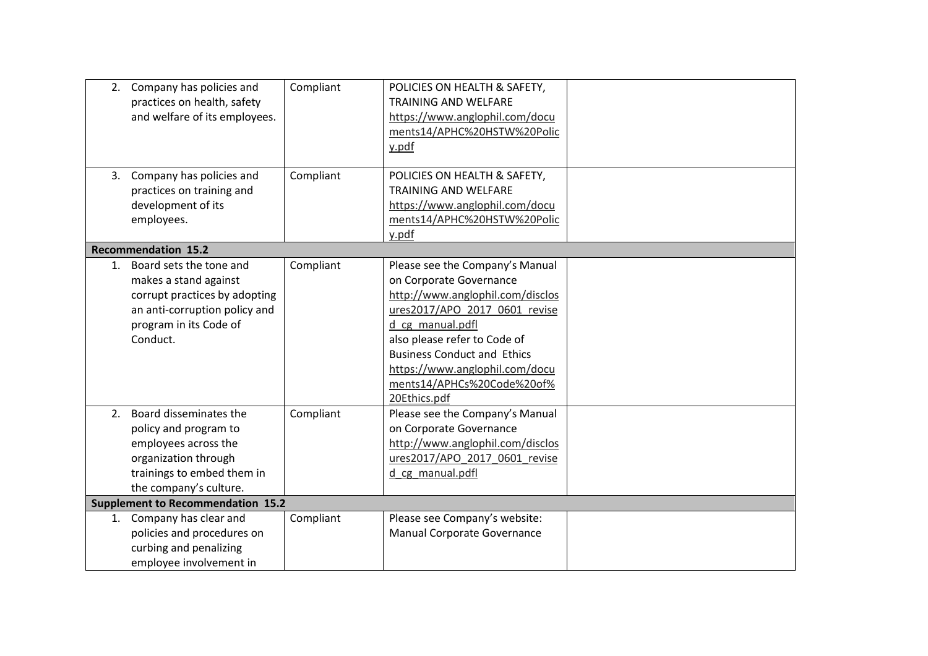|    | 2. Company has policies and<br>practices on health, safety<br>and welfare of its employees.                                                                | Compliant | POLICIES ON HEALTH & SAFETY,<br><b>TRAINING AND WELFARE</b><br>https://www.anglophil.com/docu<br>ments14/APHC%20HSTW%20Polic<br>y.pdf                                                                                                                                                                     |  |
|----|------------------------------------------------------------------------------------------------------------------------------------------------------------|-----------|-----------------------------------------------------------------------------------------------------------------------------------------------------------------------------------------------------------------------------------------------------------------------------------------------------------|--|
|    | 3. Company has policies and<br>practices on training and<br>development of its<br>employees.                                                               | Compliant | POLICIES ON HEALTH & SAFETY,<br><b>TRAINING AND WELFARE</b><br>https://www.anglophil.com/docu<br>ments14/APHC%20HSTW%20Polic<br>y.pdf                                                                                                                                                                     |  |
|    | <b>Recommendation 15.2</b>                                                                                                                                 |           |                                                                                                                                                                                                                                                                                                           |  |
| 1. | Board sets the tone and<br>makes a stand against<br>corrupt practices by adopting<br>an anti-corruption policy and<br>program in its Code of<br>Conduct.   | Compliant | Please see the Company's Manual<br>on Corporate Governance<br>http://www.anglophil.com/disclos<br>ures2017/APO 2017 0601 revise<br>d cg manual.pdfl<br>also please refer to Code of<br><b>Business Conduct and Ethics</b><br>https://www.anglophil.com/docu<br>ments14/APHCs%20Code%20of%<br>20Ethics.pdf |  |
|    | 2. Board disseminates the<br>policy and program to<br>employees across the<br>organization through<br>trainings to embed them in<br>the company's culture. | Compliant | Please see the Company's Manual<br>on Corporate Governance<br>http://www.anglophil.com/disclos<br>ures2017/APO 2017 0601 revise<br>d cg manual.pdfl                                                                                                                                                       |  |
|    | <b>Supplement to Recommendation 15.2</b>                                                                                                                   |           |                                                                                                                                                                                                                                                                                                           |  |
|    | 1. Company has clear and<br>policies and procedures on<br>curbing and penalizing<br>employee involvement in                                                | Compliant | Please see Company's website:<br>Manual Corporate Governance                                                                                                                                                                                                                                              |  |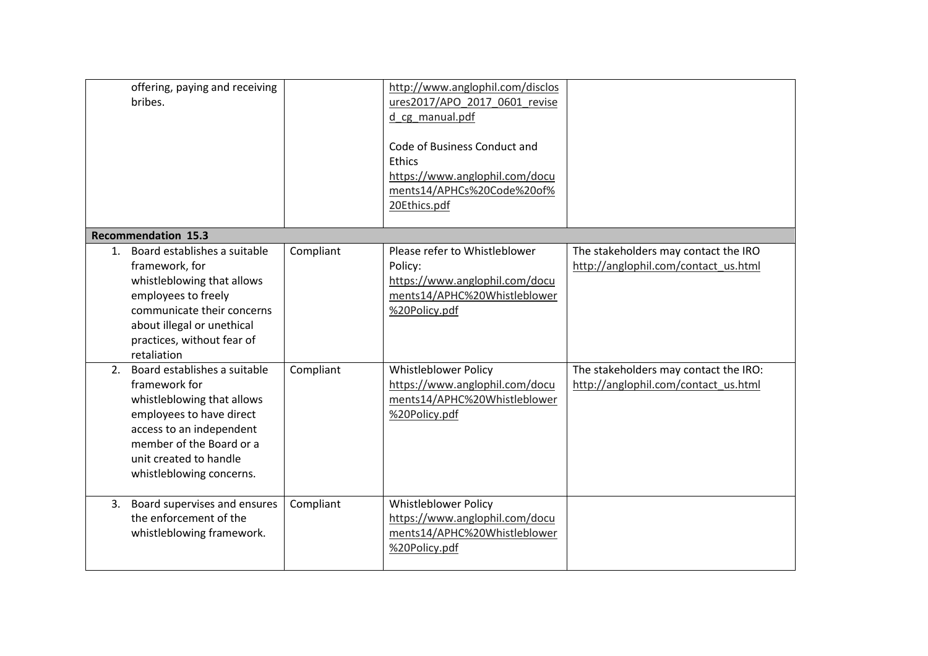|    | offering, paying and receiving<br>bribes.                                                                                                                                                                             |           | http://www.anglophil.com/disclos<br>ures2017/APO 2017 0601 revise<br>d cg manual.pdf<br>Code of Business Conduct and<br>Ethics<br>https://www.anglophil.com/docu<br>ments14/APHCs%20Code%20of%<br>20Ethics.pdf |                                                                               |
|----|-----------------------------------------------------------------------------------------------------------------------------------------------------------------------------------------------------------------------|-----------|----------------------------------------------------------------------------------------------------------------------------------------------------------------------------------------------------------------|-------------------------------------------------------------------------------|
|    | <b>Recommendation 15.3</b>                                                                                                                                                                                            |           |                                                                                                                                                                                                                |                                                                               |
| 1. | Board establishes a suitable<br>framework, for<br>whistleblowing that allows<br>employees to freely<br>communicate their concerns<br>about illegal or unethical<br>practices, without fear of<br>retaliation          | Compliant | Please refer to Whistleblower<br>Policy:<br>https://www.anglophil.com/docu<br>ments14/APHC%20Whistleblower<br>%20Policy.pdf                                                                                    | The stakeholders may contact the IRO<br>http://anglophil.com/contact_us.html  |
| 2. | Board establishes a suitable<br>framework for<br>whistleblowing that allows<br>employees to have direct<br>access to an independent<br>member of the Board or a<br>unit created to handle<br>whistleblowing concerns. | Compliant | <b>Whistleblower Policy</b><br>https://www.anglophil.com/docu<br>ments14/APHC%20Whistleblower<br>%20Policy.pdf                                                                                                 | The stakeholders may contact the IRO:<br>http://anglophil.com/contact_us.html |
| 3. | Board supervises and ensures<br>the enforcement of the<br>whistleblowing framework.                                                                                                                                   | Compliant | <b>Whistleblower Policy</b><br>https://www.anglophil.com/docu<br>ments14/APHC%20Whistleblower<br>%20Policy.pdf                                                                                                 |                                                                               |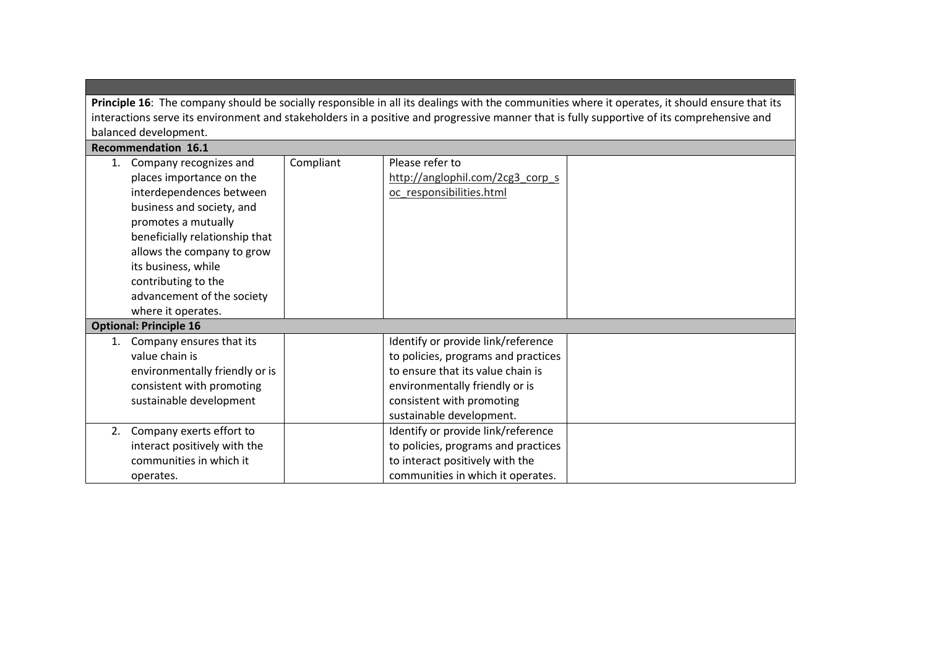Principle 16: The company should be socially responsible in all its dealings with the communities where it operates, it should ensure that its interactions serve its environment and stakeholders in a positive and progressive manner that is fully supportive of its comprehensive and balanced development. Recommendation 16.1

|    | Recommendation 16.1            |           |                                     |  |
|----|--------------------------------|-----------|-------------------------------------|--|
| 1. | Company recognizes and         | Compliant | Please refer to                     |  |
|    | places importance on the       |           | http://anglophil.com/2cg3 corp s    |  |
|    | interdependences between       |           | oc responsibilities.html            |  |
|    | business and society, and      |           |                                     |  |
|    | promotes a mutually            |           |                                     |  |
|    | beneficially relationship that |           |                                     |  |
|    | allows the company to grow     |           |                                     |  |
|    | its business, while            |           |                                     |  |
|    | contributing to the            |           |                                     |  |
|    | advancement of the society     |           |                                     |  |
|    | where it operates.             |           |                                     |  |
|    | <b>Optional: Principle 16</b>  |           |                                     |  |
| 1. | Company ensures that its       |           | Identify or provide link/reference  |  |
|    | value chain is                 |           | to policies, programs and practices |  |
|    | environmentally friendly or is |           | to ensure that its value chain is   |  |
|    | consistent with promoting      |           | environmentally friendly or is      |  |
|    | sustainable development        |           | consistent with promoting           |  |
|    |                                |           | sustainable development.            |  |
| 2. | Company exerts effort to       |           | Identify or provide link/reference  |  |
|    | interact positively with the   |           | to policies, programs and practices |  |
|    | communities in which it        |           | to interact positively with the     |  |
|    | operates.                      |           | communities in which it operates.   |  |